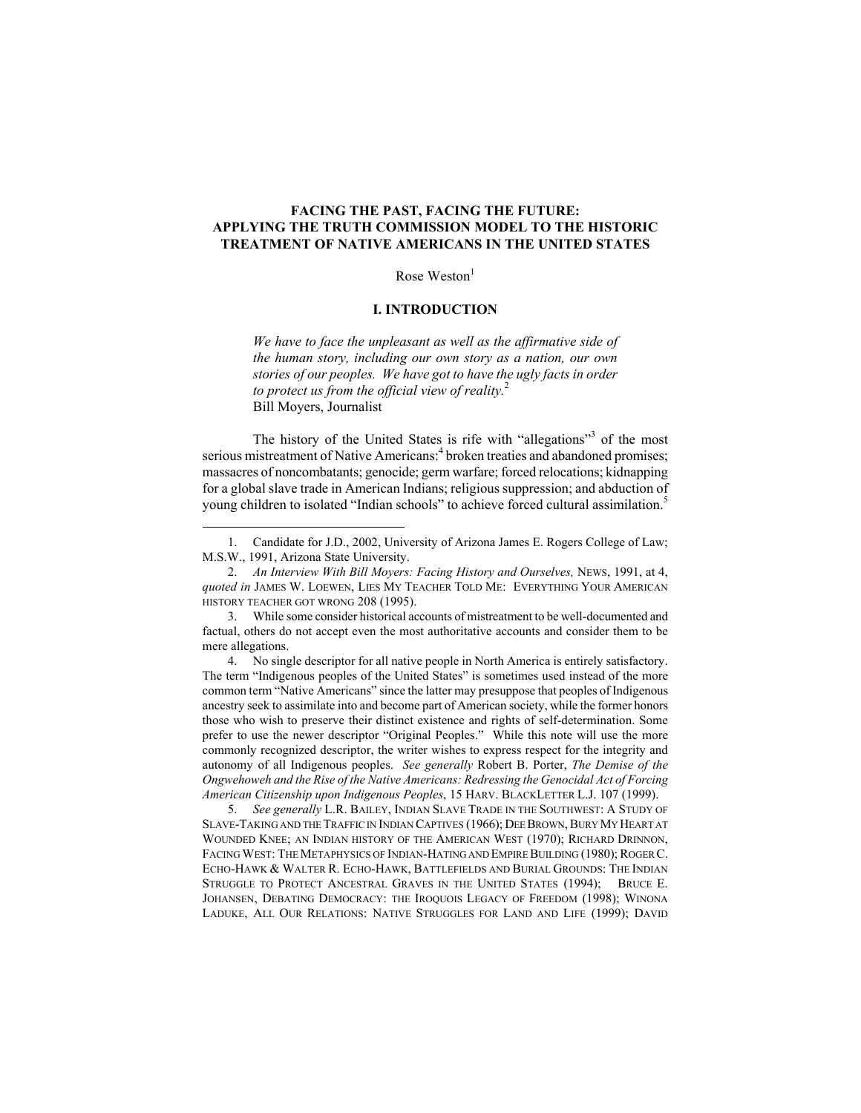# **FACING THE PAST, FACING THE FUTURE: APPLYING THE TRUTH COMMISSION MODEL TO THE HISTORIC TREATMENT OF NATIVE AMERICANS IN THE UNITED STATES**

Rose  $Weston<sup>1</sup>$ 

## **I. INTRODUCTION**

*We have to face the unpleasant as well as the affirmative side of the human story, including our own story as a nation, our own stories of our peoples. We have got to have the ugly facts in order to protect us from the official view of reality.*<sup>2</sup> Bill Moyers, Journalist

The history of the United States is rife with "allegations"<sup>3</sup> of the most serious mistreatment of Native Americans.<sup>4</sup> broken treaties and abandoned promises; massacres of noncombatants; genocide; germ warfare; forced relocations; kidnapping for a global slave trade in American Indians; religious suppression; and abduction of young children to isolated "Indian schools" to achieve forced cultural assimilation.<sup>5</sup>

4. No single descriptor for all native people in North America is entirely satisfactory. The term "Indigenous peoples of the United States" is sometimes used instead of the more common term "Native Americans" since the latter may presuppose that peoples of Indigenous ancestry seek to assimilate into and become part of American society, while the former honors those who wish to preserve their distinct existence and rights of self-determination. Some prefer to use the newer descriptor "Original Peoples." While this note will use the more commonly recognized descriptor, the writer wishes to express respect for the integrity and autonomy of all Indigenous peoples. *See generally* Robert B. Porter, *The Demise of the Ongwehoweh and the Rise of the Native Americans: Redressing the Genocidal Act of Forcing American Citizenship upon Indigenous Peoples*, 15 HARV. BLACKLETTER L.J. 107 (1999).

5. *See generally* L.R. BAILEY, INDIAN SLAVE TRADE IN THE SOUTHWEST: A STUDY OF SLAVE-TAKING AND THE TRAFFIC IN INDIAN CAPTIVES (1966); DEE BROWN, BURY MY HEART AT WOUNDED KNEE; AN INDIAN HISTORY OF THE AMERICAN WEST (1970); RICHARD DRINNON, FACING WEST: THE METAPHYSICS OF INDIAN-HATING AND EMPIRE BUILDING (1980); ROGER C. ECHO-HAWK & WALTER R. ECHO-HAWK, BATTLEFIELDS AND BURIAL GROUNDS: THE INDIAN STRUGGLE TO PROTECT ANCESTRAL GRAVES IN THE UNITED STATES (1994); BRUCE E. JOHANSEN, DEBATING DEMOCRACY: THE IROQUOIS LEGACY OF FREEDOM (1998); WINONA LADUKE, ALL OUR RELATIONS: NATIVE STRUGGLES FOR LAND AND LIFE (1999); DAVID

 <sup>1.</sup> Candidate for J.D., 2002, University of Arizona James E. Rogers College of Law; M.S.W., 1991, Arizona State University.

<sup>2.</sup> *An Interview With Bill Moyers: Facing History and Ourselves,* NEWS, 1991, at 4, *quoted in* JAMES W. LOEWEN, LIES MY TEACHER TOLD ME: EVERYTHING YOUR AMERICAN HISTORY TEACHER GOT WRONG 208 (1995).

<sup>3.</sup> While some consider historical accounts of mistreatment to be well-documented and factual, others do not accept even the most authoritative accounts and consider them to be mere allegations.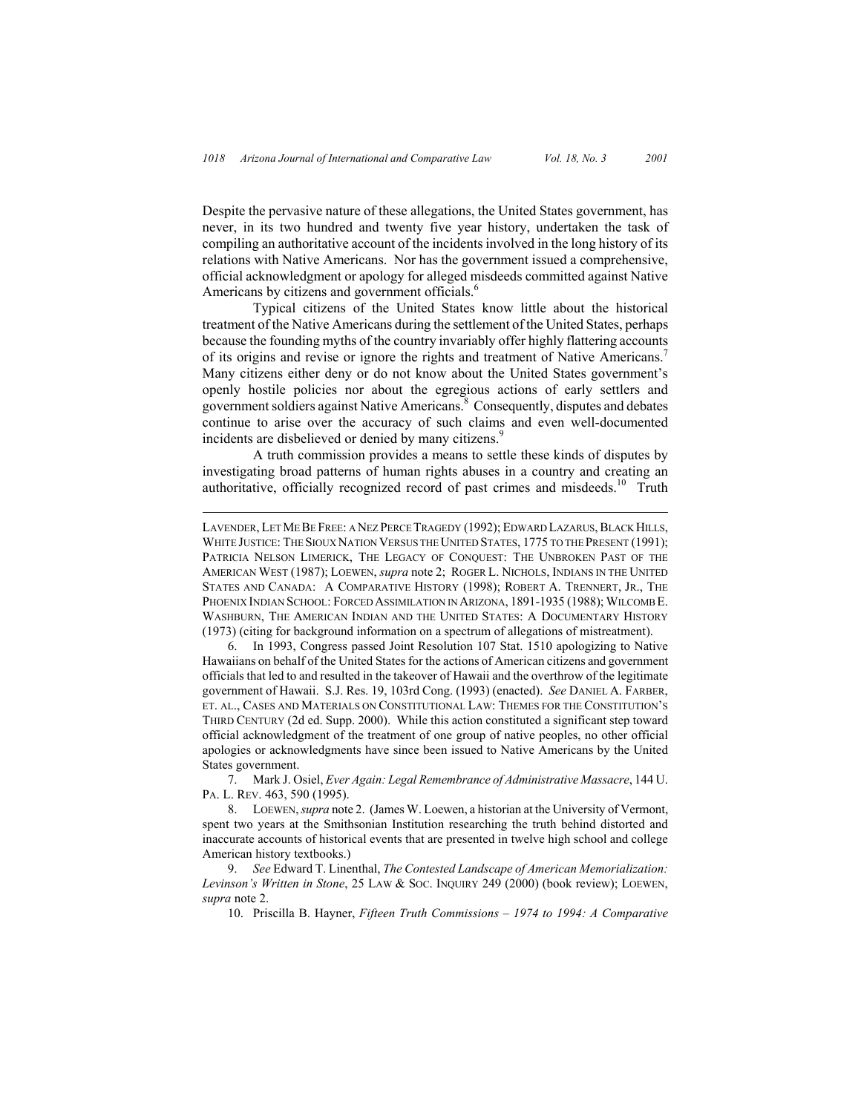$\overline{a}$ 

Despite the pervasive nature of these allegations, the United States government, has never, in its two hundred and twenty five year history, undertaken the task of compiling an authoritative account of the incidents involved in the long history of its relations with Native Americans. Nor has the government issued a comprehensive, official acknowledgment or apology for alleged misdeeds committed against Native Americans by citizens and government officials.<sup>6</sup>

Typical citizens of the United States know little about the historical treatment of the Native Americans during the settlement of the United States, perhaps because the founding myths of the country invariably offer highly flattering accounts of its origins and revise or ignore the rights and treatment of Native Americans.<sup>7</sup> Many citizens either deny or do not know about the United States government's openly hostile policies nor about the egregious actions of early settlers and government soldiers against Native Americans.<sup>8</sup> Consequently, disputes and debates continue to arise over the accuracy of such claims and even well-documented incidents are disbelieved or denied by many citizens.<sup>9</sup>

A truth commission provides a means to settle these kinds of disputes by investigating broad patterns of human rights abuses in a country and creating an authoritative, officially recognized record of past crimes and misdeeds.<sup>10</sup> Truth

6. In 1993, Congress passed Joint Resolution 107 Stat. 1510 apologizing to Native Hawaiians on behalf of the United States for the actions of American citizens and government officials that led to and resulted in the takeover of Hawaii and the overthrow of the legitimate government of Hawaii. S.J. Res. 19, 103rd Cong. (1993) (enacted). *See* DANIEL A. FARBER, ET. AL., CASES AND MATERIALS ON CONSTITUTIONAL LAW: THEMES FOR THE CONSTITUTION'S THIRD CENTURY (2d ed. Supp. 2000). While this action constituted a significant step toward official acknowledgment of the treatment of one group of native peoples, no other official apologies or acknowledgments have since been issued to Native Americans by the United States government.

7. Mark J. Osiel, *Ever Again: Legal Remembrance of Administrative Massacre*, 144 U. PA. L. REV. 463, 590 (1995).

8. LOEWEN, *supra* note 2. (James W. Loewen, a historian at the University of Vermont, spent two years at the Smithsonian Institution researching the truth behind distorted and inaccurate accounts of historical events that are presented in twelve high school and college American history textbooks.)

9. *See* Edward T. Linenthal, *The Contested Landscape of American Memorialization: Levinson's Written in Stone*, 25 LAW & SOC. INQUIRY 249 (2000) (book review); LOEWEN, *supra* note 2.

10. Priscilla B. Hayner, *Fifteen Truth Commissions – 1974 to 1994: A Comparative* 

LAVENDER, LET ME BE FREE: A NEZ PERCE TRAGEDY (1992); EDWARD LAZARUS, BLACK HILLS, WHITE JUSTICE: THE SIOUX NATION VERSUS THE UNITED STATES, 1775 TO THE PRESENT (1991); PATRICIA NELSON LIMERICK, THE LEGACY OF CONQUEST: THE UNBROKEN PAST OF THE AMERICAN WEST (1987); LOEWEN, *supra* note 2; ROGER L. NICHOLS, INDIANS IN THE UNITED STATES AND CANADA: A COMPARATIVE HISTORY (1998); ROBERT A. TRENNERT, JR., THE PHOENIX INDIAN SCHOOL: FORCED ASSIMILATION IN ARIZONA, 1891-1935 (1988); WILCOMB E. WASHBURN, THE AMERICAN INDIAN AND THE UNITED STATES: A DOCUMENTARY HISTORY (1973) (citing for background information on a spectrum of allegations of mistreatment).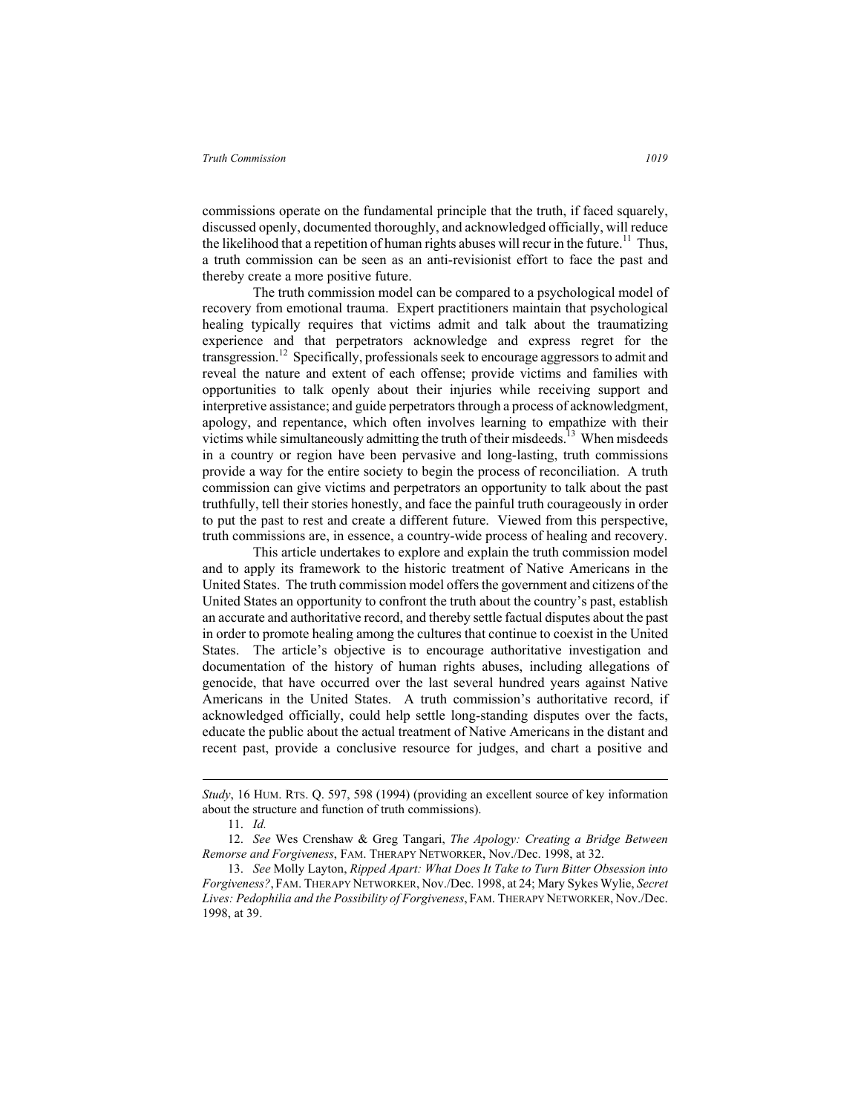commissions operate on the fundamental principle that the truth, if faced squarely, discussed openly, documented thoroughly, and acknowledged officially, will reduce the likelihood that a repetition of human rights abuses will recur in the future.<sup>11</sup> Thus, a truth commission can be seen as an anti-revisionist effort to face the past and thereby create a more positive future.

The truth commission model can be compared to a psychological model of recovery from emotional trauma. Expert practitioners maintain that psychological healing typically requires that victims admit and talk about the traumatizing experience and that perpetrators acknowledge and express regret for the transgression.12 Specifically, professionals seek to encourage aggressors to admit and reveal the nature and extent of each offense; provide victims and families with opportunities to talk openly about their injuries while receiving support and interpretive assistance; and guide perpetrators through a process of acknowledgment, apology, and repentance, which often involves learning to empathize with their victims while simultaneously admitting the truth of their misdeeds.<sup>13</sup> When misdeeds in a country or region have been pervasive and long-lasting, truth commissions provide a way for the entire society to begin the process of reconciliation. A truth commission can give victims and perpetrators an opportunity to talk about the past truthfully, tell their stories honestly, and face the painful truth courageously in order to put the past to rest and create a different future. Viewed from this perspective, truth commissions are, in essence, a country-wide process of healing and recovery.

This article undertakes to explore and explain the truth commission model and to apply its framework to the historic treatment of Native Americans in the United States. The truth commission model offers the government and citizens of the United States an opportunity to confront the truth about the country's past, establish an accurate and authoritative record, and thereby settle factual disputes about the past in order to promote healing among the cultures that continue to coexist in the United States. The article's objective is to encourage authoritative investigation and documentation of the history of human rights abuses, including allegations of genocide, that have occurred over the last several hundred years against Native Americans in the United States. A truth commission's authoritative record, if acknowledged officially, could help settle long-standing disputes over the facts, educate the public about the actual treatment of Native Americans in the distant and recent past, provide a conclusive resource for judges, and chart a positive and

 $\overline{a}$ 

*Study*, 16 HUM. RTS. Q. 597, 598 (1994) (providing an excellent source of key information about the structure and function of truth commissions).

<sup>11.</sup> *Id.*

<sup>12.</sup> *See* Wes Crenshaw & Greg Tangari, *The Apology: Creating a Bridge Between Remorse and Forgiveness*, FAM. THERAPY NETWORKER, Nov./Dec. 1998, at 32.

<sup>13.</sup> *See* Molly Layton, *Ripped Apart: What Does It Take to Turn Bitter Obsession into Forgiveness?*, FAM. THERAPY NETWORKER, Nov./Dec. 1998, at 24; Mary Sykes Wylie, *Secret Lives: Pedophilia and the Possibility of Forgiveness*, FAM. THERAPY NETWORKER, Nov./Dec. 1998, at 39.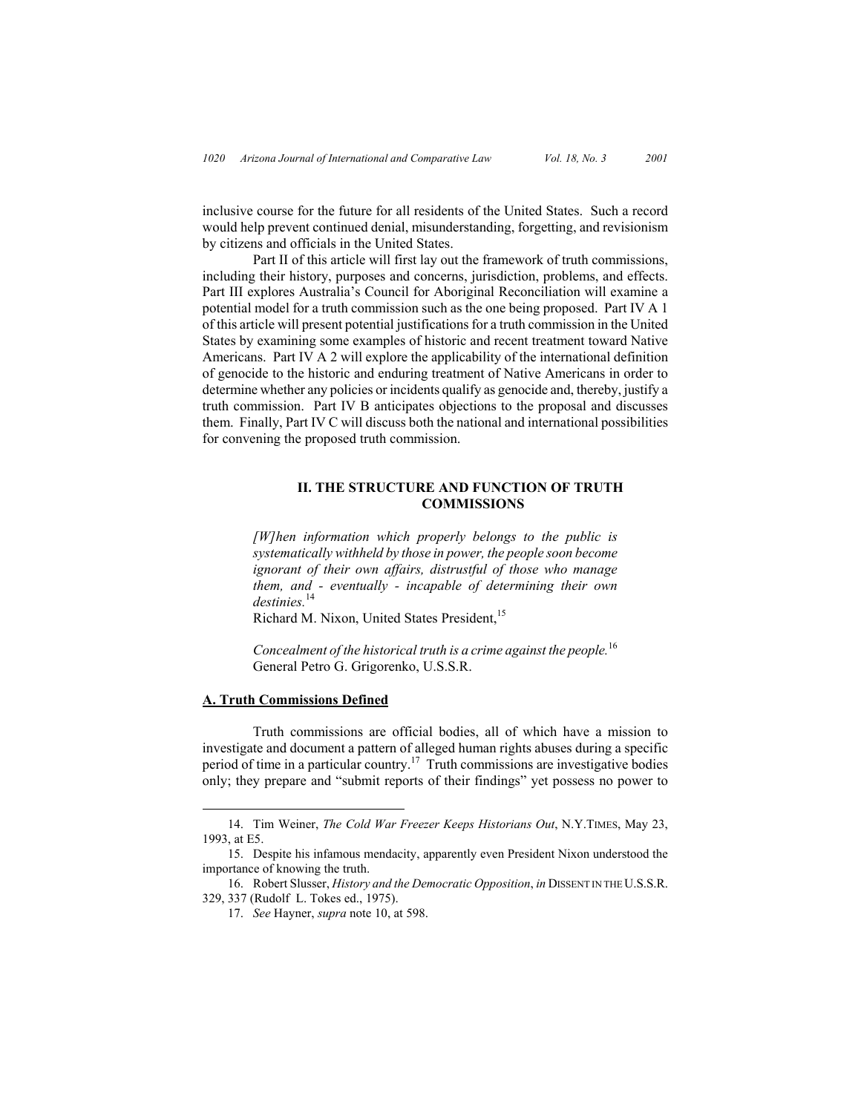inclusive course for the future for all residents of the United States. Such a record would help prevent continued denial, misunderstanding, forgetting, and revisionism by citizens and officials in the United States.

Part II of this article will first lay out the framework of truth commissions, including their history, purposes and concerns, jurisdiction, problems, and effects. Part III explores Australia's Council for Aboriginal Reconciliation will examine a potential model for a truth commission such as the one being proposed. Part IV A 1 of this article will present potential justifications for a truth commission in the United States by examining some examples of historic and recent treatment toward Native Americans. Part IV A 2 will explore the applicability of the international definition of genocide to the historic and enduring treatment of Native Americans in order to determine whether any policies or incidents qualify as genocide and, thereby, justify a truth commission. Part IV B anticipates objections to the proposal and discusses them. Finally, Part IV C will discuss both the national and international possibilities for convening the proposed truth commission.

# **II. THE STRUCTURE AND FUNCTION OF TRUTH COMMISSIONS**

*[W]hen information which properly belongs to the public is systematically withheld by those in power, the people soon become ignorant of their own affairs, distrustful of those who manage them, and - eventually - incapable of determining their own destinies.*14

Richard M. Nixon, United States President,<sup>15</sup>

*Concealment of the historical truth is a crime against the people.*<sup>16</sup> General Petro G. Grigorenko, U.S.S.R.

### **A. Truth Commissions Defined**

Truth commissions are official bodies, all of which have a mission to investigate and document a pattern of alleged human rights abuses during a specific period of time in a particular country.17 Truth commissions are investigative bodies only; they prepare and "submit reports of their findings" yet possess no power to

16. Robert Slusser, *History and the Democratic Opposition*, *in* DISSENT IN THE U.S.S.R. 329, 337 (Rudolf L. Tokes ed., 1975).

 <sup>14.</sup> Tim Weiner, *The Cold War Freezer Keeps Historians Out*, N.Y.TIMES, May 23, 1993, at E5.

<sup>15.</sup> Despite his infamous mendacity, apparently even President Nixon understood the importance of knowing the truth.

<sup>17.</sup> *See* Hayner, *supra* note 10, at 598.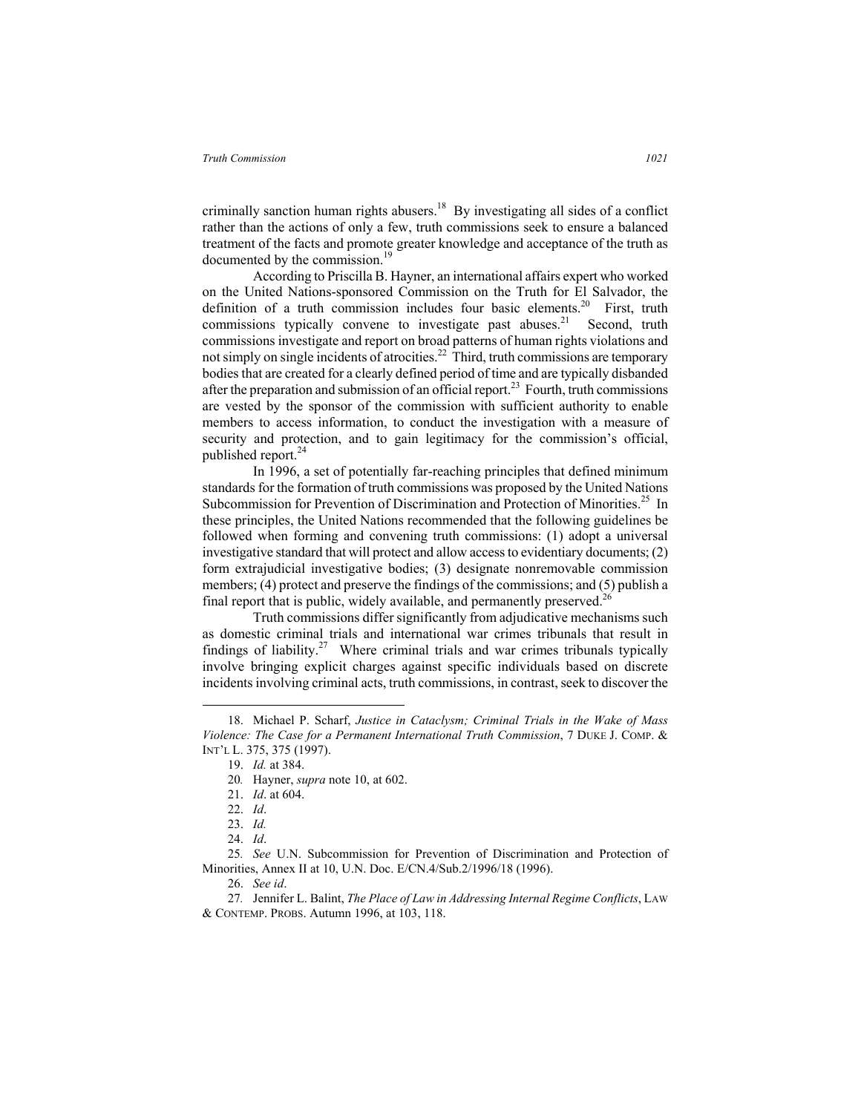criminally sanction human rights abusers.<sup>18</sup> By investigating all sides of a conflict rather than the actions of only a few, truth commissions seek to ensure a balanced treatment of the facts and promote greater knowledge and acceptance of the truth as documented by the commission.<sup>19</sup>

According to Priscilla B. Hayner, an international affairs expert who worked on the United Nations-sponsored Commission on the Truth for El Salvador, the definition of a truth commission includes four basic elements.<sup>20</sup> First, truth commissions typically convene to investigate past abuses. $21$  Second, truth commissions investigate and report on broad patterns of human rights violations and not simply on single incidents of atrocities.<sup>22</sup> Third, truth commissions are temporary bodies that are created for a clearly defined period of time and are typically disbanded after the preparation and submission of an official report.<sup>23</sup> Fourth, truth commissions are vested by the sponsor of the commission with sufficient authority to enable members to access information, to conduct the investigation with a measure of security and protection, and to gain legitimacy for the commission's official, published report.<sup>24</sup>

In 1996, a set of potentially far-reaching principles that defined minimum standards for the formation of truth commissions was proposed by the United Nations Subcommission for Prevention of Discrimination and Protection of Minorities.<sup>25</sup> In these principles, the United Nations recommended that the following guidelines be followed when forming and convening truth commissions: (1) adopt a universal investigative standard that will protect and allow access to evidentiary documents; (2) form extrajudicial investigative bodies; (3) designate nonremovable commission members; (4) protect and preserve the findings of the commissions; and (5) publish a final report that is public, widely available, and permanently preserved.<sup>2</sup>

Truth commissions differ significantly from adjudicative mechanisms such as domestic criminal trials and international war crimes tribunals that result in findings of liability.<sup>27</sup> Where criminal trials and war crimes tribunals typically involve bringing explicit charges against specific individuals based on discrete incidents involving criminal acts, truth commissions, in contrast, seek to discover the

 <sup>18.</sup> Michael P. Scharf, *Justice in Cataclysm; Criminal Trials in the Wake of Mass Violence: The Case for a Permanent International Truth Commission*, 7 DUKE J. COMP. & INT'L L. 375, 375 (1997).

<sup>19.</sup> *Id.* at 384.

<sup>20</sup>*.* Hayner, *supra* note 10, at 602.

<sup>21.</sup> *Id*. at 604.

<sup>22.</sup> *Id*.

<sup>23.</sup> *Id.*

<sup>24.</sup> *Id*.

<sup>25</sup>*. See* U.N. Subcommission for Prevention of Discrimination and Protection of Minorities, Annex II at 10, U.N. Doc. E/CN.4/Sub.2/1996/18 (1996).

<sup>26.</sup> *See id*.

<sup>27</sup>*.* Jennifer L. Balint, *The Place of Law in Addressing Internal Regime Conflicts*, LAW & CONTEMP. PROBS. Autumn 1996, at 103, 118.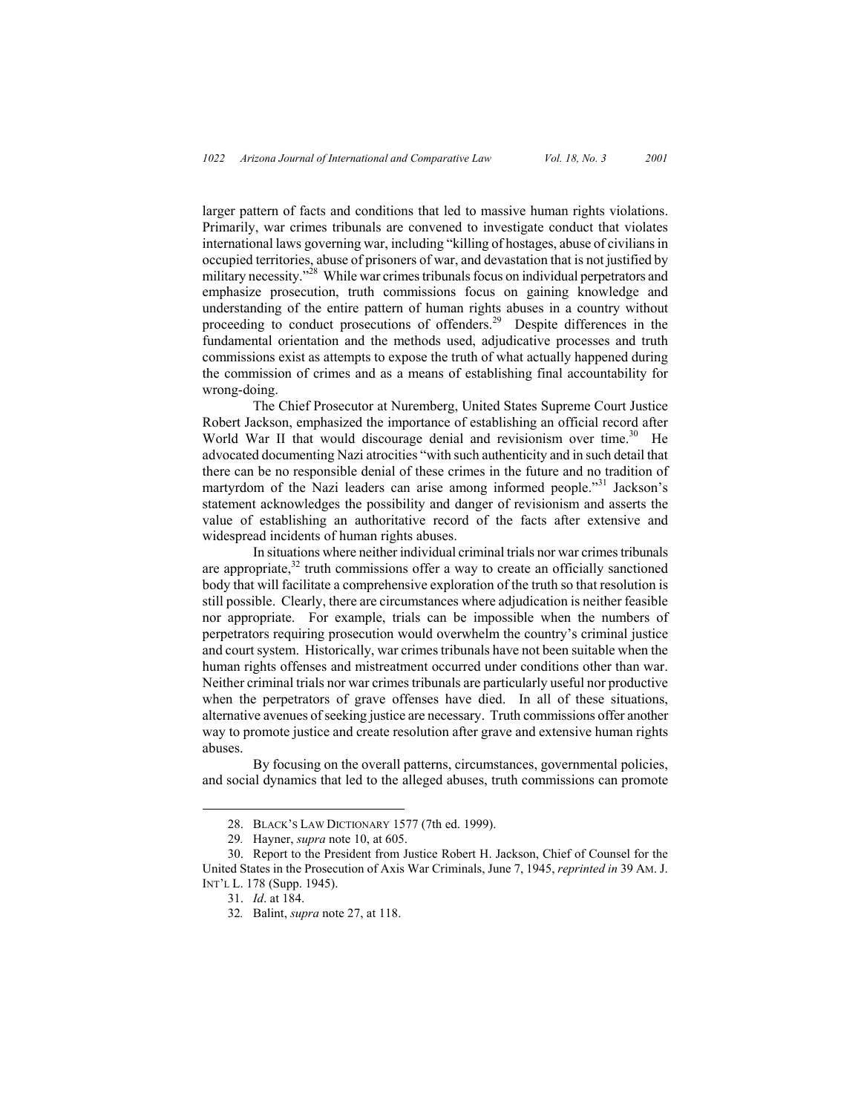larger pattern of facts and conditions that led to massive human rights violations. Primarily, war crimes tribunals are convened to investigate conduct that violates international laws governing war, including "killing of hostages, abuse of civilians in occupied territories, abuse of prisoners of war, and devastation that is not justified by military necessity."28 While war crimes tribunals focus on individual perpetrators and emphasize prosecution, truth commissions focus on gaining knowledge and understanding of the entire pattern of human rights abuses in a country without proceeding to conduct prosecutions of offenders.29 Despite differences in the fundamental orientation and the methods used, adjudicative processes and truth commissions exist as attempts to expose the truth of what actually happened during the commission of crimes and as a means of establishing final accountability for wrong-doing.

The Chief Prosecutor at Nuremberg, United States Supreme Court Justice Robert Jackson, emphasized the importance of establishing an official record after World War II that would discourage denial and revisionism over time.<sup>30</sup> He advocated documenting Nazi atrocities "with such authenticity and in such detail that there can be no responsible denial of these crimes in the future and no tradition of martyrdom of the Nazi leaders can arise among informed people."<sup>31</sup> Jackson's statement acknowledges the possibility and danger of revisionism and asserts the value of establishing an authoritative record of the facts after extensive and widespread incidents of human rights abuses.

In situations where neither individual criminal trials nor war crimes tribunals are appropriate, $32$  truth commissions offer a way to create an officially sanctioned body that will facilitate a comprehensive exploration of the truth so that resolution is still possible. Clearly, there are circumstances where adjudication is neither feasible nor appropriate. For example, trials can be impossible when the numbers of perpetrators requiring prosecution would overwhelm the country's criminal justice and court system. Historically, war crimes tribunals have not been suitable when the human rights offenses and mistreatment occurred under conditions other than war. Neither criminal trials nor war crimes tribunals are particularly useful nor productive when the perpetrators of grave offenses have died. In all of these situations, alternative avenues of seeking justice are necessary. Truth commissions offer another way to promote justice and create resolution after grave and extensive human rights abuses.

By focusing on the overall patterns, circumstances, governmental policies, and social dynamics that led to the alleged abuses, truth commissions can promote

 <sup>28.</sup> BLACK'S LAW DICTIONARY 1577 (7th ed. 1999).

<sup>29</sup>*.* Hayner, *supra* note 10, at 605.

<sup>30.</sup> Report to the President from Justice Robert H. Jackson, Chief of Counsel for the United States in the Prosecution of Axis War Criminals, June 7, 1945, *reprinted in* 39 AM. J. INT'L L. 178 (Supp. 1945).

<sup>31.</sup> *Id*. at 184.

<sup>32</sup>*.* Balint, *supra* note 27, at 118.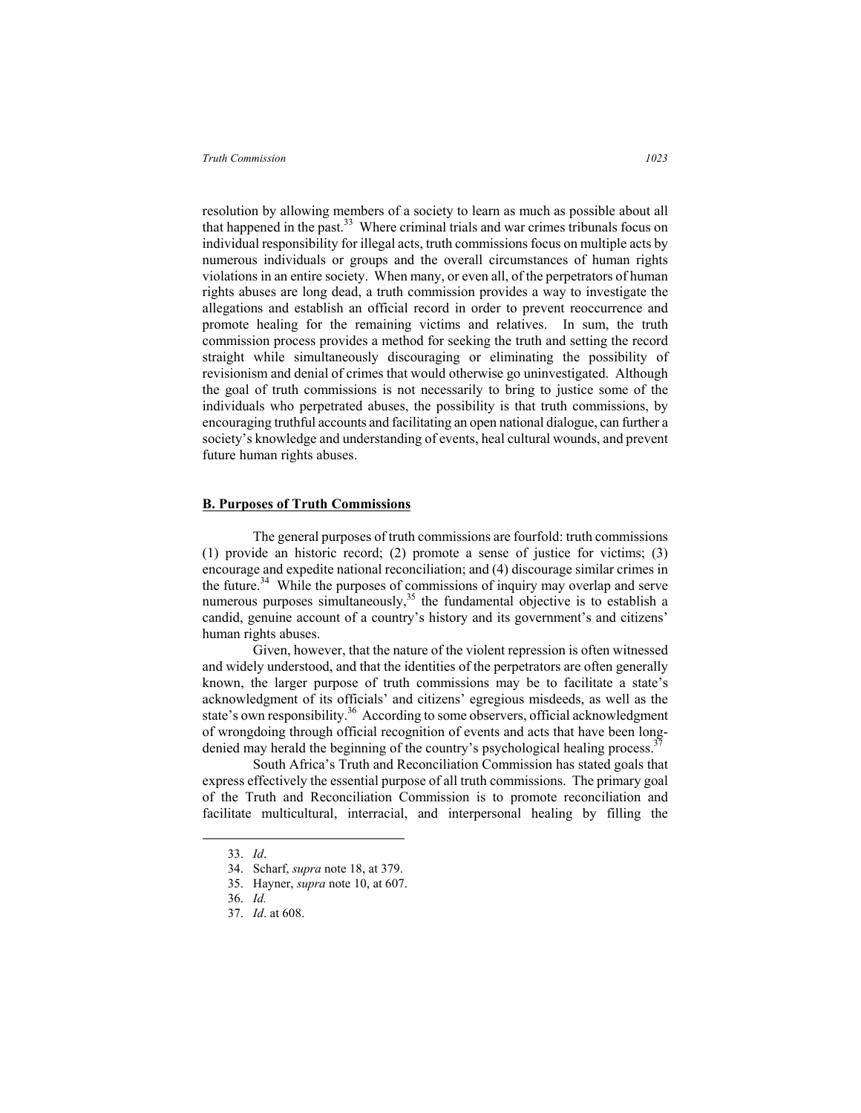resolution by allowing members of a society to learn as much as possible about all that happened in the past. $33$  Where criminal trials and war crimes tribunals focus on individual responsibility for illegal acts, truth commissions focus on multiple acts by numerous individuals or groups and the overall circumstances of human rights violations in an entire society. When many, or even all, of the perpetrators of human rights abuses are long dead, a truth commission provides a way to investigate the allegations and establish an official record in order to prevent reoccurrence and promote healing for the remaining victims and relatives. In sum, the truth commission process provides a method for seeking the truth and setting the record straight while simultaneously discouraging or eliminating the possibility of revisionism and denial of crimes that would otherwise go uninvestigated. Although the goal of truth commissions is not necessarily to bring to justice some of the individuals who perpetrated abuses, the possibility is that truth commissions, by encouraging truthful accounts and facilitating an open national dialogue, can further a society's knowledge and understanding of events, heal cultural wounds, and prevent future human rights abuses.

### **B. Purposes of Truth Commissions**

The general purposes of truth commissions are fourfold: truth commissions (1) provide an historic record; (2) promote a sense of justice for victims; (3) encourage and expedite national reconciliation; and (4) discourage similar crimes in the future.<sup>34</sup> While the purposes of commissions of inquiry may overlap and serve numerous purposes simultaneously,  $3^5$  the fundamental objective is to establish a candid, genuine account of a country's history and its government's and citizens' human rights abuses.

Given, however, that the nature of the violent repression is often witnessed and widely understood, and that the identities of the perpetrators are often generally known, the larger purpose of truth commissions may be to facilitate a state's acknowledgment of its officials' and citizens' egregious misdeeds, as well as the state's own responsibility.<sup>36</sup> According to some observers, official acknowledgment of wrongdoing through official recognition of events and acts that have been longdenied may herald the beginning of the country's psychological healing process.<sup>3</sup>

South Africa's Truth and Reconciliation Commission has stated goals that express effectively the essential purpose of all truth commissions. The primary goal of the Truth and Reconciliation Commission is to promote reconciliation and facilitate multicultural, interracial, and interpersonal healing by filling the

 <sup>33.</sup> *Id*.

<sup>34.</sup> Scharf, *supra* note 18, at 379.

<sup>35.</sup> Hayner, *supra* note 10, at 607.

<sup>36.</sup> *Id.*

<sup>37.</sup> *Id*. at 608.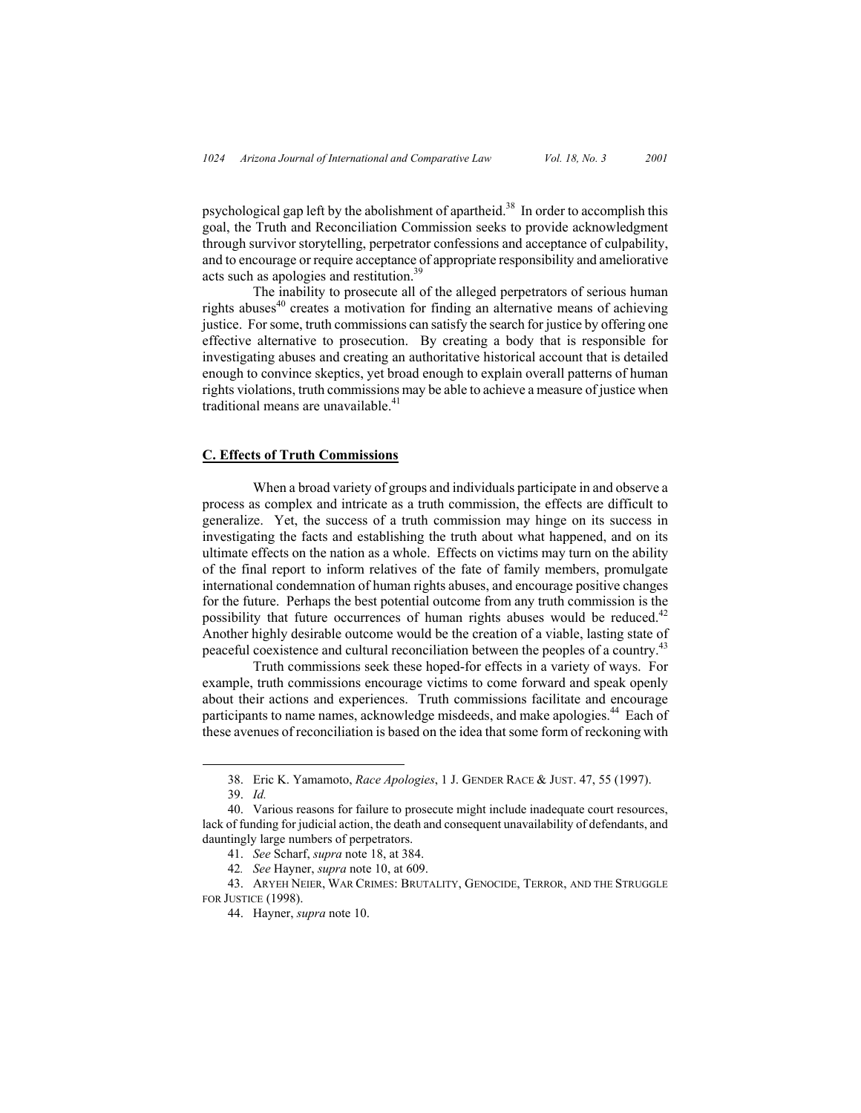psychological gap left by the abolishment of apartheid.<sup>38</sup> In order to accomplish this goal, the Truth and Reconciliation Commission seeks to provide acknowledgment through survivor storytelling, perpetrator confessions and acceptance of culpability, and to encourage or require acceptance of appropriate responsibility and ameliorative acts such as apologies and restitution.<sup>39</sup>

The inability to prosecute all of the alleged perpetrators of serious human rights abuses<sup>40</sup> creates a motivation for finding an alternative means of achieving justice. For some, truth commissions can satisfy the search for justice by offering one effective alternative to prosecution. By creating a body that is responsible for investigating abuses and creating an authoritative historical account that is detailed enough to convince skeptics, yet broad enough to explain overall patterns of human rights violations, truth commissions may be able to achieve a measure of justice when traditional means are unavailable.<sup>41</sup>

## **C. Effects of Truth Commissions**

When a broad variety of groups and individuals participate in and observe a process as complex and intricate as a truth commission, the effects are difficult to generalize. Yet, the success of a truth commission may hinge on its success in investigating the facts and establishing the truth about what happened, and on its ultimate effects on the nation as a whole. Effects on victims may turn on the ability of the final report to inform relatives of the fate of family members, promulgate international condemnation of human rights abuses, and encourage positive changes for the future. Perhaps the best potential outcome from any truth commission is the possibility that future occurrences of human rights abuses would be reduced.<sup>42</sup> Another highly desirable outcome would be the creation of a viable, lasting state of peaceful coexistence and cultural reconciliation between the peoples of a country.<sup>43</sup>

Truth commissions seek these hoped-for effects in a variety of ways. For example, truth commissions encourage victims to come forward and speak openly about their actions and experiences. Truth commissions facilitate and encourage participants to name names, acknowledge misdeeds, and make apologies.<sup>44</sup> Each of these avenues of reconciliation is based on the idea that some form of reckoning with

 <sup>38.</sup> Eric K. Yamamoto, *Race Apologies*, 1 J. GENDER RACE & JUST. 47, 55 (1997).

<sup>39.</sup> *Id.*

<sup>40.</sup> Various reasons for failure to prosecute might include inadequate court resources, lack of funding for judicial action, the death and consequent unavailability of defendants, and dauntingly large numbers of perpetrators.

<sup>41.</sup> *See* Scharf, *supra* note 18, at 384.

<sup>42</sup>*. See* Hayner, *supra* note 10, at 609.

<sup>43.</sup> ARYEH NEIER, WAR CRIMES: BRUTALITY, GENOCIDE, TERROR, AND THE STRUGGLE FOR JUSTICE (1998).

<sup>44.</sup> Hayner, *supra* note 10.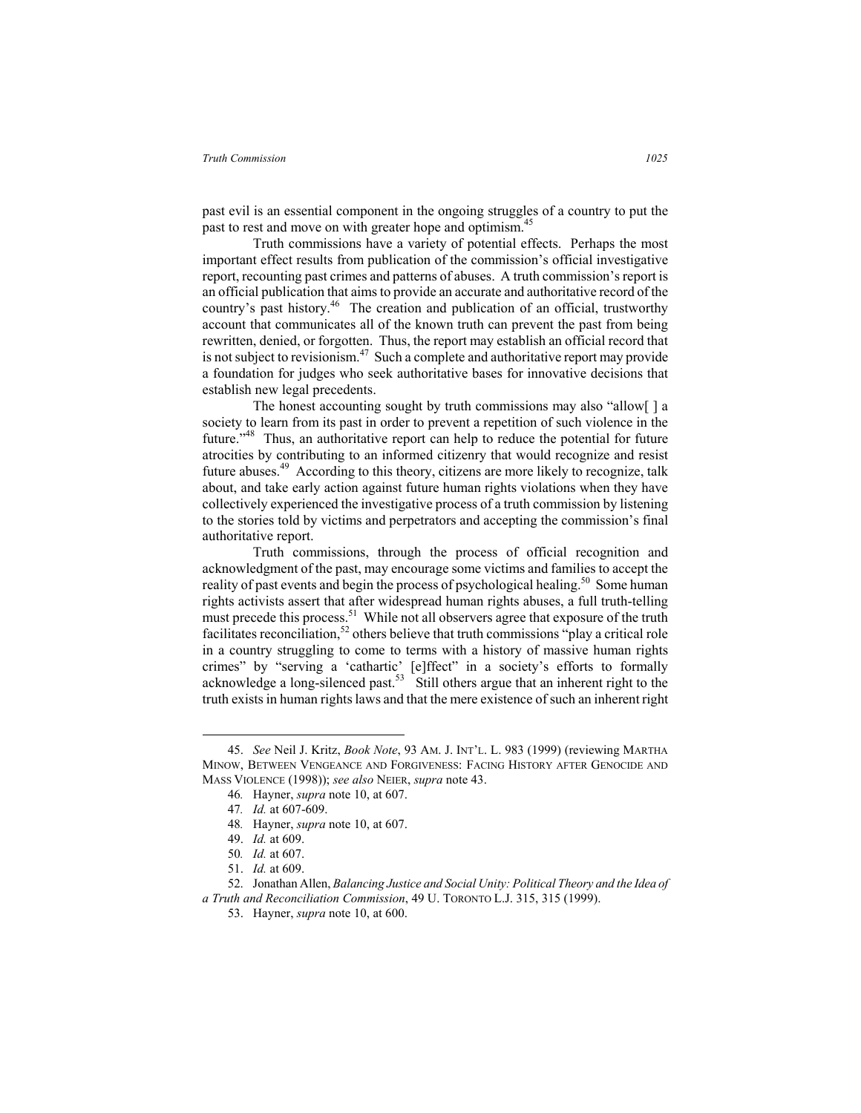past evil is an essential component in the ongoing struggles of a country to put the past to rest and move on with greater hope and optimism.45

Truth commissions have a variety of potential effects. Perhaps the most important effect results from publication of the commission's official investigative report, recounting past crimes and patterns of abuses. A truth commission's report is an official publication that aims to provide an accurate and authoritative record of the country's past history.<sup>46</sup> The creation and publication of an official, trustworthy account that communicates all of the known truth can prevent the past from being rewritten, denied, or forgotten. Thus, the report may establish an official record that is not subject to revisionism.<sup>47</sup> Such a complete and authoritative report may provide a foundation for judges who seek authoritative bases for innovative decisions that establish new legal precedents.

The honest accounting sought by truth commissions may also "allow[ ] a society to learn from its past in order to prevent a repetition of such violence in the future."48 Thus, an authoritative report can help to reduce the potential for future atrocities by contributing to an informed citizenry that would recognize and resist future abuses.<sup>49</sup> According to this theory, citizens are more likely to recognize, talk about, and take early action against future human rights violations when they have collectively experienced the investigative process of a truth commission by listening to the stories told by victims and perpetrators and accepting the commission's final authoritative report.

Truth commissions, through the process of official recognition and acknowledgment of the past, may encourage some victims and families to accept the reality of past events and begin the process of psychological healing.<sup>50</sup> Some human rights activists assert that after widespread human rights abuses, a full truth-telling must precede this process.<sup>51</sup> While not all observers agree that exposure of the truth facilitates reconciliation,<sup>52</sup> others believe that truth commissions "play a critical role in a country struggling to come to terms with a history of massive human rights crimes" by "serving a 'cathartic' [e]ffect" in a society's efforts to formally acknowledge a long-silenced past.<sup>53</sup> Still others argue that an inherent right to the truth exists in human rights laws and that the mere existence of such an inherent right

 <sup>45.</sup> *See* Neil J. Kritz, *Book Note*, 93 AM. J. INT'L. L. 983 (1999) (reviewing MARTHA MINOW, BETWEEN VENGEANCE AND FORGIVENESS: FACING HISTORY AFTER GENOCIDE AND MASS VIOLENCE (1998)); *see also* NEIER, *supra* note 43.

<sup>46</sup>*.* Hayner, *supra* note 10, at 607.

<sup>47</sup>*. Id.* at 607-609.

<sup>48</sup>*.* Hayner, *supra* note 10, at 607.

<sup>49.</sup> *Id.* at 609.

<sup>50</sup>*. Id.* at 607.

<sup>51.</sup> *Id.* at 609.

<sup>52.</sup> Jonathan Allen, *Balancing Justice and Social Unity: Political Theory and the Idea of a Truth and Reconciliation Commission*, 49 U. TORONTO L.J. 315, 315 (1999).

<sup>53.</sup> Hayner, *supra* note 10, at 600.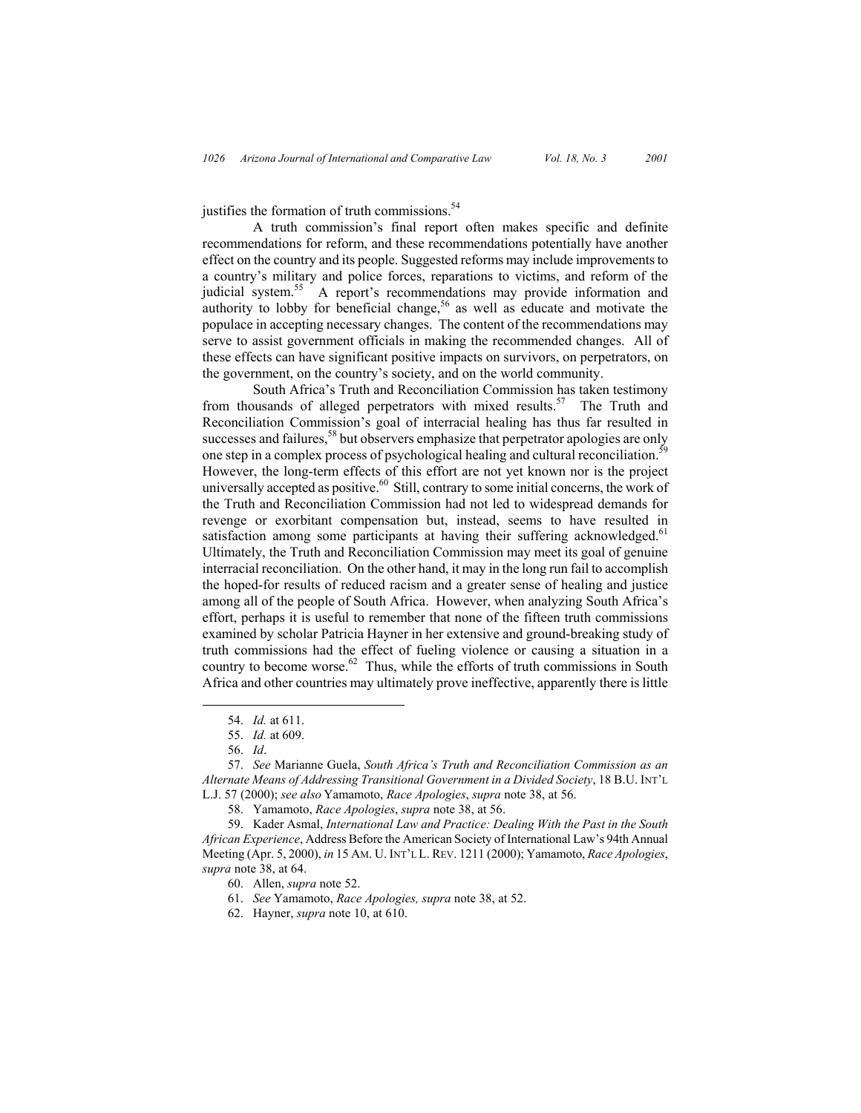justifies the formation of truth commissions.<sup>54</sup>

A truth commission's final report often makes specific and definite recommendations for reform, and these recommendations potentially have another effect on the country and its people. Suggested reforms may include improvements to a country's military and police forces, reparations to victims, and reform of the judicial system.<sup>55</sup> A report's recommendations may provide information and authority to lobby for beneficial change,<sup>56</sup> as well as educate and motivate the populace in accepting necessary changes. The content of the recommendations may serve to assist government officials in making the recommended changes. All of these effects can have significant positive impacts on survivors, on perpetrators, on the government, on the country's society, and on the world community.

South Africa's Truth and Reconciliation Commission has taken testimony from thousands of alleged perpetrators with mixed results.<sup>57</sup> The Truth and Reconciliation Commission's goal of interracial healing has thus far resulted in successes and failures,<sup>58</sup> but observers emphasize that perpetrator apologies are only one step in a complex process of psychological healing and cultural reconciliation.<sup>5</sup> However, the long-term effects of this effort are not yet known nor is the project universally accepted as positive.<sup>60</sup> Still, contrary to some initial concerns, the work of the Truth and Reconciliation Commission had not led to widespread demands for revenge or exorbitant compensation but, instead, seems to have resulted in satisfaction among some participants at having their suffering acknowledged.<sup>61</sup> Ultimately, the Truth and Reconciliation Commission may meet its goal of genuine interracial reconciliation. On the other hand, it may in the long run fail to accomplish the hoped-for results of reduced racism and a greater sense of healing and justice among all of the people of South Africa. However, when analyzing South Africa's effort, perhaps it is useful to remember that none of the fifteen truth commissions examined by scholar Patricia Hayner in her extensive and ground-breaking study of truth commissions had the effect of fueling violence or causing a situation in a country to become worse.62 Thus, while the efforts of truth commissions in South Africa and other countries may ultimately prove ineffective, apparently there is little

58. Yamamoto, *Race Apologies*, *supra* note 38, at 56.

59. Kader Asmal, *International Law and Practice: Dealing With the Past in the South African Experience*, Address Before the American Society of International Law's 94th Annual Meeting (Apr. 5, 2000), *in* 15 AM. U. INT'L L. REV. 1211 (2000); Yamamoto, *Race Apologies*, *supra* note 38, at 64.

- 61. *See* Yamamoto, *Race Apologies, supra* note 38, at 52.
- 62. Hayner, *supra* note 10, at 610.

 <sup>54.</sup> *Id.* at 611.

<sup>55.</sup> *Id.* at 609.

<sup>56.</sup> *Id*.

<sup>57.</sup> *See* Marianne Guela, *South Africa's Truth and Reconciliation Commission as an Alternate Means of Addressing Transitional Government in a Divided Society*, 18 B.U. INT'L L.J. 57 (2000); *see also* Yamamoto, *Race Apologies*, *supra* note 38, at 56.

<sup>60.</sup> Allen, *supra* note 52.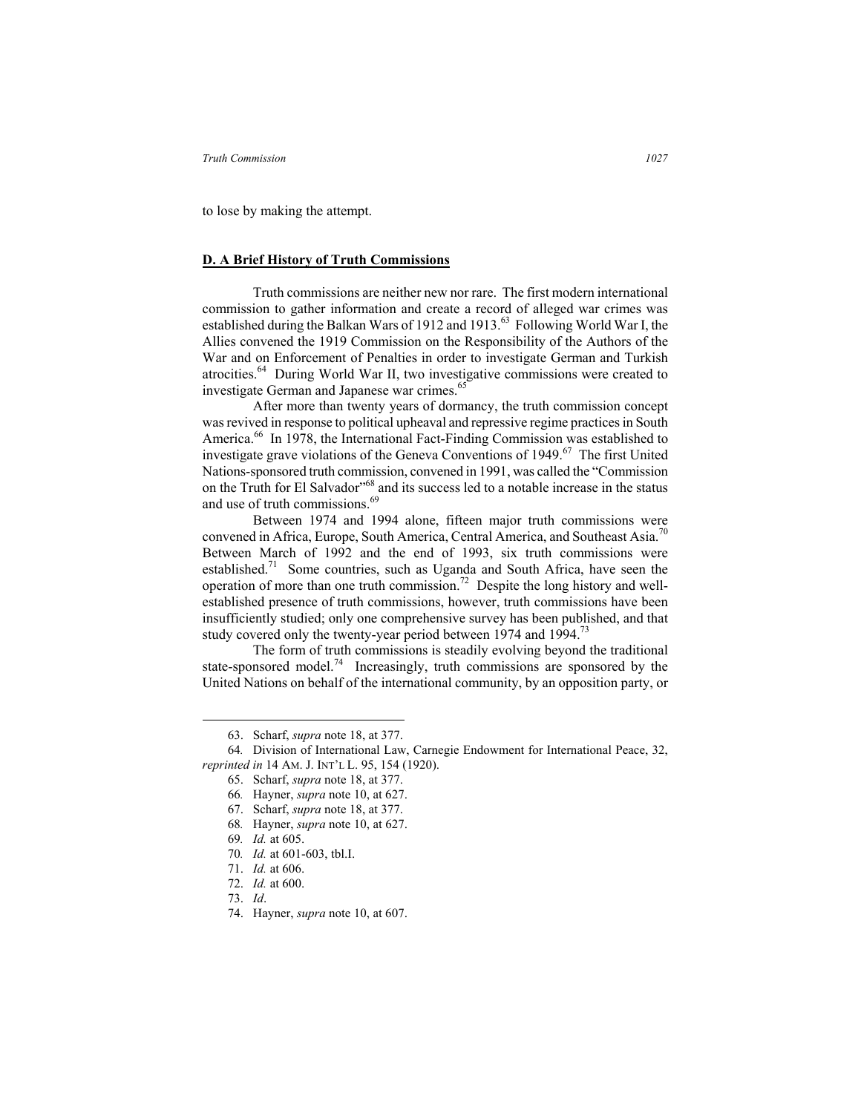to lose by making the attempt.

## **D. A Brief History of Truth Commissions**

Truth commissions are neither new nor rare. The first modern international commission to gather information and create a record of alleged war crimes was established during the Balkan Wars of 1912 and 1913.<sup>63</sup> Following World War I, the Allies convened the 1919 Commission on the Responsibility of the Authors of the War and on Enforcement of Penalties in order to investigate German and Turkish atrocities.64 During World War II, two investigative commissions were created to investigate German and Japanese war crimes.<sup>65</sup>

After more than twenty years of dormancy, the truth commission concept was revived in response to political upheaval and repressive regime practices in South America.<sup>66</sup> In 1978, the International Fact-Finding Commission was established to investigate grave violations of the Geneva Conventions of 1949.<sup>67</sup> The first United Nations-sponsored truth commission, convened in 1991, was called the "Commission on the Truth for El Salvador<sup>568</sup> and its success led to a notable increase in the status and use of truth commissions.<sup>69</sup>

Between 1974 and 1994 alone, fifteen major truth commissions were convened in Africa, Europe, South America, Central America, and Southeast Asia.<sup>70</sup> Between March of 1992 and the end of 1993, six truth commissions were established.<sup>71</sup> Some countries, such as Uganda and South Africa, have seen the operation of more than one truth commission.<sup>72</sup> Despite the long history and wellestablished presence of truth commissions, however, truth commissions have been insufficiently studied; only one comprehensive survey has been published, and that study covered only the twenty-year period between 1974 and 1994.<sup>73</sup>

The form of truth commissions is steadily evolving beyond the traditional state-sponsored model.<sup>74</sup> Increasingly, truth commissions are sponsored by the United Nations on behalf of the international community, by an opposition party, or

69*. Id.* at 605.

- 72. *Id.* at 600.
- 73. *Id*.
- 74. Hayner, *supra* note 10, at 607.

 <sup>63.</sup> Scharf, *supra* note 18, at 377.

<sup>64</sup>*.* Division of International Law, Carnegie Endowment for International Peace, 32, *reprinted in* 14 AM. J. INT'L L. 95, 154 (1920).

<sup>65.</sup> Scharf, *supra* note 18, at 377.

<sup>66</sup>*.* Hayner, *supra* note 10, at 627.

<sup>67.</sup> Scharf, *supra* note 18, at 377.

<sup>68</sup>*.* Hayner, *supra* note 10, at 627.

<sup>70</sup>*. Id.* at 601-603, tbl.I.

<sup>71.</sup> *Id.* at 606.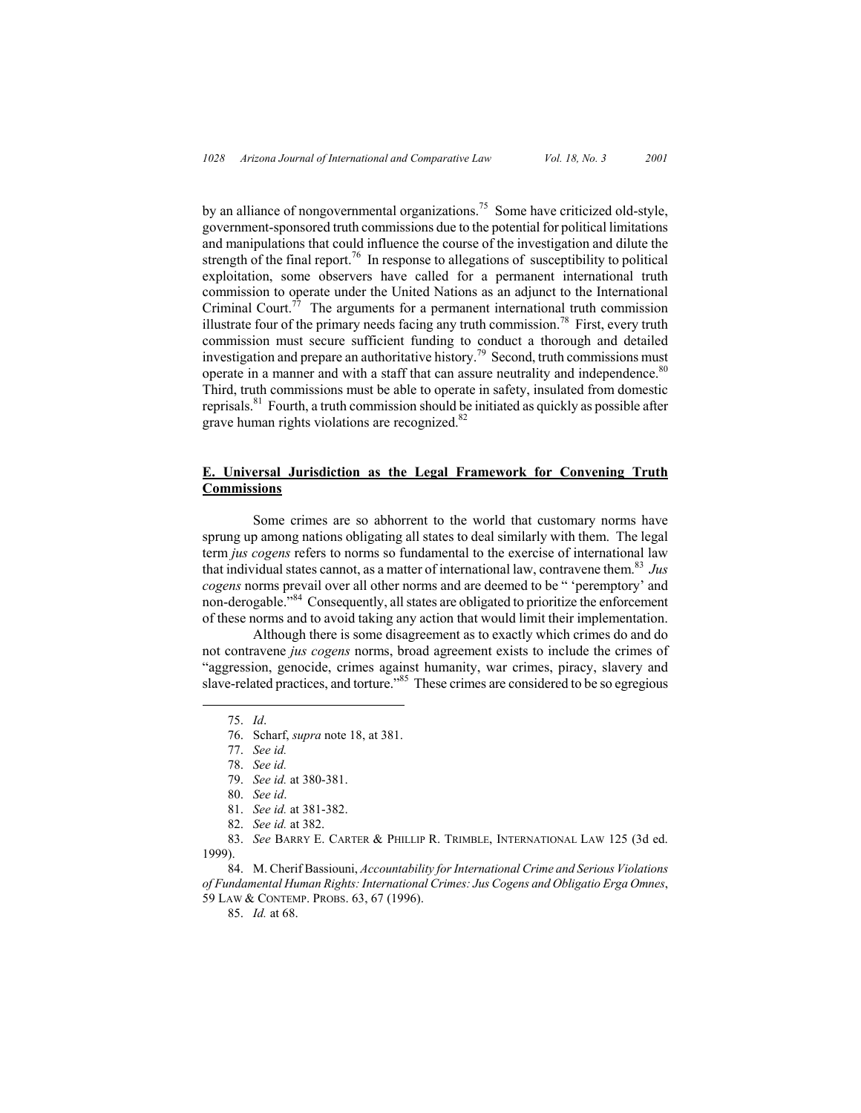by an alliance of nongovernmental organizations.<sup>75</sup> Some have criticized old-style, government-sponsored truth commissions due to the potential for political limitations and manipulations that could influence the course of the investigation and dilute the strength of the final report.<sup>76</sup> In response to allegations of susceptibility to political exploitation, some observers have called for a permanent international truth commission to operate under the United Nations as an adjunct to the International Criminal Court.<sup>77</sup> The arguments for a permanent international truth commission illustrate four of the primary needs facing any truth commission.<sup>78</sup> First, every truth commission must secure sufficient funding to conduct a thorough and detailed investigation and prepare an authoritative history.79 Second, truth commissions must operate in a manner and with a staff that can assure neutrality and independence.<sup>80</sup> Third, truth commissions must be able to operate in safety, insulated from domestic reprisals. $81$  Fourth, a truth commission should be initiated as quickly as possible after grave human rights violations are recognized.<sup>82</sup>

# **E. Universal Jurisdiction as the Legal Framework for Convening Truth Commissions**

Some crimes are so abhorrent to the world that customary norms have sprung up among nations obligating all states to deal similarly with them. The legal term *jus cogens* refers to norms so fundamental to the exercise of international law that individual states cannot, as a matter of international law, contravene them.<sup>83</sup> *Jus cogens* norms prevail over all other norms and are deemed to be " 'peremptory' and non-derogable."84 Consequently, all states are obligated to prioritize the enforcement of these norms and to avoid taking any action that would limit their implementation.

Although there is some disagreement as to exactly which crimes do and do not contravene *jus cogens* norms, broad agreement exists to include the crimes of "aggression, genocide, crimes against humanity, war crimes, piracy, slavery and slave-related practices, and torture."<sup>85</sup> These crimes are considered to be so egregious

84. M. Cherif Bassiouni, *Accountability for International Crime and Serious Violations of Fundamental Human Rights: International Crimes: Jus Cogens and Obligatio Erga Omnes*, 59 LAW & CONTEMP. PROBS. 63, 67 (1996).

85. *Id.* at 68.

 <sup>75.</sup> *Id*.

<sup>76.</sup> Scharf, *supra* note 18, at 381.

<sup>77.</sup> *See id.* 

<sup>78.</sup> *See id.*

<sup>79.</sup> *See id.* at 380-381.

<sup>80.</sup> *See id*.

<sup>81.</sup> *See id.* at 381-382.

<sup>82.</sup> *See id.* at 382.

<sup>83.</sup> *See* BARRY E. CARTER & PHILLIP R. TRIMBLE, INTERNATIONAL LAW 125 (3d ed. 1999).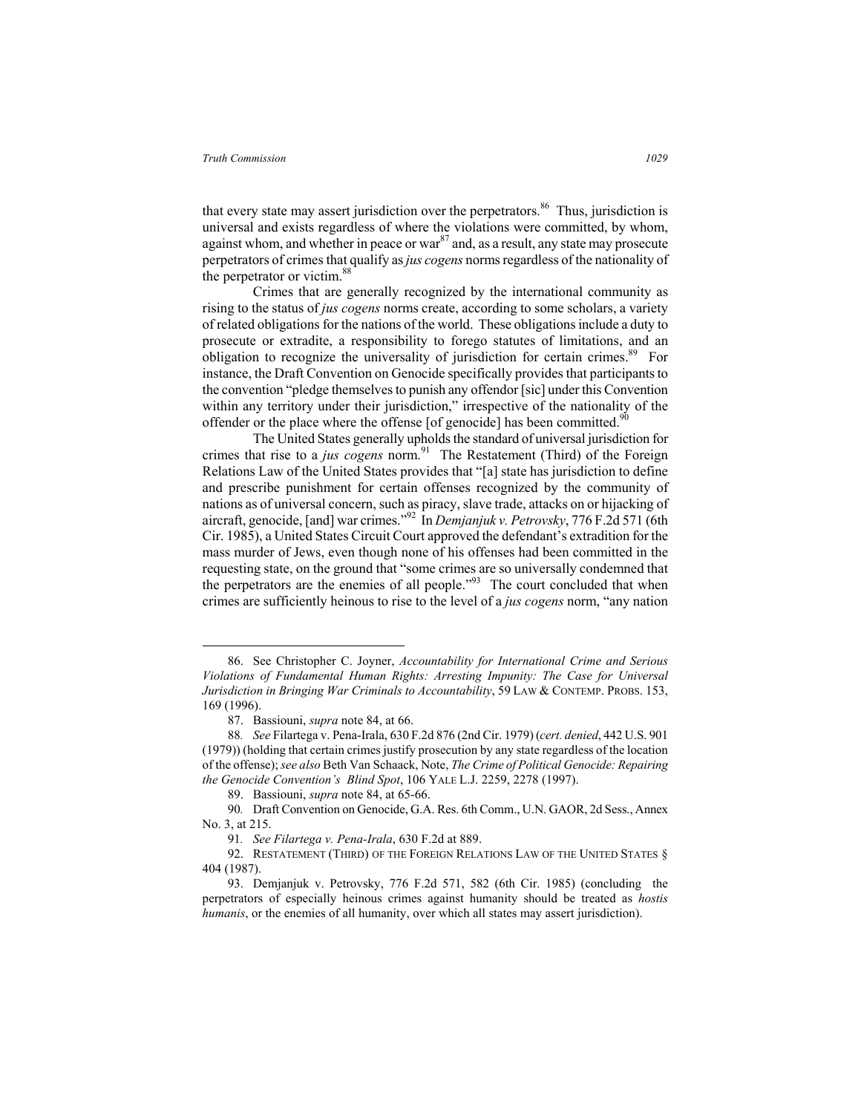that every state may assert jurisdiction over the perpetrators.<sup>86</sup> Thus, jurisdiction is universal and exists regardless of where the violations were committed, by whom, against whom, and whether in peace or war $^{87}$  and, as a result, any state may prosecute perpetrators of crimes that qualify as *jus cogens* norms regardless of the nationality of the perpetrator or victim.<sup>88</sup>

Crimes that are generally recognized by the international community as rising to the status of *jus cogens* norms create, according to some scholars, a variety of related obligations for the nations of the world. These obligations include a duty to prosecute or extradite, a responsibility to forego statutes of limitations, and an obligation to recognize the universality of jurisdiction for certain crimes.<sup>89</sup> For instance, the Draft Convention on Genocide specifically provides that participants to the convention "pledge themselves to punish any offendor [sic] under this Convention within any territory under their jurisdiction," irrespective of the nationality of the offender or the place where the offense [of genocide] has been committed.<sup>90</sup>

The United States generally upholds the standard of universal jurisdiction for crimes that rise to a *jus cogens* norm.<sup>91</sup> The Restatement (Third) of the Foreign Relations Law of the United States provides that "[a] state has jurisdiction to define and prescribe punishment for certain offenses recognized by the community of nations as of universal concern, such as piracy, slave trade, attacks on or hijacking of aircraft, genocide, [and] war crimes."92 In *Demjanjuk v. Petrovsky*, 776 F.2d 571 (6th Cir. 1985), a United States Circuit Court approved the defendant's extradition for the mass murder of Jews, even though none of his offenses had been committed in the requesting state, on the ground that "some crimes are so universally condemned that the perpetrators are the enemies of all people."<sup>93</sup> The court concluded that when crimes are sufficiently heinous to rise to the level of a *jus cogens* norm, "any nation

 <sup>86.</sup> See Christopher C. Joyner, *Accountability for International Crime and Serious Violations of Fundamental Human Rights: Arresting Impunity: The Case for Universal Jurisdiction in Bringing War Criminals to Accountability*, 59 LAW & CONTEMP. PROBS. 153, 169 (1996).

<sup>87.</sup> Bassiouni, *supra* note 84, at 66.

<sup>88</sup>*. See* Filartega v. Pena-Irala, 630 F.2d 876 (2nd Cir. 1979) (*cert. denied*, 442 U.S. 901 (1979)) (holding that certain crimes justify prosecution by any state regardless of the location of the offense); *see also* Beth Van Schaack, Note, *The Crime of Political Genocide: Repairing the Genocide Convention's Blind Spot*, 106 YALE L.J. 2259, 2278 (1997).

<sup>89.</sup> Bassiouni, *supra* note 84, at 65-66.

<sup>90</sup>*.* Draft Convention on Genocide, G.A. Res. 6th Comm., U.N. GAOR, 2d Sess., Annex No. 3, at 215.

<sup>91</sup>*. See Filartega v. Pena-Irala*, 630 F.2d at 889.

<sup>92.</sup> RESTATEMENT (THIRD) OF THE FOREIGN RELATIONS LAW OF THE UNITED STATES § 404 (1987).

<sup>93.</sup> Demjanjuk v. Petrovsky, 776 F.2d 571, 582 (6th Cir. 1985) (concluding the perpetrators of especially heinous crimes against humanity should be treated as *hostis humanis*, or the enemies of all humanity, over which all states may assert jurisdiction).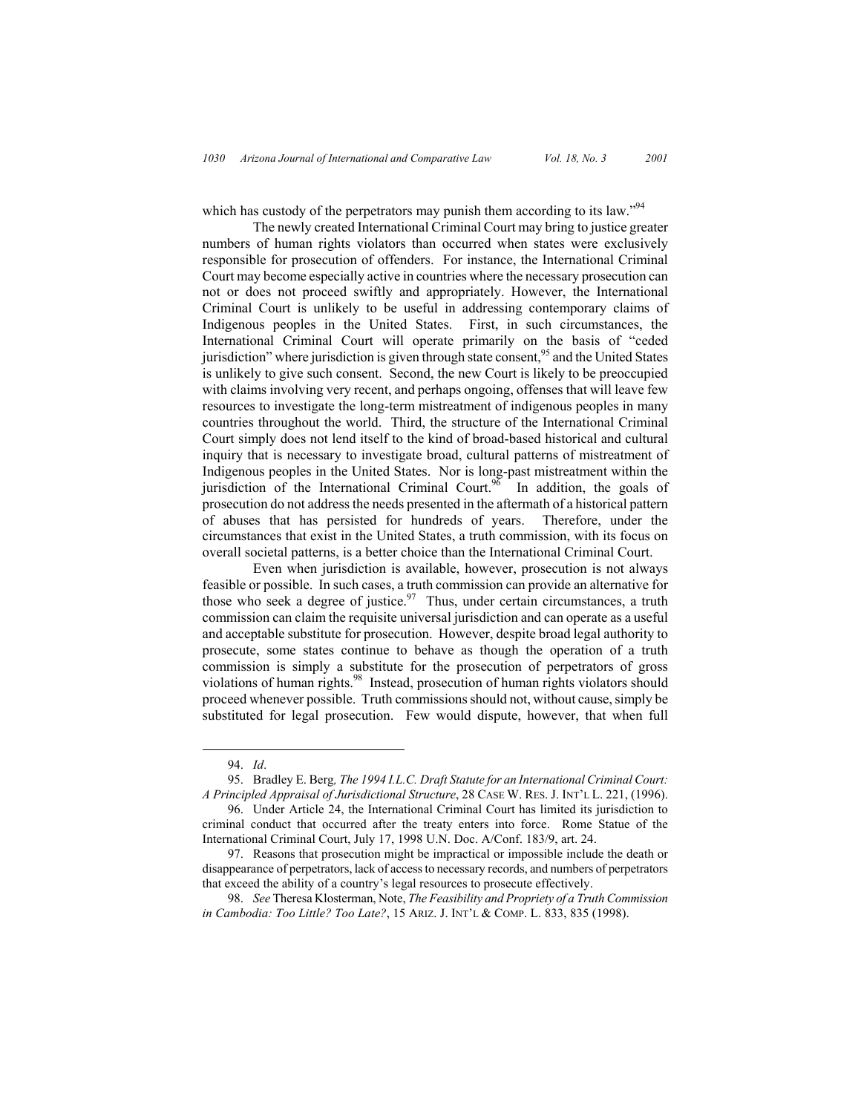which has custody of the perpetrators may punish them according to its law."<sup>94</sup>

The newly created International Criminal Court may bring to justice greater numbers of human rights violators than occurred when states were exclusively responsible for prosecution of offenders. For instance, the International Criminal Court may become especially active in countries where the necessary prosecution can not or does not proceed swiftly and appropriately. However, the International Criminal Court is unlikely to be useful in addressing contemporary claims of Indigenous peoples in the United States. First, in such circumstances, the International Criminal Court will operate primarily on the basis of "ceded jurisdiction" where jurisdiction is given through state consent,  $95$  and the United States is unlikely to give such consent. Second, the new Court is likely to be preoccupied with claims involving very recent, and perhaps ongoing, offenses that will leave few resources to investigate the long-term mistreatment of indigenous peoples in many countries throughout the world. Third, the structure of the International Criminal Court simply does not lend itself to the kind of broad-based historical and cultural inquiry that is necessary to investigate broad, cultural patterns of mistreatment of Indigenous peoples in the United States. Nor is long-past mistreatment within the jurisdiction of the International Criminal Court.<sup>96</sup> In addition, the goals of prosecution do not address the needs presented in the aftermath of a historical pattern of abuses that has persisted for hundreds of years. Therefore, under the circumstances that exist in the United States, a truth commission, with its focus on overall societal patterns, is a better choice than the International Criminal Court.

Even when jurisdiction is available, however, prosecution is not always feasible or possible. In such cases, a truth commission can provide an alternative for those who seek a degree of justice.<sup>97</sup> Thus, under certain circumstances, a truth commission can claim the requisite universal jurisdiction and can operate as a useful and acceptable substitute for prosecution. However, despite broad legal authority to prosecute, some states continue to behave as though the operation of a truth commission is simply a substitute for the prosecution of perpetrators of gross violations of human rights.<sup>98</sup> Instead, prosecution of human rights violators should proceed whenever possible. Truth commissions should not, without cause, simply be substituted for legal prosecution. Few would dispute, however, that when full

 <sup>94.</sup> *Id*.

<sup>95.</sup> Bradley E. Berg*, The 1994 I.L.C. Draft Statute for an International Criminal Court: A Principled Appraisal of Jurisdictional Structure*, 28 CASE W. RES. J. INT'L L. 221, (1996).

<sup>96.</sup> Under Article 24, the International Criminal Court has limited its jurisdiction to criminal conduct that occurred after the treaty enters into force. Rome Statue of the International Criminal Court, July 17, 1998 U.N. Doc. A/Conf. 183/9, art. 24.

<sup>97.</sup> Reasons that prosecution might be impractical or impossible include the death or disappearance of perpetrators, lack of access to necessary records, and numbers of perpetrators that exceed the ability of a country's legal resources to prosecute effectively.

<sup>98.</sup> *See* Theresa Klosterman, Note, *The Feasibility and Propriety of a Truth Commission in Cambodia: Too Little? Too Late?*, 15 ARIZ. J. INT'L & COMP. L. 833, 835 (1998).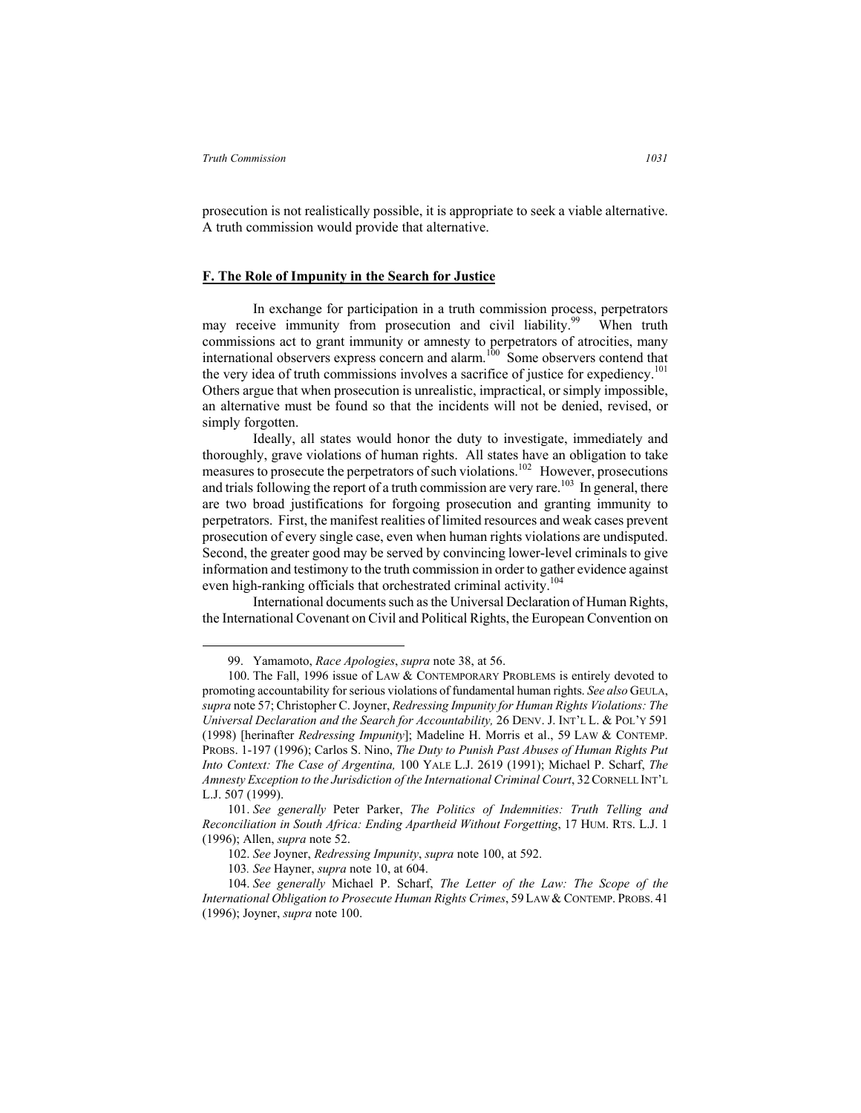prosecution is not realistically possible, it is appropriate to seek a viable alternative. A truth commission would provide that alternative.

## **F. The Role of Impunity in the Search for Justice**

 In exchange for participation in a truth commission process, perpetrators may receive immunity from prosecution and civil liability.<sup>99</sup> When truth commissions act to grant immunity or amnesty to perpetrators of atrocities, many international observers express concern and alarm.<sup>100</sup> Some observers contend that the very idea of truth commissions involves a sacrifice of justice for expediency.<sup>101</sup> Others argue that when prosecution is unrealistic, impractical, or simply impossible, an alternative must be found so that the incidents will not be denied, revised, or simply forgotten.

Ideally, all states would honor the duty to investigate, immediately and thoroughly, grave violations of human rights. All states have an obligation to take measures to prosecute the perpetrators of such violations.<sup>102</sup> However, prosecutions and trials following the report of a truth commission are very rare.<sup>103</sup> In general, there are two broad justifications for forgoing prosecution and granting immunity to perpetrators. First, the manifest realities of limited resources and weak cases prevent prosecution of every single case, even when human rights violations are undisputed. Second, the greater good may be served by convincing lower-level criminals to give information and testimony to the truth commission in order to gather evidence against even high-ranking officials that orchestrated criminal activity.<sup>104</sup>

International documents such as the Universal Declaration of Human Rights, the International Covenant on Civil and Political Rights, the European Convention on

 <sup>99.</sup> Yamamoto, *Race Apologies*, *supra* note 38, at 56.

<sup>100.</sup> The Fall, 1996 issue of LAW & CONTEMPORARY PROBLEMS is entirely devoted to promoting accountability for serious violations of fundamental human rights. *See also* GEULA, *supra* note 57; Christopher C. Joyner, *Redressing Impunity for Human Rights Violations: The Universal Declaration and the Search for Accountability,* 26 DENV. J. INT'L L. & POL'Y 591 (1998) [herinafter *Redressing Impunity*]; Madeline H. Morris et al., 59 LAW & CONTEMP. PROBS. 1-197 (1996); Carlos S. Nino, *The Duty to Punish Past Abuses of Human Rights Put Into Context: The Case of Argentina,* 100 YALE L.J. 2619 (1991); Michael P. Scharf, *The Amnesty Exception to the Jurisdiction of the International Criminal Court*, 32 CORNELL INT'L L.J. 507 (1999).

<sup>101.</sup> *See generally* Peter Parker, *The Politics of Indemnities: Truth Telling and Reconciliation in South Africa: Ending Apartheid Without Forgetting*, 17 HUM. RTS. L.J. 1 (1996); Allen, *supra* note 52.

<sup>102.</sup> *See* Joyner, *Redressing Impunity*, *supra* note 100, at 592.

<sup>103</sup>*. See* Hayner, *supra* note 10, at 604.

<sup>104.</sup> *See generally* Michael P. Scharf, *The Letter of the Law: The Scope of the International Obligation to Prosecute Human Rights Crimes*, 59LAW & CONTEMP. PROBS. 41 (1996); Joyner, *supra* note 100.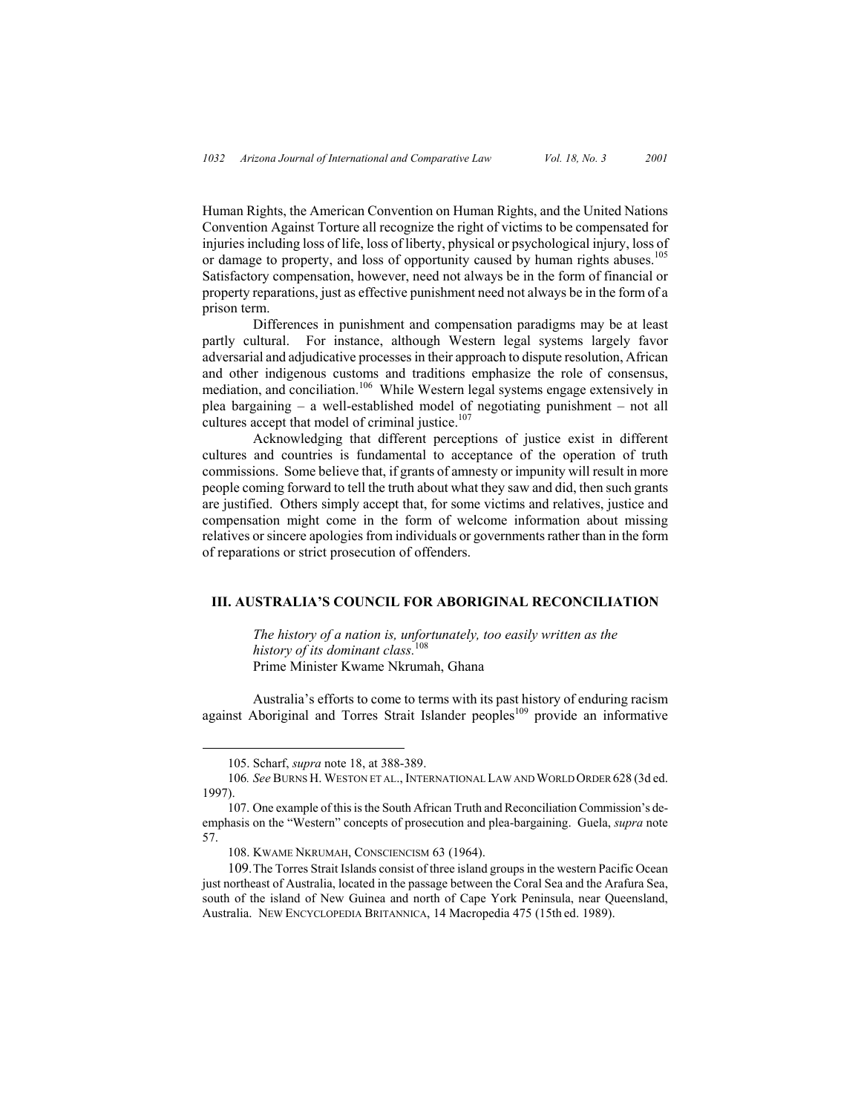Human Rights, the American Convention on Human Rights, and the United Nations Convention Against Torture all recognize the right of victims to be compensated for injuries including loss of life, loss of liberty, physical or psychological injury, loss of or damage to property, and loss of opportunity caused by human rights abuses.<sup>105</sup> Satisfactory compensation, however, need not always be in the form of financial or property reparations, just as effective punishment need not always be in the form of a prison term.

Differences in punishment and compensation paradigms may be at least partly cultural. For instance, although Western legal systems largely favor adversarial and adjudicative processes in their approach to dispute resolution, African and other indigenous customs and traditions emphasize the role of consensus, mediation, and conciliation.<sup>106</sup> While Western legal systems engage extensively in plea bargaining – a well-established model of negotiating punishment – not all cultures accept that model of criminal justice.<sup>107</sup>

Acknowledging that different perceptions of justice exist in different cultures and countries is fundamental to acceptance of the operation of truth commissions. Some believe that, if grants of amnesty or impunity will result in more people coming forward to tell the truth about what they saw and did, then such grants are justified. Others simply accept that, for some victims and relatives, justice and compensation might come in the form of welcome information about missing relatives or sincere apologies from individuals or governments rather than in the form of reparations or strict prosecution of offenders.

# **III. AUSTRALIA'S COUNCIL FOR ABORIGINAL RECONCILIATION**

*The history of a nation is, unfortunately, too easily written as the history of its dominant class.*<sup>108</sup> Prime Minister Kwame Nkrumah, Ghana

 Australia's efforts to come to terms with its past history of enduring racism against Aboriginal and Torres Strait Islander peoples<sup>109</sup> provide an informative

 <sup>105.</sup> Scharf, *supra* note 18, at 388-389.

<sup>106</sup>*. See* BURNS H. WESTON ET AL., INTERNATIONAL LAW AND WORLD ORDER 628 (3d ed. 1997).

<sup>107.</sup> One example of this is the South African Truth and Reconciliation Commission's deemphasis on the "Western" concepts of prosecution and plea-bargaining. Guela, *supra* note 57.

<sup>108.</sup> KWAME NKRUMAH, CONSCIENCISM 63 (1964).

<sup>109.</sup> The Torres Strait Islands consist of three island groups in the western Pacific Ocean just northeast of Australia, located in the passage between the Coral Sea and the Arafura Sea, south of the island of New Guinea and north of Cape York Peninsula, near Queensland, Australia. NEW ENCYCLOPEDIA BRITANNICA, 14 Macropedia 475 (15th ed. 1989).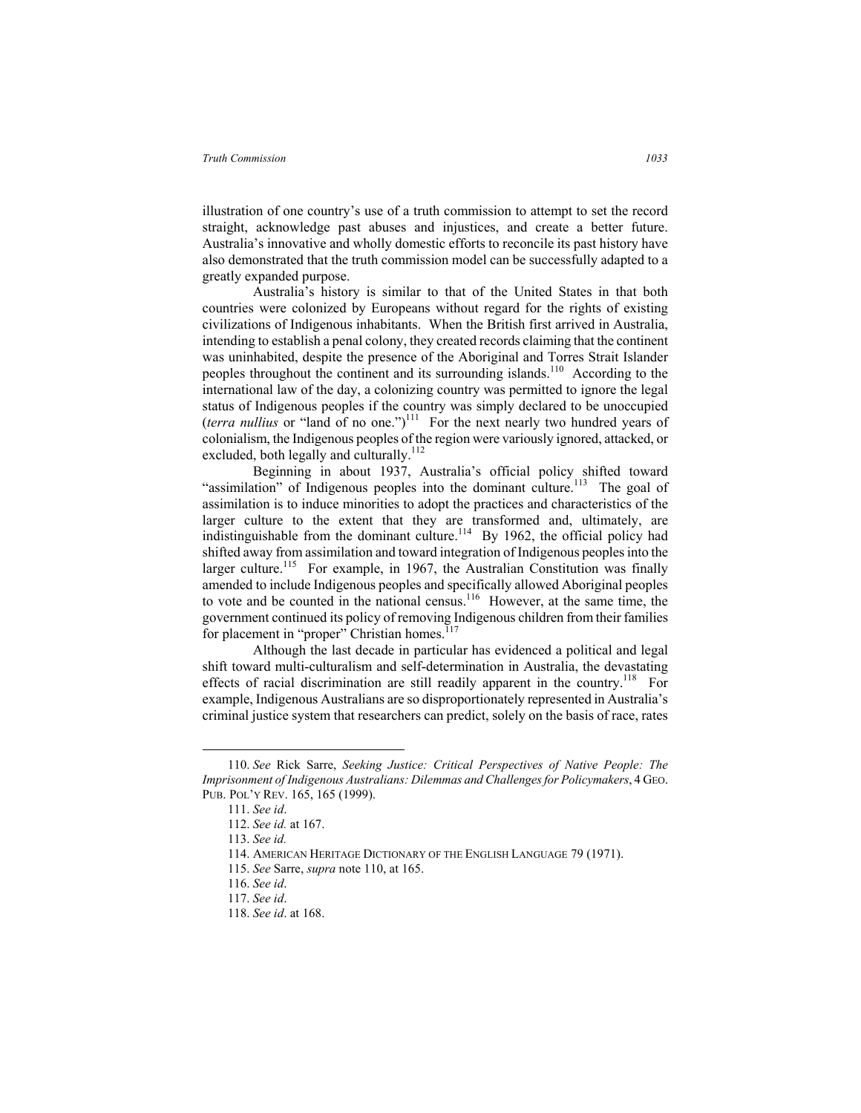illustration of one country's use of a truth commission to attempt to set the record straight, acknowledge past abuses and injustices, and create a better future. Australia's innovative and wholly domestic efforts to reconcile its past history have also demonstrated that the truth commission model can be successfully adapted to a greatly expanded purpose.

Australia's history is similar to that of the United States in that both countries were colonized by Europeans without regard for the rights of existing civilizations of Indigenous inhabitants. When the British first arrived in Australia, intending to establish a penal colony, they created records claiming that the continent was uninhabited, despite the presence of the Aboriginal and Torres Strait Islander peoples throughout the continent and its surrounding islands.<sup>110</sup> According to the international law of the day, a colonizing country was permitted to ignore the legal status of Indigenous peoples if the country was simply declared to be unoccupied  $(terra$  *nullius* or "land of no one.")<sup>111</sup> For the next nearly two hundred years of colonialism, the Indigenous peoples of the region were variously ignored, attacked, or excluded, both legally and culturally.<sup>112</sup>

Beginning in about 1937, Australia's official policy shifted toward "assimilation" of Indigenous peoples into the dominant culture.<sup>113</sup> The goal of assimilation is to induce minorities to adopt the practices and characteristics of the larger culture to the extent that they are transformed and, ultimately, are indistinguishable from the dominant culture.<sup>114</sup> By 1962, the official policy had shifted away from assimilation and toward integration of Indigenous peoples into the larger culture.<sup>115</sup> For example, in 1967, the Australian Constitution was finally amended to include Indigenous peoples and specifically allowed Aboriginal peoples to vote and be counted in the national census.<sup>116</sup> However, at the same time, the government continued its policy of removing Indigenous children from their families for placement in "proper" Christian homes.<sup>117</sup>

Although the last decade in particular has evidenced a political and legal shift toward multi-culturalism and self-determination in Australia, the devastating effects of racial discrimination are still readily apparent in the country.<sup>118</sup> For example, Indigenous Australians are so disproportionately represented in Australia's criminal justice system that researchers can predict, solely on the basis of race, rates

 <sup>110.</sup> *See* Rick Sarre, *Seeking Justice: Critical Perspectives of Native People: The Imprisonment of Indigenous Australians: Dilemmas and Challenges for Policymakers*, 4 GEO. PUB. POL'Y REV. 165, 165 (1999).

<sup>111.</sup> *See id*.

<sup>112.</sup> *See id.* at 167.

<sup>113.</sup> *See id.*

<sup>114.</sup> AMERICAN HERITAGE DICTIONARY OF THE ENGLISH LANGUAGE 79 (1971).

<sup>115.</sup> *See* Sarre, *supra* note 110, at 165.

<sup>116.</sup> *See id*.

<sup>117.</sup> *See id*.

<sup>118.</sup> *See id*. at 168.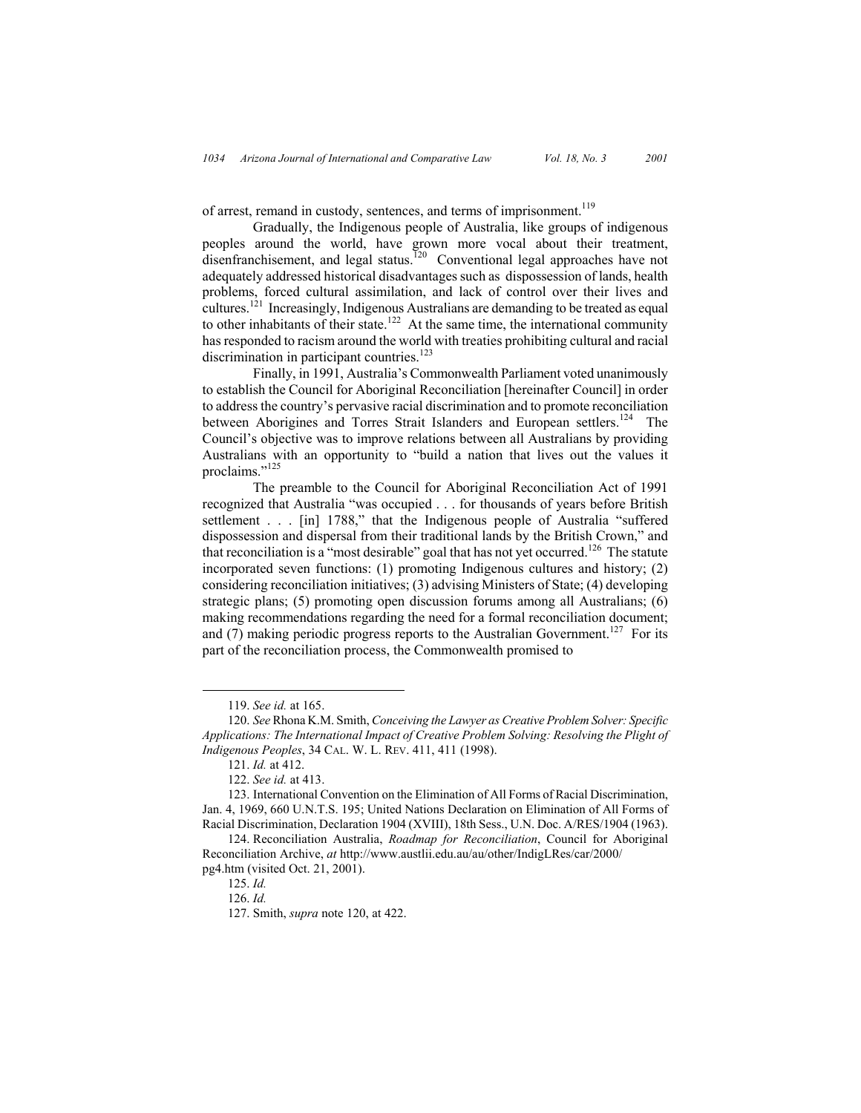of arrest, remand in custody, sentences, and terms of imprisonment.<sup>119</sup>

Gradually, the Indigenous people of Australia, like groups of indigenous peoples around the world, have grown more vocal about their treatment, disenfranchisement, and legal status.<sup>120</sup> Conventional legal approaches have not adequately addressed historical disadvantages such as dispossession of lands, health problems, forced cultural assimilation, and lack of control over their lives and cultures.<sup>121</sup> Increasingly, Indigenous Australians are demanding to be treated as equal to other inhabitants of their state.<sup>122</sup> At the same time, the international community has responded to racism around the world with treaties prohibiting cultural and racial discrimination in participant countries.<sup>123</sup>

Finally, in 1991, Australia's Commonwealth Parliament voted unanimously to establish the Council for Aboriginal Reconciliation [hereinafter Council] in order to address the country's pervasive racial discrimination and to promote reconciliation between Aborigines and Torres Strait Islanders and European settlers.<sup>124</sup> The Council's objective was to improve relations between all Australians by providing Australians with an opportunity to "build a nation that lives out the values it proclaims."<sup>125</sup>

The preamble to the Council for Aboriginal Reconciliation Act of 1991 recognized that Australia "was occupied . . . for thousands of years before British settlement . . . [in] 1788," that the Indigenous people of Australia "suffered dispossession and dispersal from their traditional lands by the British Crown," and that reconciliation is a "most desirable" goal that has not yet occurred.<sup>126</sup> The statute incorporated seven functions: (1) promoting Indigenous cultures and history; (2) considering reconciliation initiatives; (3) advising Ministers of State; (4) developing strategic plans; (5) promoting open discussion forums among all Australians; (6) making recommendations regarding the need for a formal reconciliation document; and (7) making periodic progress reports to the Australian Government.<sup>127</sup> For its part of the reconciliation process, the Commonwealth promised to

 <sup>119.</sup> *See id.* at 165.

<sup>120.</sup> *See* Rhona K.M. Smith, *Conceiving the Lawyer as Creative Problem Solver: Specific Applications: The International Impact of Creative Problem Solving: Resolving the Plight of Indigenous Peoples*, 34 CAL. W. L. REV. 411, 411 (1998).

<sup>121.</sup> *Id.* at 412.

<sup>122.</sup> *See id.* at 413.

<sup>123.</sup> International Convention on the Elimination of All Forms of Racial Discrimination, Jan. 4, 1969, 660 U.N.T.S. 195; United Nations Declaration on Elimination of All Forms of Racial Discrimination, Declaration 1904 (XVIII), 18th Sess., U.N. Doc. A/RES/1904 (1963).

<sup>124.</sup> Reconciliation Australia, *Roadmap for Reconciliation*, Council for Aboriginal Reconciliation Archive, *at* http://www.austlii.edu.au/au/other/IndigLRes/car/2000/ pg4.htm (visited Oct. 21, 2001).

<sup>125.</sup> *Id.*

<sup>126.</sup> *Id.*

<sup>127.</sup> Smith, *supra* note 120, at 422.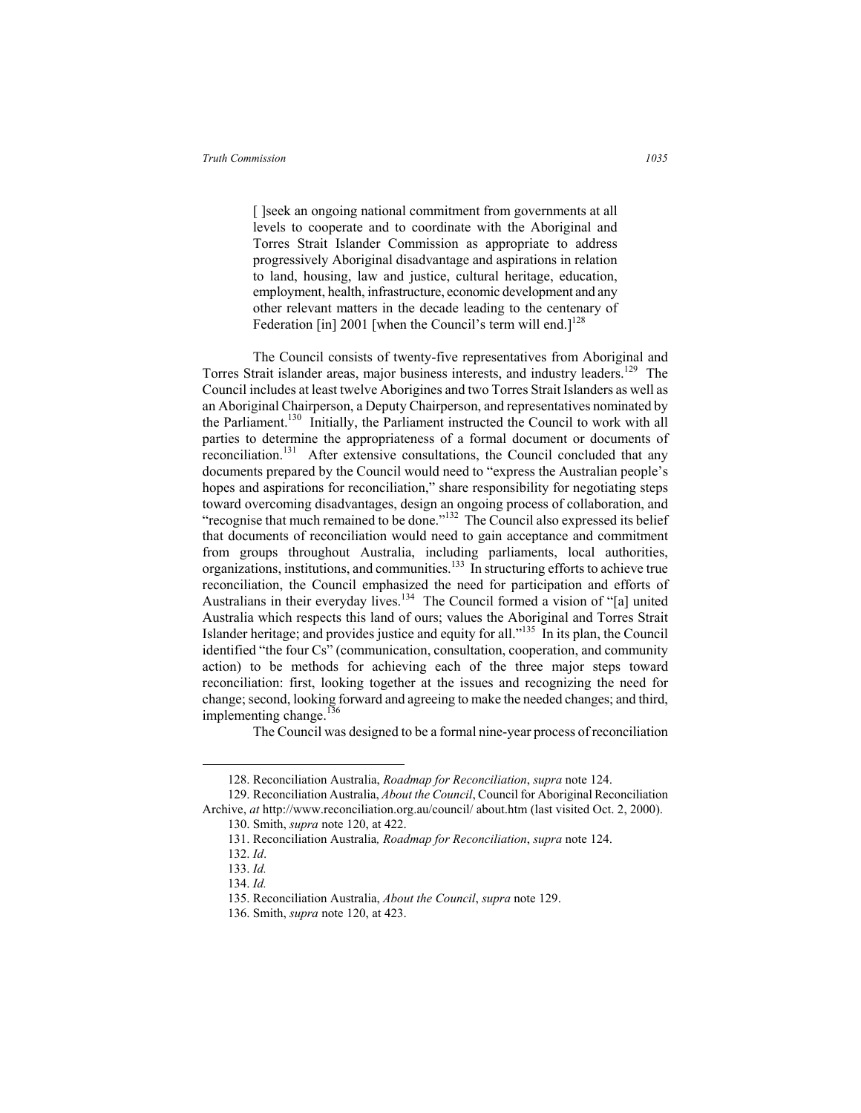[ ]seek an ongoing national commitment from governments at all levels to cooperate and to coordinate with the Aboriginal and Torres Strait Islander Commission as appropriate to address progressively Aboriginal disadvantage and aspirations in relation to land, housing, law and justice, cultural heritage, education, employment, health, infrastructure, economic development and any other relevant matters in the decade leading to the centenary of Federation [in] 2001 [when the Council's term will end.]<sup>128</sup>

The Council consists of twenty-five representatives from Aboriginal and Torres Strait islander areas, major business interests, and industry leaders.<sup>129</sup> The Council includes at least twelve Aborigines and two Torres Strait Islanders as well as an Aboriginal Chairperson, a Deputy Chairperson, and representatives nominated by the Parliament.<sup>130</sup> Initially, the Parliament instructed the Council to work with all parties to determine the appropriateness of a formal document or documents of reconciliation.<sup>131</sup> After extensive consultations, the Council concluded that any documents prepared by the Council would need to "express the Australian people's hopes and aspirations for reconciliation," share responsibility for negotiating steps toward overcoming disadvantages, design an ongoing process of collaboration, and "recognise that much remained to be done."<sup>132</sup> The Council also expressed its belief that documents of reconciliation would need to gain acceptance and commitment from groups throughout Australia, including parliaments, local authorities, organizations, institutions, and communities.<sup>133</sup> In structuring efforts to achieve true reconciliation, the Council emphasized the need for participation and efforts of Australians in their everyday lives.<sup>134</sup> The Council formed a vision of "[a] united Australia which respects this land of ours; values the Aboriginal and Torres Strait Islander heritage; and provides justice and equity for all."<sup>135</sup> In its plan, the Council identified "the four Cs" (communication, consultation, cooperation, and community action) to be methods for achieving each of the three major steps toward reconciliation: first, looking together at the issues and recognizing the need for change; second, looking forward and agreeing to make the needed changes; and third, implementing change.<sup>136</sup>

The Council was designed to be a formal nine-year process of reconciliation

 <sup>128.</sup> Reconciliation Australia, *Roadmap for Reconciliation*, *supra* note 124.

<sup>129.</sup> Reconciliation Australia, *About the Council*, Council for Aboriginal Reconciliation Archive, *at* http://www.reconciliation.org.au/council/ about.htm (last visited Oct. 2, 2000).

<sup>130.</sup> Smith, *supra* note 120, at 422.

<sup>131.</sup> Reconciliation Australia*, Roadmap for Reconciliation*, *supra* note 124.

<sup>132.</sup> *Id*.

<sup>133.</sup> *Id.*

<sup>134.</sup> *Id.*

<sup>135.</sup> Reconciliation Australia, *About the Council*, *supra* note 129.

<sup>136.</sup> Smith, *supra* note 120, at 423.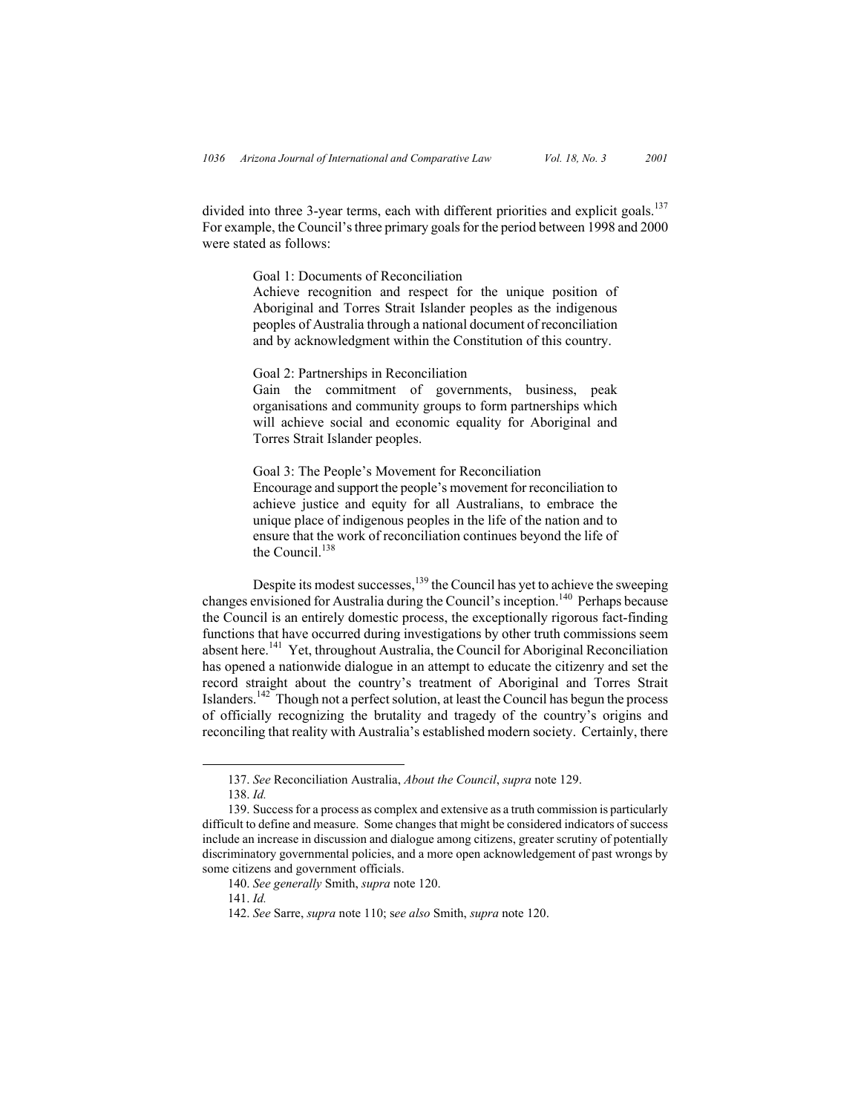divided into three 3-year terms, each with different priorities and explicit goals.<sup>137</sup> For example, the Council's three primary goals for the period between 1998 and 2000 were stated as follows:

Goal 1: Documents of Reconciliation

Achieve recognition and respect for the unique position of Aboriginal and Torres Strait Islander peoples as the indigenous peoples of Australia through a national document of reconciliation and by acknowledgment within the Constitution of this country.

Goal 2: Partnerships in Reconciliation

Gain the commitment of governments, business, peak organisations and community groups to form partnerships which will achieve social and economic equality for Aboriginal and Torres Strait Islander peoples.

Goal 3: The People's Movement for Reconciliation Encourage and support the people's movement for reconciliation to achieve justice and equity for all Australians, to embrace the unique place of indigenous peoples in the life of the nation and to ensure that the work of reconciliation continues beyond the life of the Council.<sup>138</sup>

Despite its modest successes,<sup>139</sup> the Council has yet to achieve the sweeping changes envisioned for Australia during the Council's inception.<sup>140</sup> Perhaps because the Council is an entirely domestic process, the exceptionally rigorous fact-finding functions that have occurred during investigations by other truth commissions seem absent here.<sup>141</sup> Yet, throughout Australia, the Council for Aboriginal Reconciliation has opened a nationwide dialogue in an attempt to educate the citizenry and set the record straight about the country's treatment of Aboriginal and Torres Strait Islanders.<sup>142</sup> Though not a perfect solution, at least the Council has begun the process of officially recognizing the brutality and tragedy of the country's origins and reconciling that reality with Australia's established modern society. Certainly, there

 <sup>137.</sup> *See* Reconciliation Australia, *About the Council*, *supra* note 129.

<sup>138.</sup> *Id.* 

<sup>139.</sup> Success for a process as complex and extensive as a truth commission is particularly difficult to define and measure. Some changes that might be considered indicators of success include an increase in discussion and dialogue among citizens, greater scrutiny of potentially discriminatory governmental policies, and a more open acknowledgement of past wrongs by some citizens and government officials.

<sup>140.</sup> *See generally* Smith, *supra* note 120.

<sup>141.</sup> *Id.*

<sup>142.</sup> *See* Sarre, *supra* note 110; s*ee also* Smith, *supra* note 120.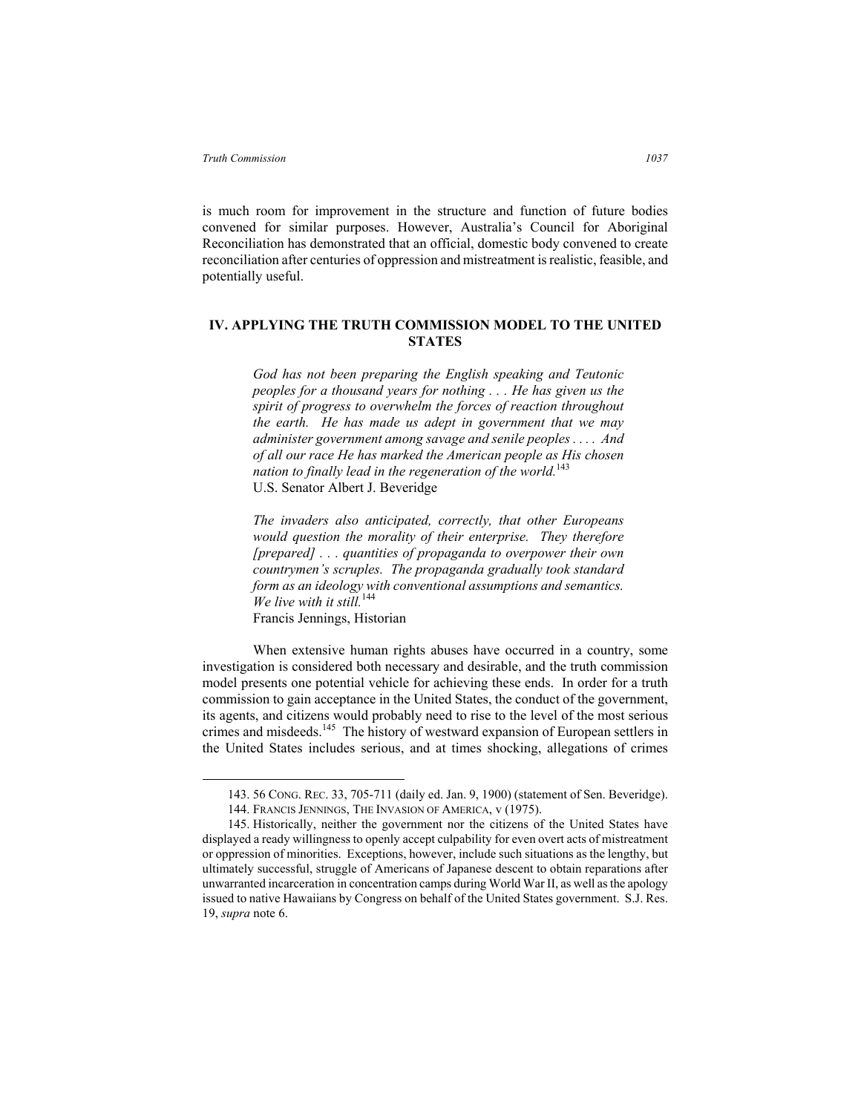is much room for improvement in the structure and function of future bodies convened for similar purposes. However, Australia's Council for Aboriginal Reconciliation has demonstrated that an official, domestic body convened to create reconciliation after centuries of oppression and mistreatment is realistic, feasible, and potentially useful.

# **IV. APPLYING THE TRUTH COMMISSION MODEL TO THE UNITED STATES**

*God has not been preparing the English speaking and Teutonic peoples for a thousand years for nothing . . . He has given us the spirit of progress to overwhelm the forces of reaction throughout the earth. He has made us adept in government that we may administer government among savage and senile peoples . . . . And of all our race He has marked the American people as His chosen nation to finally lead in the regeneration of the world.*<sup>143</sup> U.S. Senator Albert J. Beveridge

*The invaders also anticipated, correctly, that other Europeans would question the morality of their enterprise. They therefore [prepared] . . . quantities of propaganda to overpower their own countrymen's scruples. The propaganda gradually took standard form as an ideology with conventional assumptions and semantics. We live with it still.*<sup>144</sup> Francis Jennings, Historian

When extensive human rights abuses have occurred in a country, some investigation is considered both necessary and desirable, and the truth commission model presents one potential vehicle for achieving these ends. In order for a truth commission to gain acceptance in the United States, the conduct of the government, its agents, and citizens would probably need to rise to the level of the most serious crimes and misdeeds.145 The history of westward expansion of European settlers in the United States includes serious, and at times shocking, allegations of crimes

 <sup>143. 56</sup> CONG. REC. 33, 705-711 (daily ed. Jan. 9, 1900) (statement of Sen. Beveridge). 144. FRANCIS JENNINGS, THE INVASION OF AMERICA, v (1975).

<sup>145.</sup> Historically, neither the government nor the citizens of the United States have displayed a ready willingness to openly accept culpability for even overt acts of mistreatment or oppression of minorities. Exceptions, however, include such situations as the lengthy, but ultimately successful, struggle of Americans of Japanese descent to obtain reparations after unwarranted incarceration in concentration camps during World War II, as well as the apology issued to native Hawaiians by Congress on behalf of the United States government. S.J. Res. 19, *supra* note 6.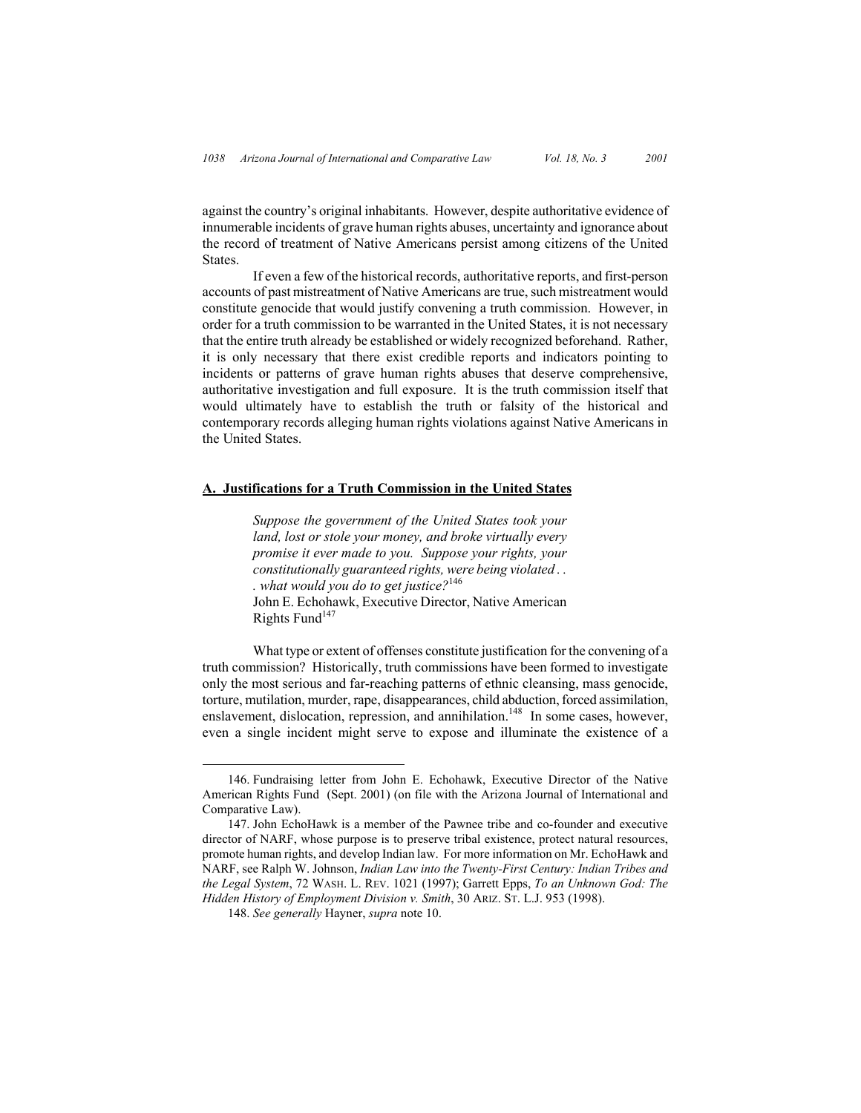against the country's original inhabitants. However, despite authoritative evidence of innumerable incidents of grave human rights abuses, uncertainty and ignorance about the record of treatment of Native Americans persist among citizens of the United States.

If even a few of the historical records, authoritative reports, and first-person accounts of past mistreatment of Native Americans are true, such mistreatment would constitute genocide that would justify convening a truth commission. However, in order for a truth commission to be warranted in the United States, it is not necessary that the entire truth already be established or widely recognized beforehand. Rather, it is only necessary that there exist credible reports and indicators pointing to incidents or patterns of grave human rights abuses that deserve comprehensive, authoritative investigation and full exposure. It is the truth commission itself that would ultimately have to establish the truth or falsity of the historical and contemporary records alleging human rights violations against Native Americans in the United States.

### **A. Justifications for a Truth Commission in the United States**

*Suppose the government of the United States took your land, lost or stole your money, and broke virtually every promise it ever made to you. Suppose your rights, your constitutionally guaranteed rights, were being violated . . . what would you do to get justice?*146 John E. Echohawk, Executive Director, Native American Rights Fund<sup>147</sup>

What type or extent of offenses constitute justification for the convening of a truth commission? Historically, truth commissions have been formed to investigate only the most serious and far-reaching patterns of ethnic cleansing, mass genocide, torture, mutilation, murder, rape, disappearances, child abduction, forced assimilation, enslavement, dislocation, repression, and annihilation.<sup>148</sup> In some cases, however, even a single incident might serve to expose and illuminate the existence of a

 <sup>146.</sup> Fundraising letter from John E. Echohawk, Executive Director of the Native American Rights Fund (Sept. 2001) (on file with the Arizona Journal of International and Comparative Law).

<sup>147.</sup> John EchoHawk is a member of the Pawnee tribe and co-founder and executive director of NARF, whose purpose is to preserve tribal existence, protect natural resources, promote human rights, and develop Indian law. For more information on Mr. EchoHawk and NARF, see Ralph W. Johnson, *Indian Law into the Twenty-First Century: Indian Tribes and the Legal System*, 72 WASH. L. REV. 1021 (1997); Garrett Epps, *To an Unknown God: The Hidden History of Employment Division v. Smith*, 30 ARIZ. ST. L.J. 953 (1998).

<sup>148.</sup> *See generally* Hayner, *supra* note 10.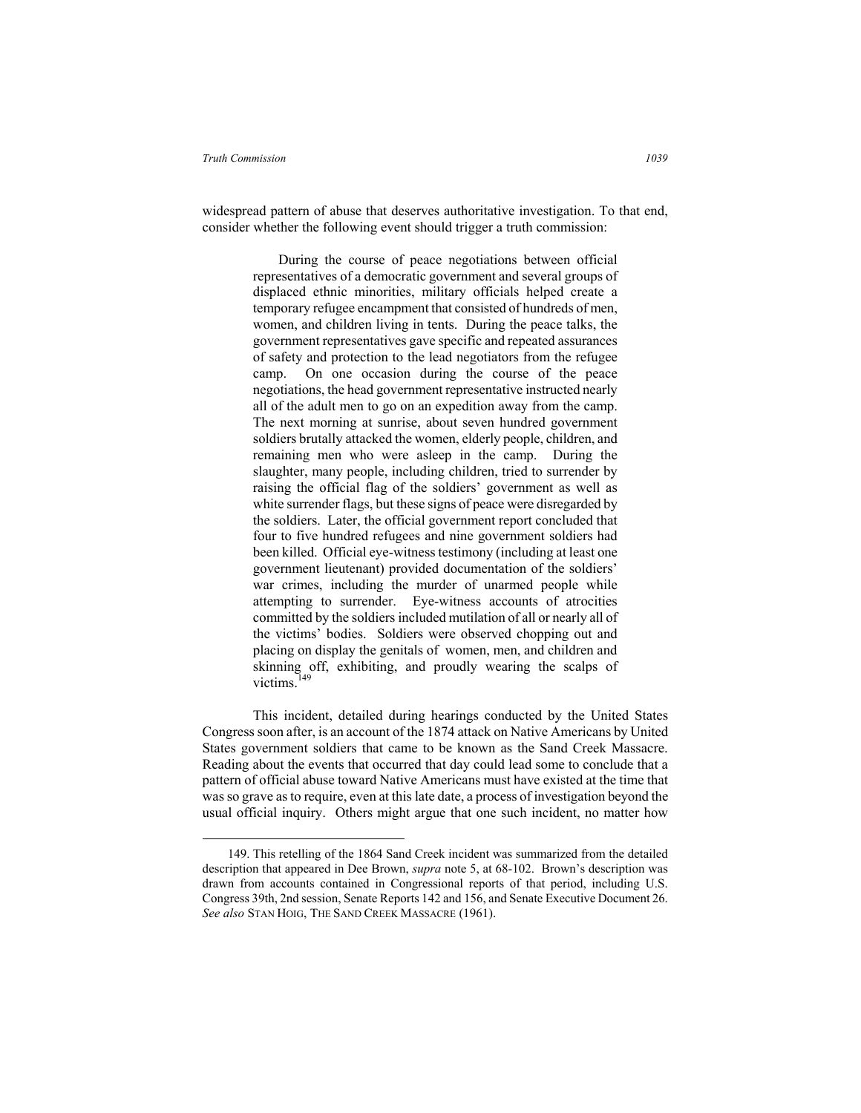widespread pattern of abuse that deserves authoritative investigation. To that end, consider whether the following event should trigger a truth commission:

> During the course of peace negotiations between official representatives of a democratic government and several groups of displaced ethnic minorities, military officials helped create a temporary refugee encampment that consisted of hundreds of men, women, and children living in tents. During the peace talks, the government representatives gave specific and repeated assurances of safety and protection to the lead negotiators from the refugee camp. On one occasion during the course of the peace negotiations, the head government representative instructed nearly all of the adult men to go on an expedition away from the camp. The next morning at sunrise, about seven hundred government soldiers brutally attacked the women, elderly people, children, and remaining men who were asleep in the camp. During the slaughter, many people, including children, tried to surrender by raising the official flag of the soldiers' government as well as white surrender flags, but these signs of peace were disregarded by the soldiers. Later, the official government report concluded that four to five hundred refugees and nine government soldiers had been killed. Official eye-witness testimony (including at least one government lieutenant) provided documentation of the soldiers' war crimes, including the murder of unarmed people while attempting to surrender. Eye-witness accounts of atrocities committed by the soldiers included mutilation of all or nearly all of the victims' bodies. Soldiers were observed chopping out and placing on display the genitals of women, men, and children and skinning off, exhibiting, and proudly wearing the scalps of victims.<sup>149</sup>

This incident, detailed during hearings conducted by the United States Congress soon after, is an account of the 1874 attack on Native Americans by United States government soldiers that came to be known as the Sand Creek Massacre. Reading about the events that occurred that day could lead some to conclude that a pattern of official abuse toward Native Americans must have existed at the time that was so grave as to require, even at this late date, a process of investigation beyond the usual official inquiry. Others might argue that one such incident, no matter how

 <sup>149.</sup> This retelling of the 1864 Sand Creek incident was summarized from the detailed description that appeared in Dee Brown, *supra* note 5, at 68-102. Brown's description was drawn from accounts contained in Congressional reports of that period, including U.S. Congress 39th, 2nd session, Senate Reports 142 and 156, and Senate Executive Document 26. *See also* STAN HOIG, THE SAND CREEK MASSACRE (1961).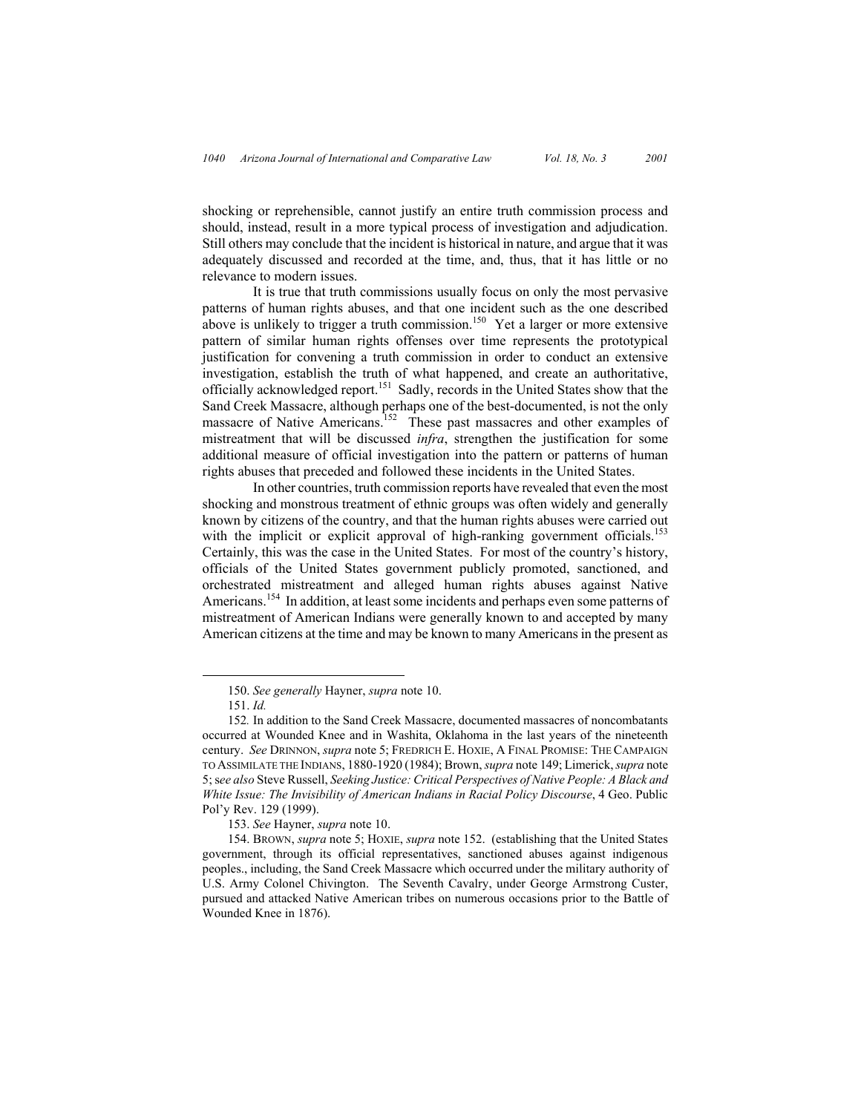shocking or reprehensible, cannot justify an entire truth commission process and should, instead, result in a more typical process of investigation and adjudication. Still others may conclude that the incident is historical in nature, and argue that it was adequately discussed and recorded at the time, and, thus, that it has little or no relevance to modern issues.

It is true that truth commissions usually focus on only the most pervasive patterns of human rights abuses, and that one incident such as the one described above is unlikely to trigger a truth commission.<sup>150</sup> Yet a larger or more extensive pattern of similar human rights offenses over time represents the prototypical justification for convening a truth commission in order to conduct an extensive investigation, establish the truth of what happened, and create an authoritative, officially acknowledged report.151 Sadly, records in the United States show that the Sand Creek Massacre, although perhaps one of the best-documented, is not the only massacre of Native Americans.<sup>152</sup> These past massacres and other examples of mistreatment that will be discussed *infra*, strengthen the justification for some additional measure of official investigation into the pattern or patterns of human rights abuses that preceded and followed these incidents in the United States.

In other countries, truth commission reports have revealed that even the most shocking and monstrous treatment of ethnic groups was often widely and generally known by citizens of the country, and that the human rights abuses were carried out with the implicit or explicit approval of high-ranking government officials.<sup>153</sup> Certainly, this was the case in the United States. For most of the country's history, officials of the United States government publicly promoted, sanctioned, and orchestrated mistreatment and alleged human rights abuses against Native Americans.<sup>154</sup> In addition, at least some incidents and perhaps even some patterns of mistreatment of American Indians were generally known to and accepted by many American citizens at the time and may be known to many Americans in the present as

 <sup>150.</sup> *See generally* Hayner, *supra* note 10.

<sup>151.</sup> *Id.*

<sup>152</sup>*.* In addition to the Sand Creek Massacre, documented massacres of noncombatants occurred at Wounded Knee and in Washita, Oklahoma in the last years of the nineteenth century. *See* DRINNON, *supra* note 5; FREDRICH E. HOXIE, A FINAL PROMISE: THE CAMPAIGN TO ASSIMILATE THE INDIANS, 1880-1920 (1984); Brown, *supra* note 149; Limerick, *supra* note 5; s*ee also* Steve Russell, *Seeking Justice: Critical Perspectives of Native People: A Black and White Issue: The Invisibility of American Indians in Racial Policy Discourse*, 4 Geo. Public Pol'y Rev. 129 (1999).

<sup>153.</sup> *See* Hayner, *supra* note 10.

<sup>154.</sup> BROWN, *supra* note 5; HOXIE, *supra* note 152. (establishing that the United States government, through its official representatives, sanctioned abuses against indigenous peoples., including, the Sand Creek Massacre which occurred under the military authority of U.S. Army Colonel Chivington. The Seventh Cavalry, under George Armstrong Custer, pursued and attacked Native American tribes on numerous occasions prior to the Battle of Wounded Knee in 1876).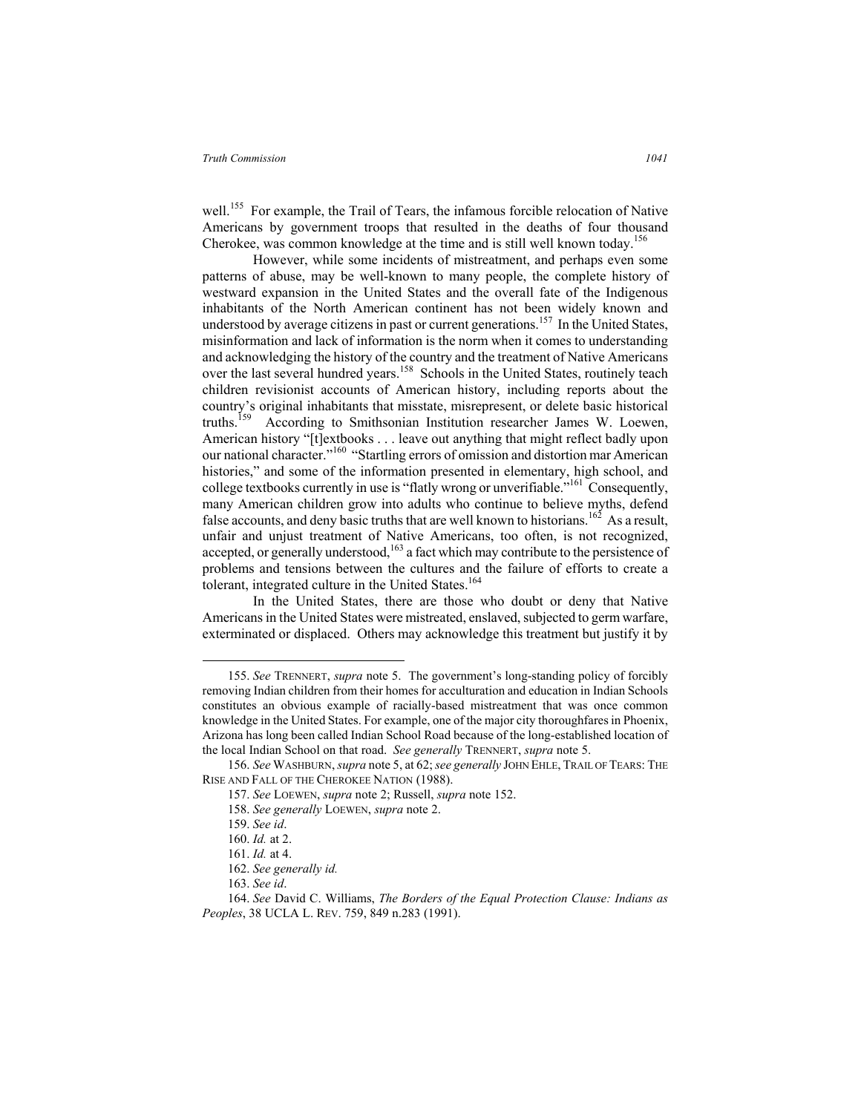well.<sup>155</sup> For example, the Trail of Tears, the infamous forcible relocation of Native Americans by government troops that resulted in the deaths of four thousand Cherokee, was common knowledge at the time and is still well known today.<sup>156</sup>

However, while some incidents of mistreatment, and perhaps even some patterns of abuse, may be well-known to many people, the complete history of westward expansion in the United States and the overall fate of the Indigenous inhabitants of the North American continent has not been widely known and understood by average citizens in past or current generations.<sup>157</sup> In the United States, misinformation and lack of information is the norm when it comes to understanding and acknowledging the history of the country and the treatment of Native Americans over the last several hundred years.<sup>158</sup> Schools in the United States, routinely teach children revisionist accounts of American history, including reports about the country's original inhabitants that misstate, misrepresent, or delete basic historical truths.<sup>159</sup> According to Smithsonian Institution researcher James W. Loewen, American history "[t]extbooks . . . leave out anything that might reflect badly upon our national character."<sup>160</sup> "Startling errors of omission and distortion mar American histories," and some of the information presented in elementary, high school, and college textbooks currently in use is "flatly wrong or unverifiable."<sup>161</sup> Consequently, many American children grow into adults who continue to believe myths, defend false accounts, and deny basic truths that are well known to historians.<sup>162</sup> As a result, unfair and unjust treatment of Native Americans, too often, is not recognized, accepted, or generally understood, $163$  a fact which may contribute to the persistence of problems and tensions between the cultures and the failure of efforts to create a tolerant, integrated culture in the United States.<sup>164</sup>

In the United States, there are those who doubt or deny that Native Americans in the United States were mistreated, enslaved, subjected to germ warfare, exterminated or displaced. Others may acknowledge this treatment but justify it by

 <sup>155.</sup> *See* TRENNERT, *supra* note 5. The government's long-standing policy of forcibly removing Indian children from their homes for acculturation and education in Indian Schools constitutes an obvious example of racially-based mistreatment that was once common knowledge in the United States. For example, one of the major city thoroughfares in Phoenix, Arizona has long been called Indian School Road because of the long-established location of the local Indian School on that road. *See generally* TRENNERT, *supra* note 5.

<sup>156.</sup> *See* WASHBURN, *supra* note 5, at 62; *see generally* JOHN EHLE, TRAIL OF TEARS: THE RISE AND FALL OF THE CHEROKEE NATION (1988).

<sup>157.</sup> *See* LOEWEN, *supra* note 2; Russell, *supra* note 152.

<sup>158.</sup> *See generally* LOEWEN, *supra* note 2.

<sup>159.</sup> *See id*.

<sup>160.</sup> *Id.* at 2.

<sup>161.</sup> *Id.* at 4.

<sup>162.</sup> *See generally id.*

<sup>163.</sup> *See id*.

<sup>164.</sup> *See* David C. Williams, *The Borders of the Equal Protection Clause: Indians as Peoples*, 38 UCLA L. REV. 759, 849 n.283 (1991).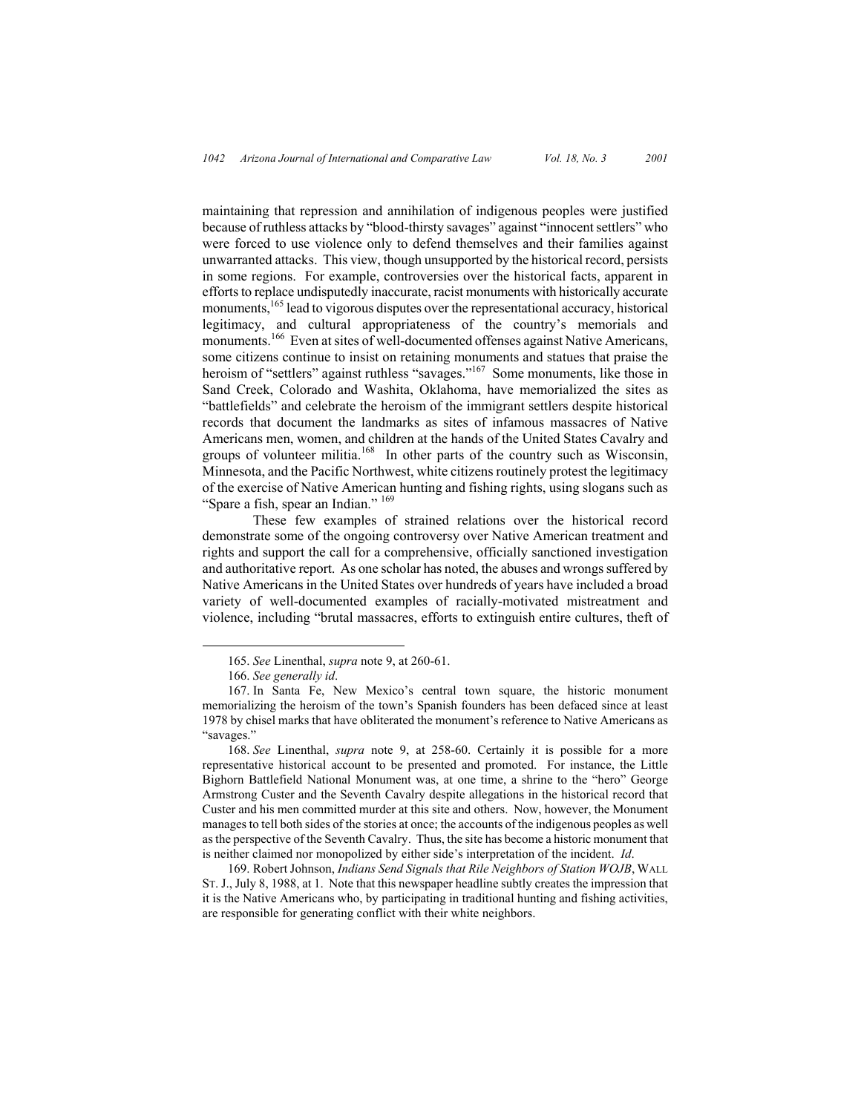maintaining that repression and annihilation of indigenous peoples were justified because of ruthless attacks by "blood-thirsty savages" against "innocent settlers" who were forced to use violence only to defend themselves and their families against unwarranted attacks. This view, though unsupported by the historical record, persists in some regions. For example, controversies over the historical facts, apparent in efforts to replace undisputedly inaccurate, racist monuments with historically accurate monuments,<sup>165</sup> lead to vigorous disputes over the representational accuracy, historical legitimacy, and cultural appropriateness of the country's memorials and monuments.<sup>166</sup> Even at sites of well-documented offenses against Native Americans, some citizens continue to insist on retaining monuments and statues that praise the heroism of "settlers" against ruthless "savages."<sup>167</sup> Some monuments, like those in Sand Creek, Colorado and Washita, Oklahoma, have memorialized the sites as "battlefields" and celebrate the heroism of the immigrant settlers despite historical records that document the landmarks as sites of infamous massacres of Native Americans men, women, and children at the hands of the United States Cavalry and groups of volunteer militia.<sup>168</sup> In other parts of the country such as Wisconsin, Minnesota, and the Pacific Northwest, white citizens routinely protest the legitimacy of the exercise of Native American hunting and fishing rights, using slogans such as "Spare a fish, spear an Indian." 169

These few examples of strained relations over the historical record demonstrate some of the ongoing controversy over Native American treatment and rights and support the call for a comprehensive, officially sanctioned investigation and authoritative report. As one scholar has noted, the abuses and wrongs suffered by Native Americans in the United States over hundreds of years have included a broad variety of well-documented examples of racially-motivated mistreatment and violence, including "brutal massacres, efforts to extinguish entire cultures, theft of

 <sup>165.</sup> *See* Linenthal, *supra* note 9, at 260-61.

<sup>166.</sup> *See generally id*.

<sup>167.</sup> In Santa Fe, New Mexico's central town square, the historic monument memorializing the heroism of the town's Spanish founders has been defaced since at least 1978 by chisel marks that have obliterated the monument's reference to Native Americans as "savages."

<sup>168.</sup> *See* Linenthal, *supra* note 9, at 258-60. Certainly it is possible for a more representative historical account to be presented and promoted. For instance, the Little Bighorn Battlefield National Monument was, at one time, a shrine to the "hero" George Armstrong Custer and the Seventh Cavalry despite allegations in the historical record that Custer and his men committed murder at this site and others. Now, however, the Monument manages to tell both sides of the stories at once; the accounts of the indigenous peoples as well as the perspective of the Seventh Cavalry. Thus, the site has become a historic monument that is neither claimed nor monopolized by either side's interpretation of the incident. *Id*.

<sup>169.</sup> Robert Johnson, *Indians Send Signals that Rile Neighbors of Station WOJB*, WALL ST. J., July 8, 1988, at 1. Note that this newspaper headline subtly creates the impression that it is the Native Americans who, by participating in traditional hunting and fishing activities, are responsible for generating conflict with their white neighbors.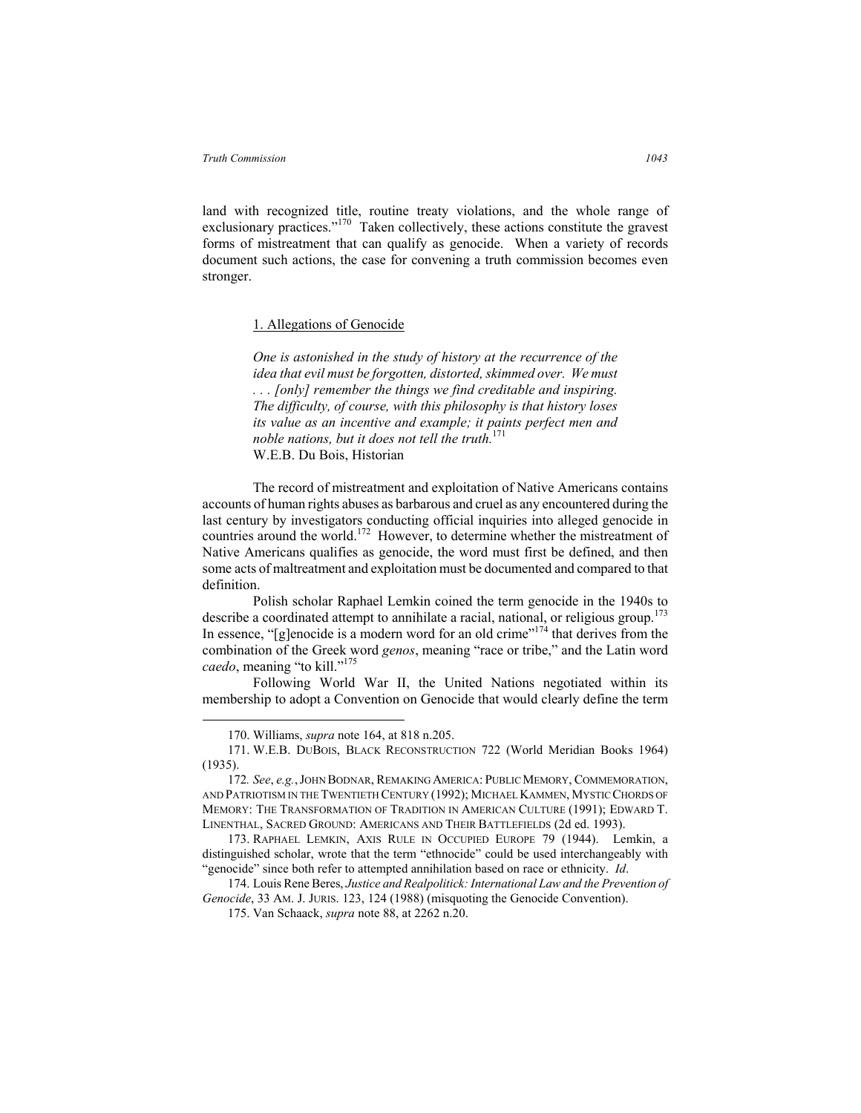land with recognized title, routine treaty violations, and the whole range of exclusionary practices."<sup>170</sup> Taken collectively, these actions constitute the gravest forms of mistreatment that can qualify as genocide. When a variety of records document such actions, the case for convening a truth commission becomes even stronger.

# 1. Allegations of Genocide

*One is astonished in the study of history at the recurrence of the idea that evil must be forgotten, distorted, skimmed over. We must . . . [only] remember the things we find creditable and inspiring. The difficulty, of course, with this philosophy is that history loses its value as an incentive and example; it paints perfect men and noble nations, but it does not tell the truth.*171 W.E.B. Du Bois, Historian

The record of mistreatment and exploitation of Native Americans contains accounts of human rights abuses as barbarous and cruel as any encountered during the last century by investigators conducting official inquiries into alleged genocide in countries around the world.<sup>172</sup> However, to determine whether the mistreatment of Native Americans qualifies as genocide, the word must first be defined, and then some acts of maltreatment and exploitation must be documented and compared to that definition.

Polish scholar Raphael Lemkin coined the term genocide in the 1940s to describe a coordinated attempt to annihilate a racial, national, or religious group.<sup>173</sup> In essence, "[g]enocide is a modern word for an old crime"<sup>174</sup> that derives from the combination of the Greek word *genos*, meaning "race or tribe," and the Latin word *caedo*, meaning "to kill."<sup>175</sup>

Following World War II, the United Nations negotiated within its membership to adopt a Convention on Genocide that would clearly define the term

 <sup>170.</sup> Williams, *supra* note 164, at 818 n.205.

<sup>171.</sup> W.E.B. DUBOIS, BLACK RECONSTRUCTION 722 (World Meridian Books 1964) (1935).

<sup>172</sup>*. See*, *e.g.*,JOHN BODNAR, REMAKING AMERICA: PUBLIC MEMORY, COMMEMORATION, AND PATRIOTISM IN THE TWENTIETH CENTURY (1992); MICHAEL KAMMEN, MYSTIC CHORDS OF MEMORY: THE TRANSFORMATION OF TRADITION IN AMERICAN CULTURE (1991); EDWARD T. LINENTHAL, SACRED GROUND: AMERICANS AND THEIR BATTLEFIELDS (2d ed. 1993).

<sup>173.</sup> RAPHAEL LEMKIN, AXIS RULE IN OCCUPIED EUROPE 79 (1944). Lemkin, a distinguished scholar, wrote that the term "ethnocide" could be used interchangeably with "genocide" since both refer to attempted annihilation based on race or ethnicity. *Id*.

<sup>174.</sup> Louis Rene Beres, *Justice and Realpolitick: International Law and the Prevention of Genocide*, 33 AM. J. JURIS. 123, 124 (1988) (misquoting the Genocide Convention).

<sup>175.</sup> Van Schaack, *supra* note 88, at 2262 n.20.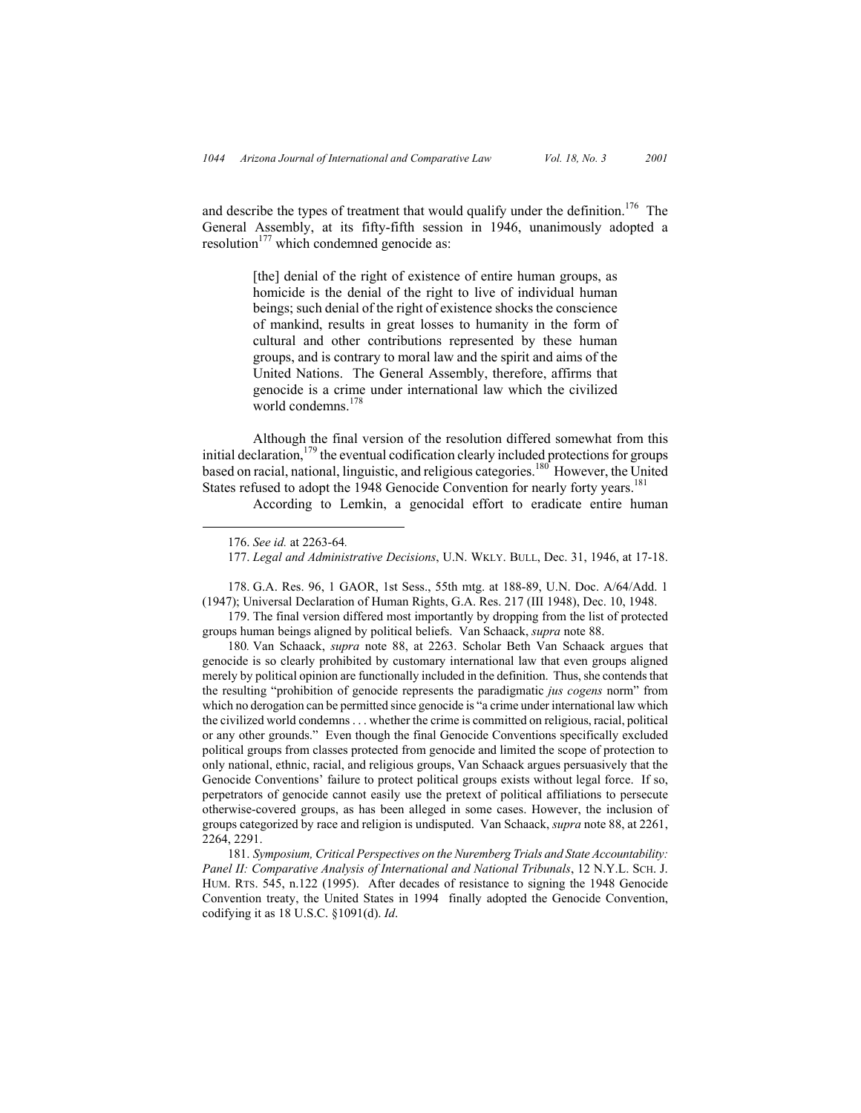and describe the types of treatment that would qualify under the definition.<sup>176</sup> The General Assembly, at its fifty-fifth session in 1946, unanimously adopted a resolution $177$  which condemned genocide as:

> [the] denial of the right of existence of entire human groups, as homicide is the denial of the right to live of individual human beings; such denial of the right of existence shocks the conscience of mankind, results in great losses to humanity in the form of cultural and other contributions represented by these human groups, and is contrary to moral law and the spirit and aims of the United Nations. The General Assembly, therefore, affirms that genocide is a crime under international law which the civilized world condemns.<sup>178</sup>

Although the final version of the resolution differed somewhat from this initial declaration, $179$  the eventual codification clearly included protections for groups based on racial, national, linguistic, and religious categories.<sup>180</sup> However, the United States refused to adopt the 1948 Genocide Convention for nearly forty years.<sup>181</sup>

According to Lemkin, a genocidal effort to eradicate entire human

178. G.A. Res. 96, 1 GAOR, 1st Sess., 55th mtg. at 188-89, U.N. Doc. A/64/Add. 1 (1947); Universal Declaration of Human Rights, G.A. Res. 217 (III 1948), Dec. 10, 1948.

179. The final version differed most importantly by dropping from the list of protected groups human beings aligned by political beliefs. Van Schaack, *supra* note 88.

180*.* Van Schaack, *supra* note 88, at 2263. Scholar Beth Van Schaack argues that genocide is so clearly prohibited by customary international law that even groups aligned merely by political opinion are functionally included in the definition. Thus, she contends that the resulting "prohibition of genocide represents the paradigmatic *jus cogens* norm" from which no derogation can be permitted since genocide is "a crime under international law which the civilized world condemns . . . whether the crime is committed on religious, racial, political or any other grounds." Even though the final Genocide Conventions specifically excluded political groups from classes protected from genocide and limited the scope of protection to only national, ethnic, racial, and religious groups, Van Schaack argues persuasively that the Genocide Conventions' failure to protect political groups exists without legal force. If so, perpetrators of genocide cannot easily use the pretext of political affiliations to persecute otherwise-covered groups, as has been alleged in some cases. However, the inclusion of groups categorized by race and religion is undisputed. Van Schaack, *supra* note 88, at 2261, 2264, 2291.

181. *Symposium, Critical Perspectives on the Nuremberg Trials and State Accountability: Panel II: Comparative Analysis of International and National Tribunals*, 12 N.Y.L. SCH. J. HUM. RTS. 545, n.122 (1995). After decades of resistance to signing the 1948 Genocide Convention treaty, the United States in 1994 finally adopted the Genocide Convention, codifying it as 18 U.S.C. §1091(d). *Id*.

 <sup>176.</sup> *See id.* at 2263-64*.*

<sup>177.</sup> *Legal and Administrative Decisions*, U.N. WKLY. BULL, Dec. 31, 1946, at 17-18.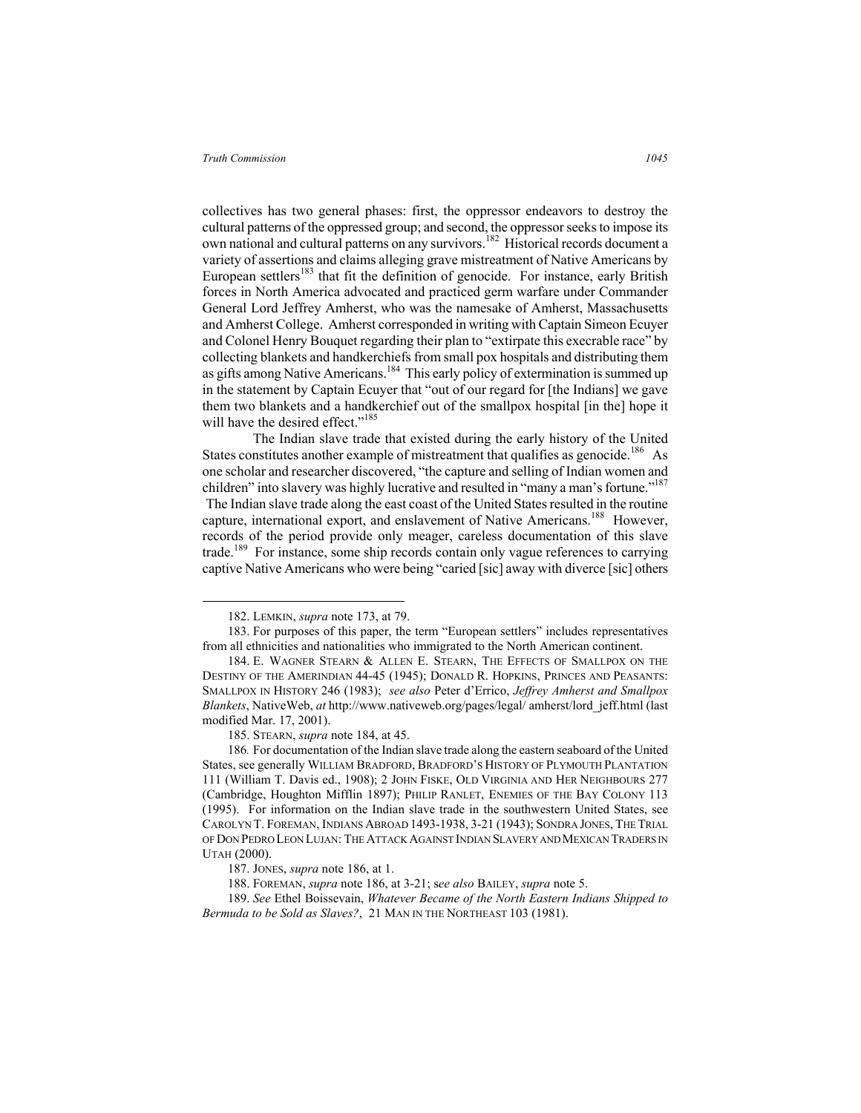collectives has two general phases: first, the oppressor endeavors to destroy the cultural patterns of the oppressed group; and second, the oppressor seeks to impose its own national and cultural patterns on any survivors.<sup>182</sup> Historical records document a variety of assertions and claims alleging grave mistreatment of Native Americans by European settlers<sup>183</sup> that fit the definition of genocide. For instance, early British forces in North America advocated and practiced germ warfare under Commander General Lord Jeffrey Amherst, who was the namesake of Amherst, Massachusetts and Amherst College. Amherst corresponded in writing with Captain Simeon Ecuyer and Colonel Henry Bouquet regarding their plan to "extirpate this execrable race" by collecting blankets and handkerchiefs from small pox hospitals and distributing them as gifts among Native Americans.<sup>184</sup> This early policy of extermination is summed up in the statement by Captain Ecuyer that "out of our regard for [the Indians] we gave them two blankets and a handkerchief out of the smallpox hospital [in the] hope it will have the desired effect."<sup>185</sup>

The Indian slave trade that existed during the early history of the United States constitutes another example of mistreatment that qualifies as genocide.<sup>186</sup> As one scholar and researcher discovered, "the capture and selling of Indian women and children" into slavery was highly lucrative and resulted in "many a man's fortune."<sup>187</sup> The Indian slave trade along the east coast of the United States resulted in the routine capture, international export, and enslavement of Native Americans.<sup>188</sup> However, records of the period provide only meager, careless documentation of this slave trade.<sup>189</sup> For instance, some ship records contain only vague references to carrying captive Native Americans who were being "caried [sic] away with diverce [sic] others

 <sup>182.</sup> LEMKIN, *supra* note 173, at 79.

<sup>183.</sup> For purposes of this paper, the term "European settlers" includes representatives from all ethnicities and nationalities who immigrated to the North American continent.

<sup>184.</sup> E. WAGNER STEARN & ALLEN E. STEARN, THE EFFECTS OF SMALLPOX ON THE DESTINY OF THE AMERINDIAN 44-45 (1945); DONALD R. HOPKINS, PRINCES AND PEASANTS: SMALLPOX IN HISTORY 246 (1983); *see also* Peter d'Errico, *Jeffrey Amherst and Smallpox Blankets*, NativeWeb, *at* http://www.nativeweb.org/pages/legal/ amherst/lord\_jeff.html (last modified Mar. 17, 2001).

<sup>185.</sup> STEARN, *supra* note 184, at 45.

<sup>186</sup>*.* For documentation of the Indian slave trade along the eastern seaboard of the United States, see generally WILLIAM BRADFORD, BRADFORD'S HISTORY OF PLYMOUTH PLANTATION 111 (William T. Davis ed., 1908); 2 JOHN FISKE, OLD VIRGINIA AND HER NEIGHBOURS 277 (Cambridge, Houghton Mifflin 1897); PHILIP RANLET, ENEMIES OF THE BAY COLONY 113 (1995). For information on the Indian slave trade in the southwestern United States, see CAROLYN T. FOREMAN, INDIANS ABROAD 1493-1938, 3-21 (1943); SONDRA JONES, THE TRIAL OF DON PEDRO LEON LUJAN: THE ATTACK AGAINST INDIAN SLAVERY AND MEXICAN TRADERS IN UTAH (2000).

<sup>187.</sup> JONES, *supra* note 186, at 1.

<sup>188.</sup> FOREMAN, *supra* note 186, at 3-21; s*ee also* BAILEY, *supra* note 5.

<sup>189.</sup> *See* Ethel Boissevain, *Whatever Became of the North Eastern Indians Shipped to Bermuda to be Sold as Slaves?*, 21 MAN IN THE NORTHEAST 103 (1981).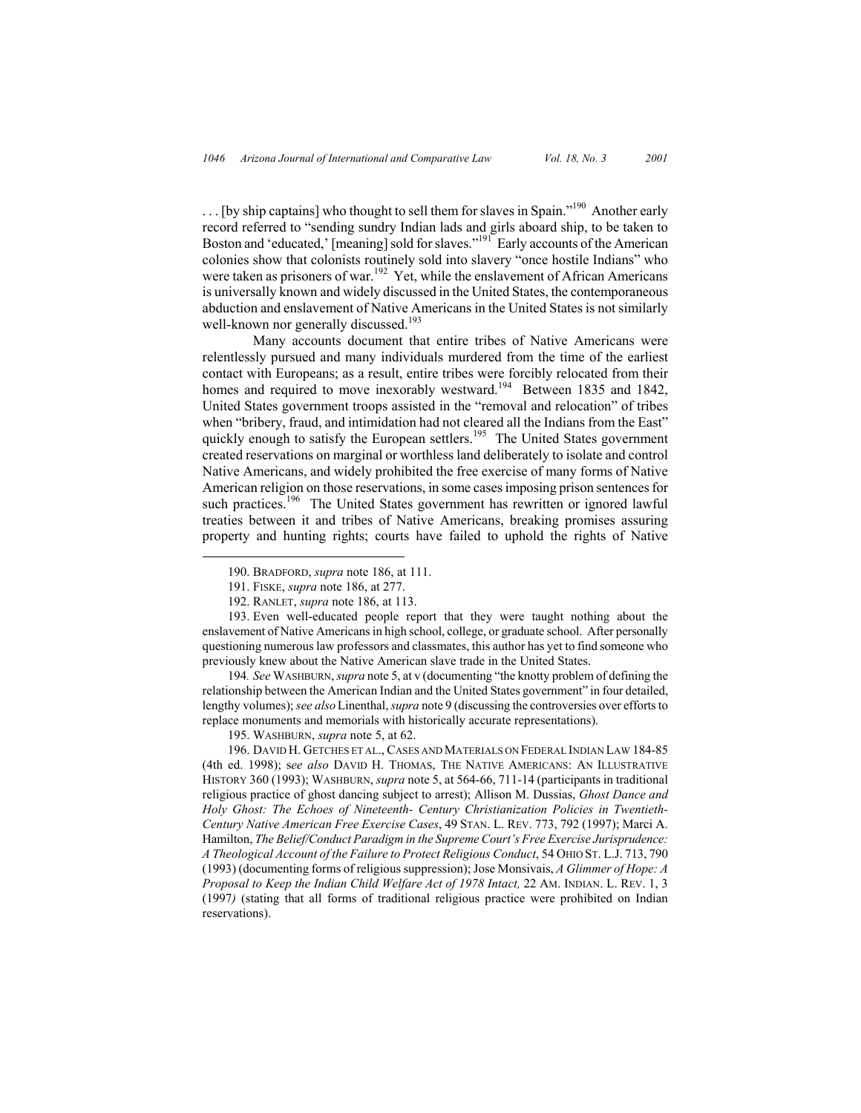$\ldots$  [by ship captains] who thought to sell them for slaves in Spain."<sup>190</sup> Another early record referred to "sending sundry Indian lads and girls aboard ship, to be taken to Boston and 'educated,' [meaning] sold for slaves."<sup>191</sup> Early accounts of the American colonies show that colonists routinely sold into slavery "once hostile Indians" who were taken as prisoners of war.<sup>192</sup> Yet, while the enslavement of African Americans is universally known and widely discussed in the United States, the contemporaneous abduction and enslavement of Native Americans in the United States is not similarly well-known nor generally discussed.<sup>193</sup>

Many accounts document that entire tribes of Native Americans were relentlessly pursued and many individuals murdered from the time of the earliest contact with Europeans; as a result, entire tribes were forcibly relocated from their homes and required to move inexorably westward.<sup>194</sup> Between 1835 and 1842, United States government troops assisted in the "removal and relocation" of tribes when "bribery, fraud, and intimidation had not cleared all the Indians from the East" quickly enough to satisfy the European settlers.<sup>195</sup> The United States government created reservations on marginal or worthless land deliberately to isolate and control Native Americans, and widely prohibited the free exercise of many forms of Native American religion on those reservations, in some cases imposing prison sentences for such practices.<sup>196</sup> The United States government has rewritten or ignored lawful treaties between it and tribes of Native Americans, breaking promises assuring property and hunting rights; courts have failed to uphold the rights of Native

193. Even well-educated people report that they were taught nothing about the enslavement of Native Americans in high school, college, or graduate school. After personally questioning numerous law professors and classmates, this author has yet to find someone who previously knew about the Native American slave trade in the United States.

194*. See* WASHBURN, *supra* note 5, at v (documenting "the knotty problem of defining the relationship between the American Indian and the United States government" in four detailed, lengthy volumes); *see also*Linenthal, *supra* note 9 (discussing the controversies over efforts to replace monuments and memorials with historically accurate representations).

195. WASHBURN, *supra* note 5, at 62.

196. DAVID H. GETCHES ET AL., CASES AND MATERIALS ON FEDERAL INDIAN LAW 184-85 (4th ed. 1998); s*ee also* DAVID H. THOMAS, THE NATIVE AMERICANS: AN ILLUSTRATIVE HISTORY 360 (1993); WASHBURN, *supra* note 5, at 564-66, 711-14 (participants in traditional religious practice of ghost dancing subject to arrest); Allison M. Dussias, *Ghost Dance and Holy Ghost: The Echoes of Nineteenth- Century Christianization Policies in Twentieth-Century Native American Free Exercise Cases*, 49 STAN. L. REV. 773, 792 (1997); Marci A. Hamilton, *The Belief/Conduct Paradigm in the Supreme Court's Free Exercise Jurisprudence: A Theological Account of the Failure to Protect Religious Conduct*, 54 OHIO ST. L.J. 713, 790 (1993) (documenting forms of religious suppression); Jose Monsivais, *A Glimmer of Hope: A Proposal to Keep the Indian Child Welfare Act of 1978 Intact, 22 AM. INDIAN. L. REV. 1, 3* (1997*)* (stating that all forms of traditional religious practice were prohibited on Indian reservations).

 <sup>190.</sup> BRADFORD, *supra* note 186, at 111.

<sup>191.</sup> FISKE, *supra* note 186, at 277.

<sup>192.</sup> RANLET, *supra* note 186, at 113.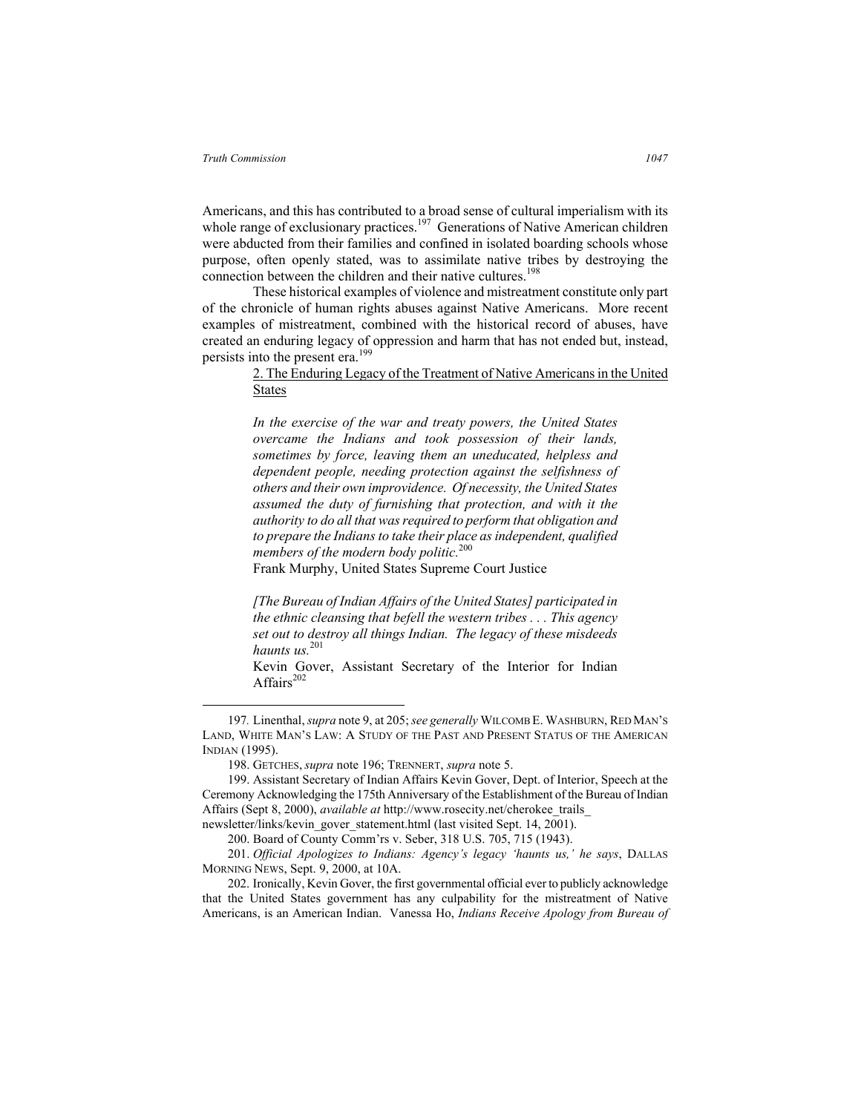Americans, and this has contributed to a broad sense of cultural imperialism with its whole range of exclusionary practices.<sup>197</sup> Generations of Native American children were abducted from their families and confined in isolated boarding schools whose purpose, often openly stated, was to assimilate native tribes by destroying the connection between the children and their native cultures.<sup>198</sup>

These historical examples of violence and mistreatment constitute only part of the chronicle of human rights abuses against Native Americans. More recent examples of mistreatment, combined with the historical record of abuses, have created an enduring legacy of oppression and harm that has not ended but, instead, persists into the present era.<sup>199</sup>

## 2. The Enduring Legacy of the Treatment of Native Americans in the United States

*In the exercise of the war and treaty powers, the United States overcame the Indians and took possession of their lands, sometimes by force, leaving them an uneducated, helpless and dependent people, needing protection against the selfishness of others and their own improvidence. Of necessity, the United States assumed the duty of furnishing that protection, and with it the authority to do all that was required to perform that obligation and to prepare the Indians to take their place as independent, qualified members of the modern body politic.*<sup>200</sup>

Frank Murphy, United States Supreme Court Justice

*[The Bureau of Indian Affairs of the United States] participated in the ethnic cleansing that befell the western tribes . . . This agency set out to destroy all things Indian. The legacy of these misdeeds haunts us.*<sup>201</sup>

Kevin Gover, Assistant Secretary of the Interior for Indian Affairs $202$ 

 <sup>197</sup>*.* Linenthal, *supra* note 9, at 205; *see generally* WILCOMB E. WASHBURN, RED MAN'S LAND, WHITE MAN'S LAW: A STUDY OF THE PAST AND PRESENT STATUS OF THE AMERICAN INDIAN (1995).

<sup>198.</sup> GETCHES, *supra* note 196; TRENNERT, *supra* note 5.

<sup>199.</sup> Assistant Secretary of Indian Affairs Kevin Gover, Dept. of Interior, Speech at the Ceremony Acknowledging the 175th Anniversary of the Establishment of the Bureau of Indian Affairs (Sept 8, 2000), *available at* http://www.rosecity.net/cherokee\_trails\_

newsletter/links/kevin\_gover\_statement.html (last visited Sept. 14, 2001).

<sup>200.</sup> Board of County Comm'rs v. Seber, 318 U.S. 705, 715 (1943).

<sup>201.</sup> *Official Apologizes to Indians: Agency's legacy 'haunts us,' he says*, DALLAS MORNING NEWS, Sept. 9, 2000, at 10A.

<sup>202.</sup> Ironically, Kevin Gover, the first governmental official ever to publicly acknowledge that the United States government has any culpability for the mistreatment of Native Americans, is an American Indian. Vanessa Ho, *Indians Receive Apology from Bureau of*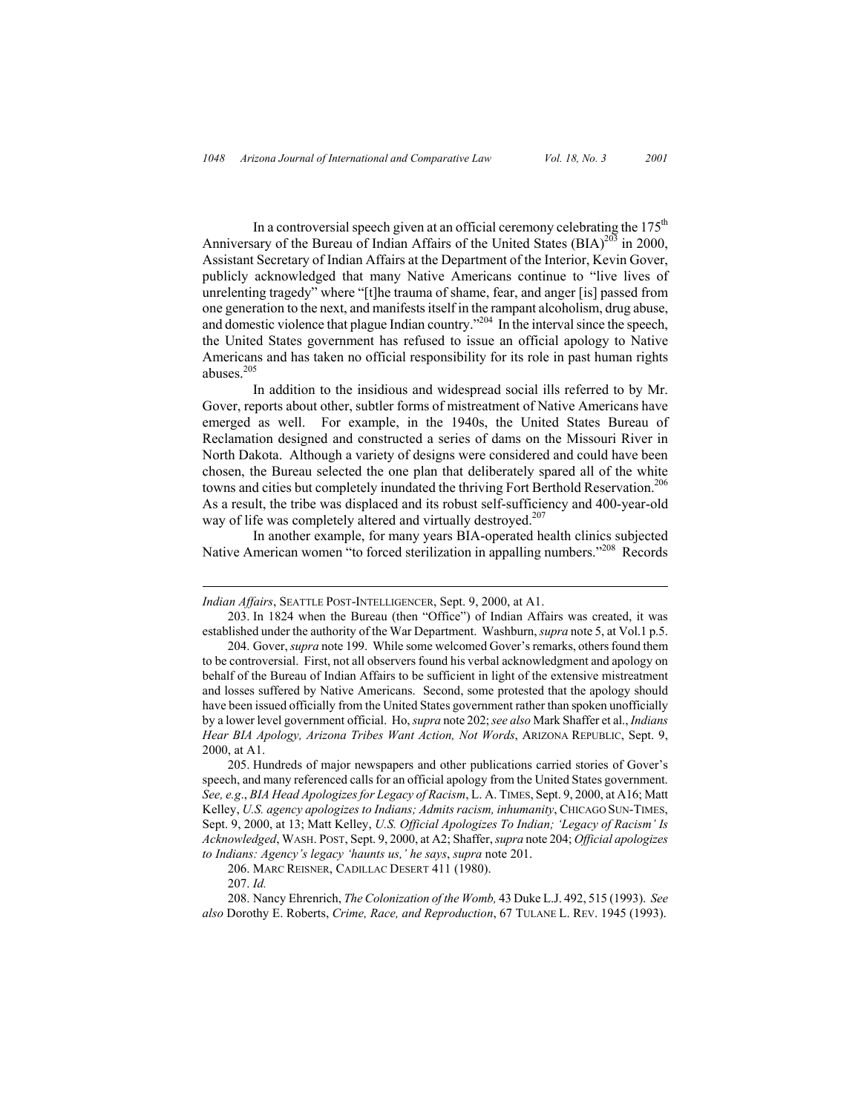In a controversial speech given at an official ceremony celebrating the  $175<sup>th</sup>$ Anniversary of the Bureau of Indian Affairs of the United States  $(BIA)^{203}$  in 2000, Assistant Secretary of Indian Affairs at the Department of the Interior, Kevin Gover, publicly acknowledged that many Native Americans continue to "live lives of unrelenting tragedy" where "[t]he trauma of shame, fear, and anger [is] passed from one generation to the next, and manifests itself in the rampant alcoholism, drug abuse, and domestic violence that plague Indian country."204 In the interval since the speech, the United States government has refused to issue an official apology to Native Americans and has taken no official responsibility for its role in past human rights abuses.<sup>205</sup>

In addition to the insidious and widespread social ills referred to by Mr. Gover, reports about other, subtler forms of mistreatment of Native Americans have emerged as well. For example, in the 1940s, the United States Bureau of Reclamation designed and constructed a series of dams on the Missouri River in North Dakota. Although a variety of designs were considered and could have been chosen, the Bureau selected the one plan that deliberately spared all of the white towns and cities but completely inundated the thriving Fort Berthold Reservation.<sup>206</sup> As a result, the tribe was displaced and its robust self-sufficiency and 400-year-old way of life was completely altered and virtually destroyed.<sup>207</sup>

In another example, for many years BIA-operated health clinics subjected Native American women "to forced sterilization in appalling numbers."<sup>208</sup> Records

 $\overline{a}$ 

*Indian Affairs*, SEATTLE POST-INTELLIGENCER, Sept. 9, 2000, at A1.

<sup>203.</sup> In 1824 when the Bureau (then "Office") of Indian Affairs was created, it was established under the authority of the War Department. Washburn, *supra* note 5, at Vol.1 p.5.

<sup>204.</sup> Gover, *supra* note 199. While some welcomed Gover's remarks, others found them to be controversial. First, not all observers found his verbal acknowledgment and apology on behalf of the Bureau of Indian Affairs to be sufficient in light of the extensive mistreatment and losses suffered by Native Americans. Second, some protested that the apology should have been issued officially from the United States government rather than spoken unofficially by a lower level government official. Ho, *supra* note 202; *see also* Mark Shaffer et al., *Indians Hear BIA Apology, Arizona Tribes Want Action, Not Words*, ARIZONA REPUBLIC, Sept. 9, 2000, at A1.

<sup>205.</sup> Hundreds of major newspapers and other publications carried stories of Gover's speech, and many referenced calls for an official apology from the United States government. *See, e.g*., *BIA Head Apologizes for Legacy of Racism*, L. A. TIMES, Sept. 9, 2000, at A16; Matt Kelley, *U.S. agency apologizes to Indians; Admits racism, inhumanity*, CHICAGO SUN-TIMES, Sept. 9, 2000, at 13; Matt Kelley, *U.S. Official Apologizes To Indian; 'Legacy of Racism' Is Acknowledged*, WASH. POST, Sept. 9, 2000, at A2; Shaffer, *supra* note 204; *Official apologizes to Indians: Agency's legacy 'haunts us,' he says*, *supra* note 201.

<sup>206.</sup> MARC REISNER, CADILLAC DESERT 411 (1980).

<sup>207.</sup> *Id.*

<sup>208.</sup> Nancy Ehrenrich, *The Colonization of the Womb,* 43 Duke L.J. 492, 515 (1993). *See also* Dorothy E. Roberts, *Crime, Race, and Reproduction*, 67 TULANE L. REV. 1945 (1993).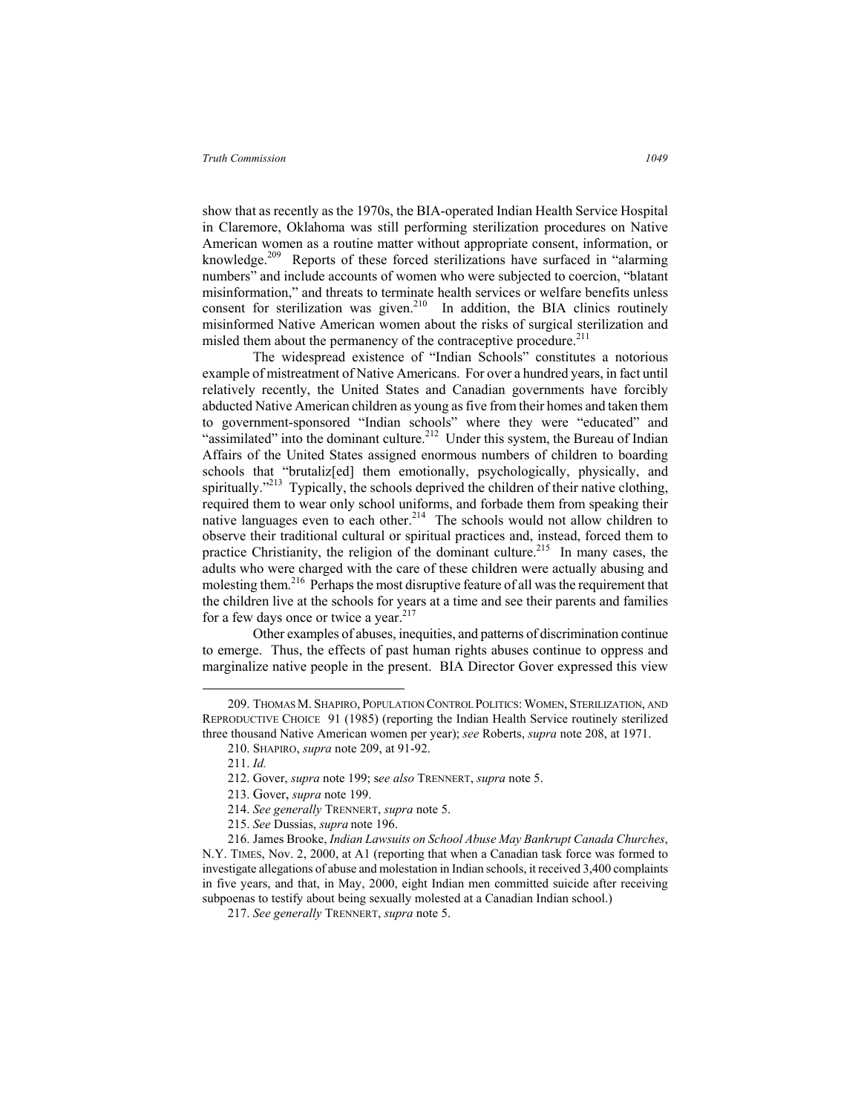show that as recently as the 1970s, the BIA-operated Indian Health Service Hospital in Claremore, Oklahoma was still performing sterilization procedures on Native American women as a routine matter without appropriate consent, information, or knowledge.<sup>209</sup> Reports of these forced sterilizations have surfaced in "alarming" numbers" and include accounts of women who were subjected to coercion, "blatant misinformation," and threats to terminate health services or welfare benefits unless consent for sterilization was given. $210$  In addition, the BIA clinics routinely misinformed Native American women about the risks of surgical sterilization and misled them about the permanency of the contraceptive procedure.<sup>211</sup>

The widespread existence of "Indian Schools" constitutes a notorious example of mistreatment of Native Americans. For over a hundred years, in fact until relatively recently, the United States and Canadian governments have forcibly abducted Native American children as young as five from their homes and taken them to government-sponsored "Indian schools" where they were "educated" and "assimilated" into the dominant culture. $2^{12}$  Under this system, the Bureau of Indian Affairs of the United States assigned enormous numbers of children to boarding schools that "brutaliz[ed] them emotionally, psychologically, physically, and spiritually."<sup>213</sup> Typically, the schools deprived the children of their native clothing, required them to wear only school uniforms, and forbade them from speaking their native languages even to each other.<sup>214</sup> The schools would not allow children to observe their traditional cultural or spiritual practices and, instead, forced them to practice Christianity, the religion of the dominant culture.<sup>215</sup> In many cases, the adults who were charged with the care of these children were actually abusing and molesting them.216 Perhaps the most disruptive feature of all was the requirement that the children live at the schools for years at a time and see their parents and families for a few days once or twice a year.<sup>217</sup>

Other examples of abuses, inequities, and patterns of discrimination continue to emerge. Thus, the effects of past human rights abuses continue to oppress and marginalize native people in the present. BIA Director Gover expressed this view

 <sup>209.</sup> THOMAS M. SHAPIRO, POPULATION CONTROL POLITICS: WOMEN, STERILIZATION, AND REPRODUCTIVE CHOICE 91 (1985) (reporting the Indian Health Service routinely sterilized three thousand Native American women per year); *see* Roberts, *supra* note 208, at 1971.

<sup>210.</sup> SHAPIRO, *supra* note 209, at 91-92.

<sup>211.</sup> *Id.*

<sup>212.</sup> Gover, *supra* note 199; s*ee also* TRENNERT, *supra* note 5.

<sup>213.</sup> Gover, *supra* note 199.

<sup>214.</sup> *See generally* TRENNERT, *supra* note 5.

<sup>215.</sup> *See* Dussias, *supra* note 196.

<sup>216.</sup> James Brooke, *Indian Lawsuits on School Abuse May Bankrupt Canada Churches*, N.Y. TIMES, Nov. 2, 2000, at A1 (reporting that when a Canadian task force was formed to investigate allegations of abuse and molestation in Indian schools, it received 3,400 complaints in five years, and that, in May, 2000, eight Indian men committed suicide after receiving subpoenas to testify about being sexually molested at a Canadian Indian school.)

<sup>217.</sup> *See generally* TRENNERT, *supra* note 5.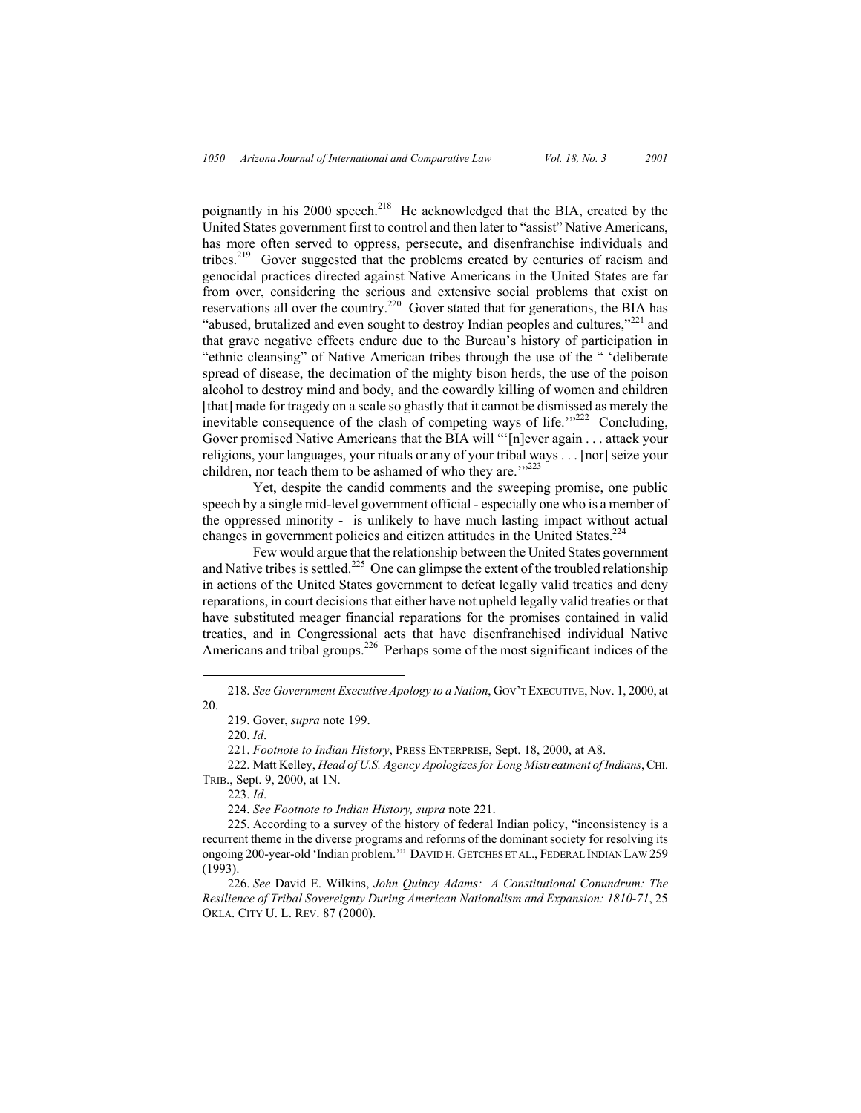poignantly in his 2000 speech.<sup>218</sup> He acknowledged that the BIA, created by the United States government first to control and then later to "assist" Native Americans, has more often served to oppress, persecute, and disenfranchise individuals and tribes.219 Gover suggested that the problems created by centuries of racism and genocidal practices directed against Native Americans in the United States are far from over, considering the serious and extensive social problems that exist on reservations all over the country.<sup>220</sup> Gover stated that for generations, the BIA has "abused, brutalized and even sought to destroy Indian peoples and cultures," $^{221}$  and that grave negative effects endure due to the Bureau's history of participation in "ethnic cleansing" of Native American tribes through the use of the " 'deliberate spread of disease, the decimation of the mighty bison herds, the use of the poison alcohol to destroy mind and body, and the cowardly killing of women and children [that] made for tragedy on a scale so ghastly that it cannot be dismissed as merely the inevitable consequence of the clash of competing ways of life. $1222$  Concluding, Gover promised Native Americans that the BIA will "'[n]ever again . . . attack your religions, your languages, your rituals or any of your tribal ways . . . [nor] seize your children, nor teach them to be ashamed of who they are."<sup>222</sup>

Yet, despite the candid comments and the sweeping promise, one public speech by a single mid-level government official - especially one who is a member of the oppressed minority - is unlikely to have much lasting impact without actual changes in government policies and citizen attitudes in the United States.<sup>224</sup>

Few would argue that the relationship between the United States government and Native tribes is settled.<sup>225</sup> One can glimpse the extent of the troubled relationship in actions of the United States government to defeat legally valid treaties and deny reparations, in court decisions that either have not upheld legally valid treaties or that have substituted meager financial reparations for the promises contained in valid treaties, and in Congressional acts that have disenfranchised individual Native Americans and tribal groups.<sup>226</sup> Perhaps some of the most significant indices of the

224. *See Footnote to Indian History, supra* note 221.

 <sup>218.</sup> *See Government Executive Apology to a Nation*, GOV'T EXECUTIVE, Nov. 1, 2000, at 20.

<sup>219.</sup> Gover, *supra* note 199.

<sup>220.</sup> *Id*.

<sup>221.</sup> *Footnote to Indian History*, PRESS ENTERPRISE, Sept. 18, 2000, at A8.

<sup>222.</sup> Matt Kelley, *Head of U.S. Agency Apologizes for Long Mistreatment of Indians*, CHI. TRIB., Sept. 9, 2000, at 1N.

<sup>223.</sup> *Id*.

<sup>225.</sup> According to a survey of the history of federal Indian policy, "inconsistency is a recurrent theme in the diverse programs and reforms of the dominant society for resolving its ongoing 200-year-old 'Indian problem.'" DAVID H. GETCHES ET AL., FEDERAL INDIAN LAW 259 (1993).

<sup>226.</sup> *See* David E. Wilkins, *John Quincy Adams: A Constitutional Conundrum: The Resilience of Tribal Sovereignty During American Nationalism and Expansion: 1810-71*, 25 OKLA. CITY U. L. REV. 87 (2000).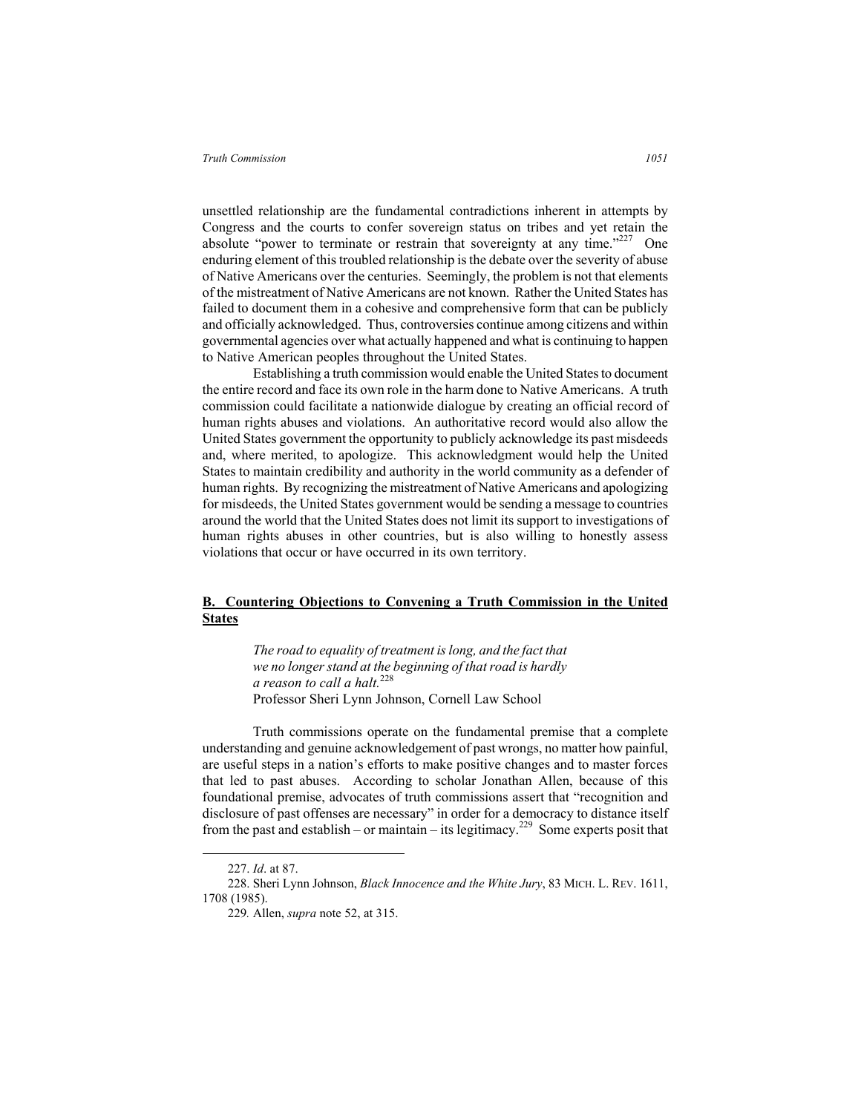unsettled relationship are the fundamental contradictions inherent in attempts by Congress and the courts to confer sovereign status on tribes and yet retain the absolute "power to terminate or restrain that sovereignty at any time."<sup>227</sup> One enduring element of this troubled relationship is the debate over the severity of abuse of Native Americans over the centuries. Seemingly, the problem is not that elements of the mistreatment of Native Americans are not known. Rather the United States has failed to document them in a cohesive and comprehensive form that can be publicly and officially acknowledged. Thus, controversies continue among citizens and within governmental agencies over what actually happened and what is continuing to happen to Native American peoples throughout the United States.

Establishing a truth commission would enable the United States to document the entire record and face its own role in the harm done to Native Americans. A truth commission could facilitate a nationwide dialogue by creating an official record of human rights abuses and violations. An authoritative record would also allow the United States government the opportunity to publicly acknowledge its past misdeeds and, where merited, to apologize. This acknowledgment would help the United States to maintain credibility and authority in the world community as a defender of human rights. By recognizing the mistreatment of Native Americans and apologizing for misdeeds, the United States government would be sending a message to countries around the world that the United States does not limit its support to investigations of human rights abuses in other countries, but is also willing to honestly assess violations that occur or have occurred in its own territory.

# **B. Countering Objections to Convening a Truth Commission in the United States**

*The road to equality of treatment is long, and the fact that we no longer stand at the beginning of that road is hardly a reason to call a halt.*<sup>228</sup> Professor Sheri Lynn Johnson, Cornell Law School

Truth commissions operate on the fundamental premise that a complete understanding and genuine acknowledgement of past wrongs, no matter how painful, are useful steps in a nation's efforts to make positive changes and to master forces that led to past abuses. According to scholar Jonathan Allen, because of this foundational premise, advocates of truth commissions assert that "recognition and disclosure of past offenses are necessary" in order for a democracy to distance itself from the past and establish – or maintain – its legitimacy.<sup>229</sup> Some experts posit that

 <sup>227.</sup> *Id*. at 87.

<sup>228.</sup> Sheri Lynn Johnson, *Black Innocence and the White Jury*, 83 MICH. L. REV. 1611, 1708 (1985).

<sup>229</sup>*.* Allen, *supra* note 52, at 315.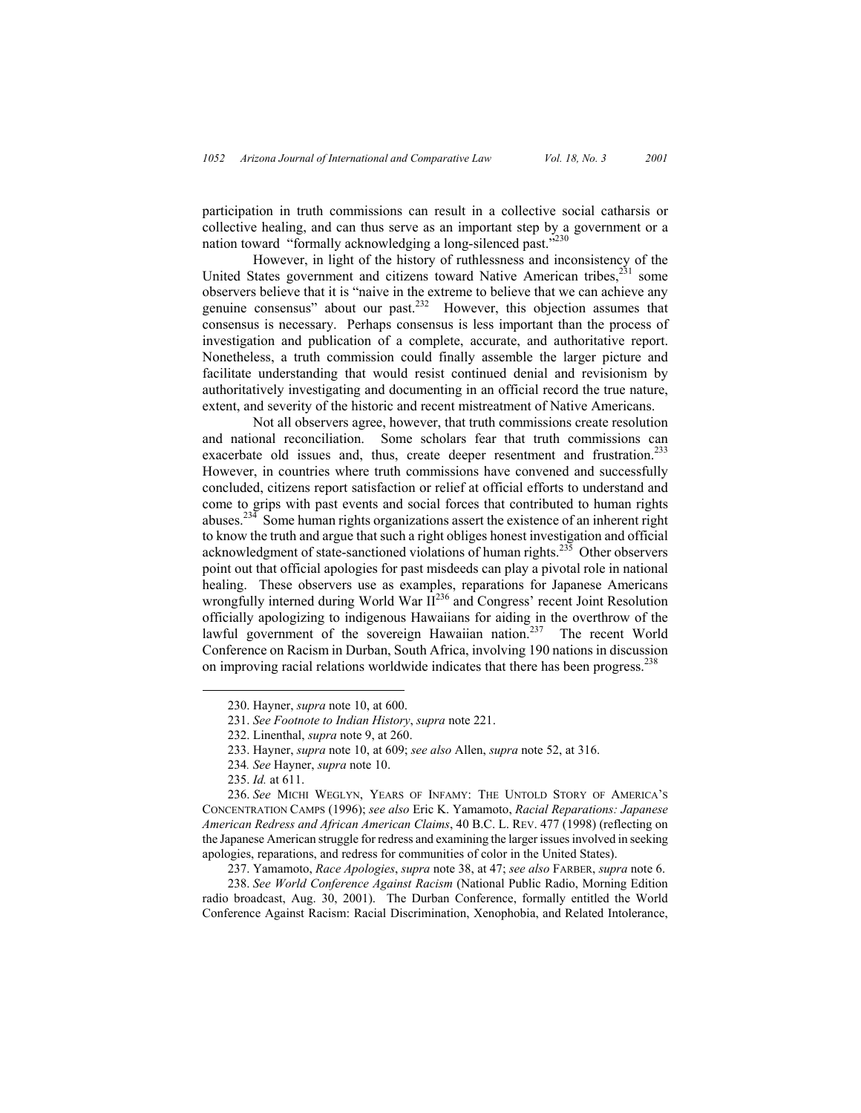participation in truth commissions can result in a collective social catharsis or collective healing, and can thus serve as an important step by a government or a nation toward "formally acknowledging a long-silenced past."<sup>230</sup>

However, in light of the history of ruthlessness and inconsistency of the United States government and citizens toward Native American tribes, $2^{31}$  some observers believe that it is "naive in the extreme to believe that we can achieve any genuine consensus" about our past.232 However, this objection assumes that consensus is necessary. Perhaps consensus is less important than the process of investigation and publication of a complete, accurate, and authoritative report. Nonetheless, a truth commission could finally assemble the larger picture and facilitate understanding that would resist continued denial and revisionism by authoritatively investigating and documenting in an official record the true nature, extent, and severity of the historic and recent mistreatment of Native Americans.

Not all observers agree, however, that truth commissions create resolution and national reconciliation. Some scholars fear that truth commissions can exacerbate old issues and, thus, create deeper resentment and frustration.<sup>233</sup> However, in countries where truth commissions have convened and successfully concluded, citizens report satisfaction or relief at official efforts to understand and come to grips with past events and social forces that contributed to human rights abuses.234 Some human rights organizations assert the existence of an inherent right to know the truth and argue that such a right obliges honest investigation and official acknowledgment of state-sanctioned violations of human rights.<sup>235</sup> Other observers point out that official apologies for past misdeeds can play a pivotal role in national healing. These observers use as examples, reparations for Japanese Americans wrongfully interned during World War II<sup>236</sup> and Congress' recent Joint Resolution officially apologizing to indigenous Hawaiians for aiding in the overthrow of the lawful government of the sovereign Hawaiian nation.<sup>237</sup> The recent World Conference on Racism in Durban, South Africa, involving 190 nations in discussion on improving racial relations worldwide indicates that there has been progress.<sup>238</sup>

238. *See World Conference Against Racism* (National Public Radio, Morning Edition radio broadcast, Aug. 30, 2001). The Durban Conference, formally entitled the World Conference Against Racism: Racial Discrimination, Xenophobia, and Related Intolerance,

 <sup>230.</sup> Hayner, *supra* note 10, at 600.

<sup>231.</sup> *See Footnote to Indian History*, *supra* note 221.

<sup>232.</sup> Linenthal, *supra* note 9, at 260.

<sup>233.</sup> Hayner, *supra* note 10, at 609; *see also* Allen, *supra* note 52, at 316.

<sup>234</sup>*. See* Hayner, *supra* note 10.

<sup>235.</sup> *Id.* at 611.

<sup>236.</sup> *See* MICHI WEGLYN, YEARS OF INFAMY: THE UNTOLD STORY OF AMERICA'S CONCENTRATION CAMPS (1996); *see also* Eric K. Yamamoto, *Racial Reparations: Japanese American Redress and African American Claims*, 40 B.C. L. REV. 477 (1998) (reflecting on the Japanese American struggle for redress and examining the larger issues involved in seeking apologies, reparations, and redress for communities of color in the United States).

<sup>237.</sup> Yamamoto, *Race Apologies*, *supra* note 38, at 47; *see also* FARBER, *supra* note 6.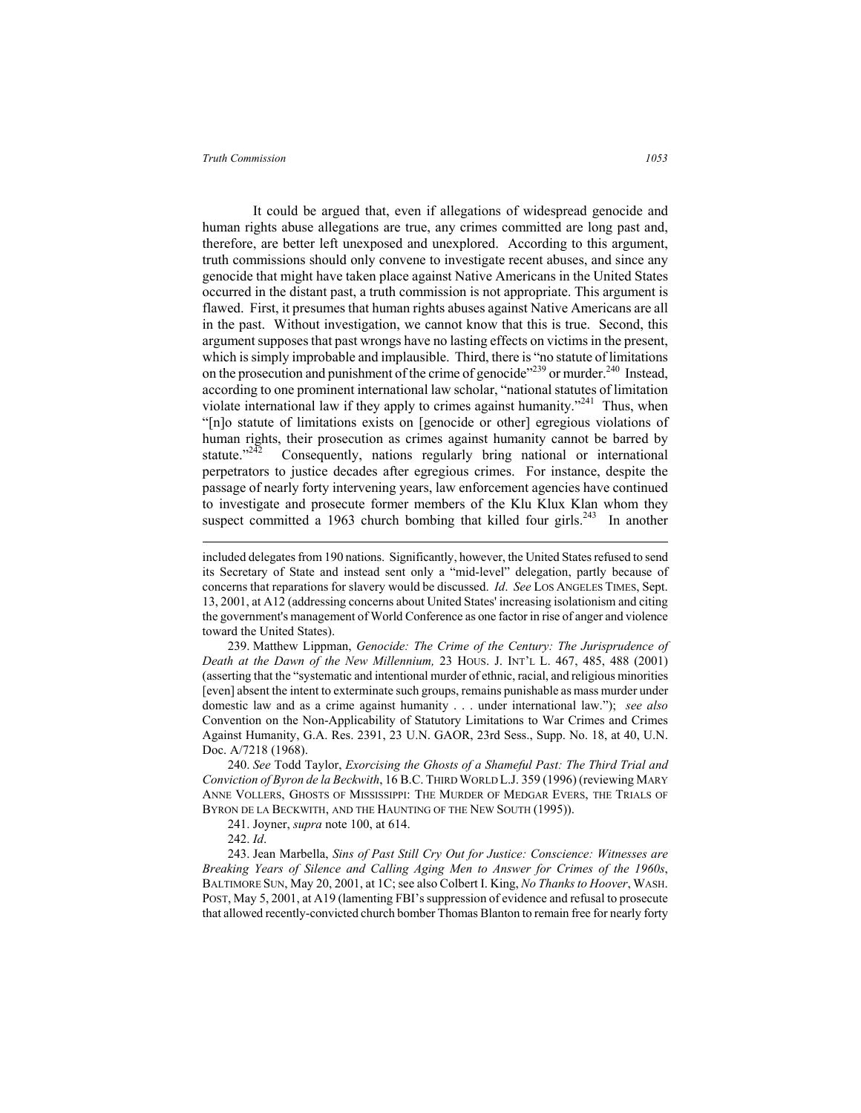It could be argued that, even if allegations of widespread genocide and human rights abuse allegations are true, any crimes committed are long past and, therefore, are better left unexposed and unexplored. According to this argument, truth commissions should only convene to investigate recent abuses, and since any genocide that might have taken place against Native Americans in the United States occurred in the distant past, a truth commission is not appropriate. This argument is flawed. First, it presumes that human rights abuses against Native Americans are all in the past. Without investigation, we cannot know that this is true. Second, this argument supposes that past wrongs have no lasting effects on victims in the present, which is simply improbable and implausible. Third, there is "no statute of limitations on the prosecution and punishment of the crime of genocide"<sup>239</sup> or murder.<sup>240</sup> Instead, according to one prominent international law scholar, "national statutes of limitation violate international law if they apply to crimes against humanity."<sup>241</sup> Thus, when "[n]o statute of limitations exists on [genocide or other] egregious violations of human rights, their prosecution as crimes against humanity cannot be barred by statute."<sup>242</sup> Consequently, nations regularly bring national or international perpetrators to justice decades after egregious crimes. For instance, despite the passage of nearly forty intervening years, law enforcement agencies have continued to investigate and prosecute former members of the Klu Klux Klan whom they suspect committed a 1963 church bombing that killed four girls.<sup>243</sup> In another

239. Matthew Lippman, *Genocide: The Crime of the Century: The Jurisprudence of Death at the Dawn of the New Millennium,* 23 HOUS. J. INT'L L. 467, 485, 488 (2001) (asserting that the "systematic and intentional murder of ethnic, racial, and religious minorities [even] absent the intent to exterminate such groups, remains punishable as mass murder under domestic law and as a crime against humanity . . . under international law."); *see also* Convention on the Non-Applicability of Statutory Limitations to War Crimes and Crimes Against Humanity, G.A. Res. 2391, 23 U.N. GAOR, 23rd Sess., Supp. No. 18, at 40, U.N. Doc. A/7218 (1968).

240. *See* Todd Taylor, *Exorcising the Ghosts of a Shameful Past: The Third Trial and Conviction of Byron de la Beckwith*, 16 B.C. THIRD WORLD L.J. 359 (1996) (reviewing MARY ANNE VOLLERS, GHOSTS OF MISSISSIPPI: THE MURDER OF MEDGAR EVERS, THE TRIALS OF BYRON DE LA BECKWITH, AND THE HAUNTING OF THE NEW SOUTH (1995)).

241. Joyner, *supra* note 100, at 614.

242. *Id*.

 $\overline{a}$ 

243. Jean Marbella, *Sins of Past Still Cry Out for Justice: Conscience: Witnesses are Breaking Years of Silence and Calling Aging Men to Answer for Crimes of the 1960s*, BALTIMORE SUN, May 20, 2001, at 1C; see also Colbert I. King, *No Thanks to Hoover*, WASH. POST, May 5, 2001, at A19 (lamenting FBI's suppression of evidence and refusal to prosecute that allowed recently-convicted church bomber Thomas Blanton to remain free for nearly forty

included delegates from 190 nations. Significantly, however, the United States refused to send its Secretary of State and instead sent only a "mid-level" delegation, partly because of concerns that reparations for slavery would be discussed. *Id*. *See* LOS ANGELES TIMES, Sept. 13, 2001, at A12 (addressing concerns about United States' increasing isolationism and citing the government's management of World Conference as one factor in rise of anger and violence toward the United States).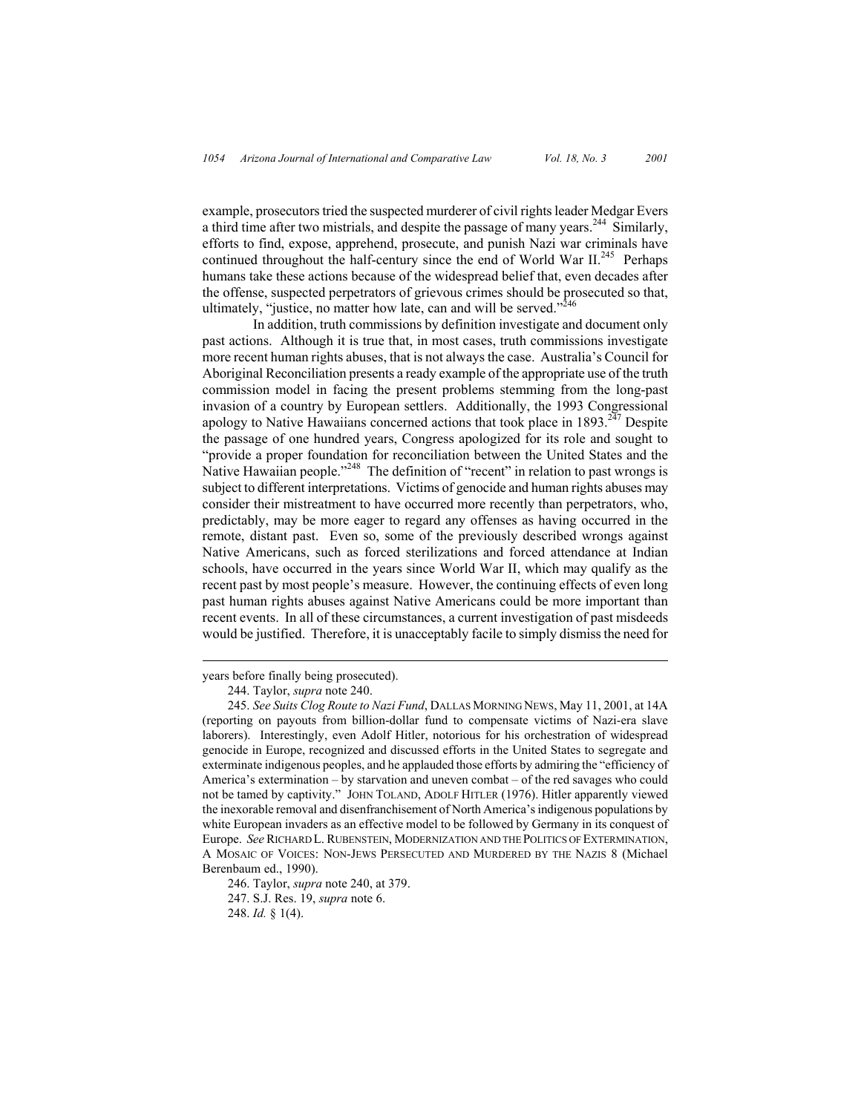example, prosecutors tried the suspected murderer of civil rights leader Medgar Evers a third time after two mistrials, and despite the passage of many years.244 Similarly, efforts to find, expose, apprehend, prosecute, and punish Nazi war criminals have continued throughout the half-century since the end of World War  $II^{245}$  Perhaps humans take these actions because of the widespread belief that, even decades after the offense, suspected perpetrators of grievous crimes should be prosecuted so that, ultimately, "justice, no matter how late, can and will be served."<sup>246</sup>

In addition, truth commissions by definition investigate and document only past actions. Although it is true that, in most cases, truth commissions investigate more recent human rights abuses, that is not always the case. Australia's Council for Aboriginal Reconciliation presents a ready example of the appropriate use of the truth commission model in facing the present problems stemming from the long-past invasion of a country by European settlers. Additionally, the 1993 Congressional apology to Native Hawaiians concerned actions that took place in  $1893.<sup>247</sup>$  Despite the passage of one hundred years, Congress apologized for its role and sought to "provide a proper foundation for reconciliation between the United States and the Native Hawaiian people."<sup>248</sup> The definition of "recent" in relation to past wrongs is subject to different interpretations. Victims of genocide and human rights abuses may consider their mistreatment to have occurred more recently than perpetrators, who, predictably, may be more eager to regard any offenses as having occurred in the remote, distant past. Even so, some of the previously described wrongs against Native Americans, such as forced sterilizations and forced attendance at Indian schools, have occurred in the years since World War II, which may qualify as the recent past by most people's measure. However, the continuing effects of even long past human rights abuses against Native Americans could be more important than recent events. In all of these circumstances, a current investigation of past misdeeds would be justified. Therefore, it is unacceptably facile to simply dismiss the need for

 $\overline{a}$ 

246. Taylor, *supra* note 240, at 379. 247. S.J. Res. 19, *supra* note 6.

248. *Id.* § 1(4).

years before finally being prosecuted).

<sup>244.</sup> Taylor, *supra* note 240.

<sup>245.</sup> *See Suits Clog Route to Nazi Fund*, DALLAS MORNING NEWS, May 11, 2001, at 14A (reporting on payouts from billion-dollar fund to compensate victims of Nazi-era slave laborers). Interestingly, even Adolf Hitler, notorious for his orchestration of widespread genocide in Europe, recognized and discussed efforts in the United States to segregate and exterminate indigenous peoples, and he applauded those efforts by admiring the "efficiency of America's extermination – by starvation and uneven combat – of the red savages who could not be tamed by captivity." JOHN TOLAND, ADOLF HITLER (1976). Hitler apparently viewed the inexorable removal and disenfranchisement of North America's indigenous populations by white European invaders as an effective model to be followed by Germany in its conquest of Europe. *See* RICHARD L. RUBENSTEIN, MODERNIZATION AND THE POLITICS OF EXTERMINATION, A MOSAIC OF VOICES: NON-JEWS PERSECUTED AND MURDERED BY THE NAZIS 8 (Michael Berenbaum ed., 1990).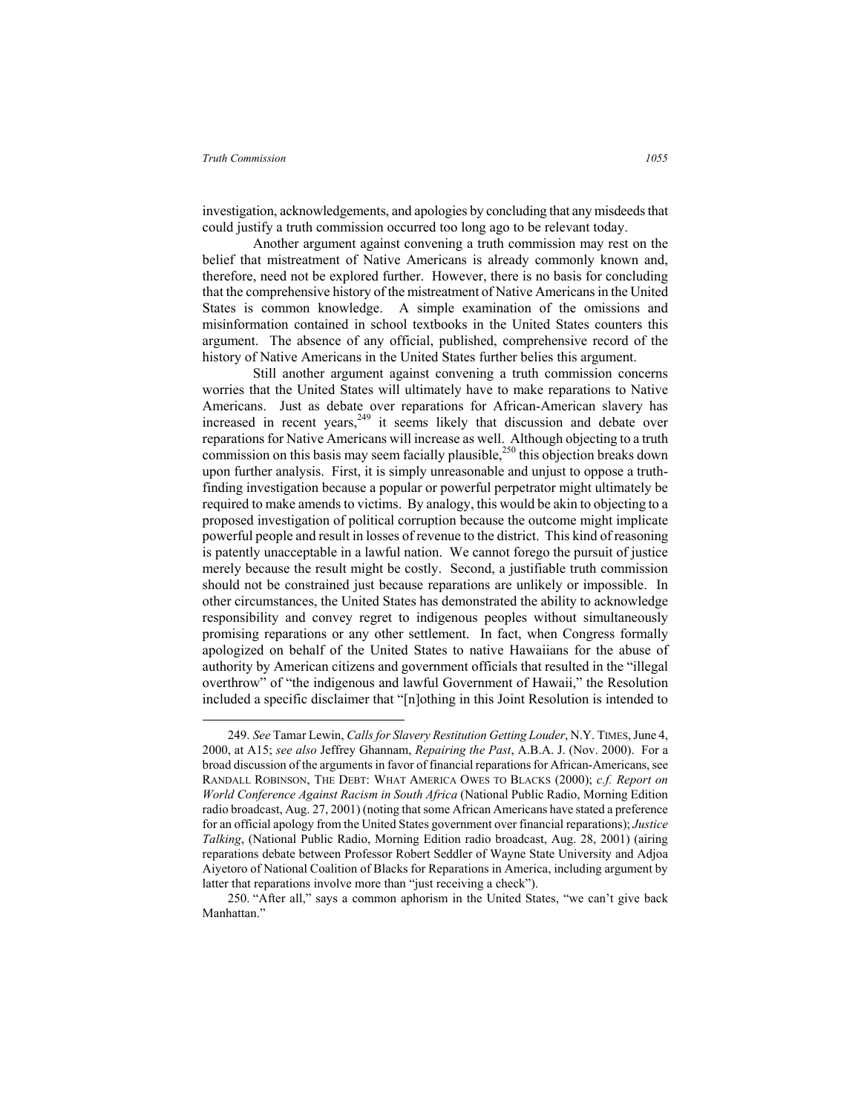investigation, acknowledgements, and apologies by concluding that any misdeeds that could justify a truth commission occurred too long ago to be relevant today.

Another argument against convening a truth commission may rest on the belief that mistreatment of Native Americans is already commonly known and, therefore, need not be explored further. However, there is no basis for concluding that the comprehensive history of the mistreatment of Native Americans in the United States is common knowledge. A simple examination of the omissions and misinformation contained in school textbooks in the United States counters this argument. The absence of any official, published, comprehensive record of the history of Native Americans in the United States further belies this argument.

Still another argument against convening a truth commission concerns worries that the United States will ultimately have to make reparations to Native Americans. Just as debate over reparations for African-American slavery has increased in recent years,<sup>249</sup> it seems likely that discussion and debate over reparations for Native Americans will increase as well. Although objecting to a truth commission on this basis may seem facially plausible,<sup>250</sup> this objection breaks down upon further analysis. First, it is simply unreasonable and unjust to oppose a truthfinding investigation because a popular or powerful perpetrator might ultimately be required to make amends to victims. By analogy, this would be akin to objecting to a proposed investigation of political corruption because the outcome might implicate powerful people and result in losses of revenue to the district. This kind of reasoning is patently unacceptable in a lawful nation. We cannot forego the pursuit of justice merely because the result might be costly. Second, a justifiable truth commission should not be constrained just because reparations are unlikely or impossible. In other circumstances, the United States has demonstrated the ability to acknowledge responsibility and convey regret to indigenous peoples without simultaneously promising reparations or any other settlement. In fact, when Congress formally apologized on behalf of the United States to native Hawaiians for the abuse of authority by American citizens and government officials that resulted in the "illegal overthrow" of "the indigenous and lawful Government of Hawaii," the Resolution included a specific disclaimer that "[n]othing in this Joint Resolution is intended to

 <sup>249.</sup> *See* Tamar Lewin, *Calls for Slavery Restitution Getting Louder*, N.Y. TIMES, June 4, 2000, at A15; *see also* Jeffrey Ghannam, *Repairing the Past*, A.B.A. J. (Nov. 2000). For a broad discussion of the arguments in favor of financial reparations for African-Americans, see RANDALL ROBINSON, THE DEBT: WHAT AMERICA OWES TO BLACKS (2000); *c.f. Report on World Conference Against Racism in South Africa* (National Public Radio, Morning Edition radio broadcast, Aug. 27, 2001) (noting that some African Americans have stated a preference for an official apology from the United States government over financial reparations); *Justice Talking*, (National Public Radio, Morning Edition radio broadcast, Aug. 28, 2001) (airing reparations debate between Professor Robert Seddler of Wayne State University and Adjoa Aiyetoro of National Coalition of Blacks for Reparations in America, including argument by latter that reparations involve more than "just receiving a check").

<sup>250. &</sup>quot;After all," says a common aphorism in the United States, "we can't give back Manhattan."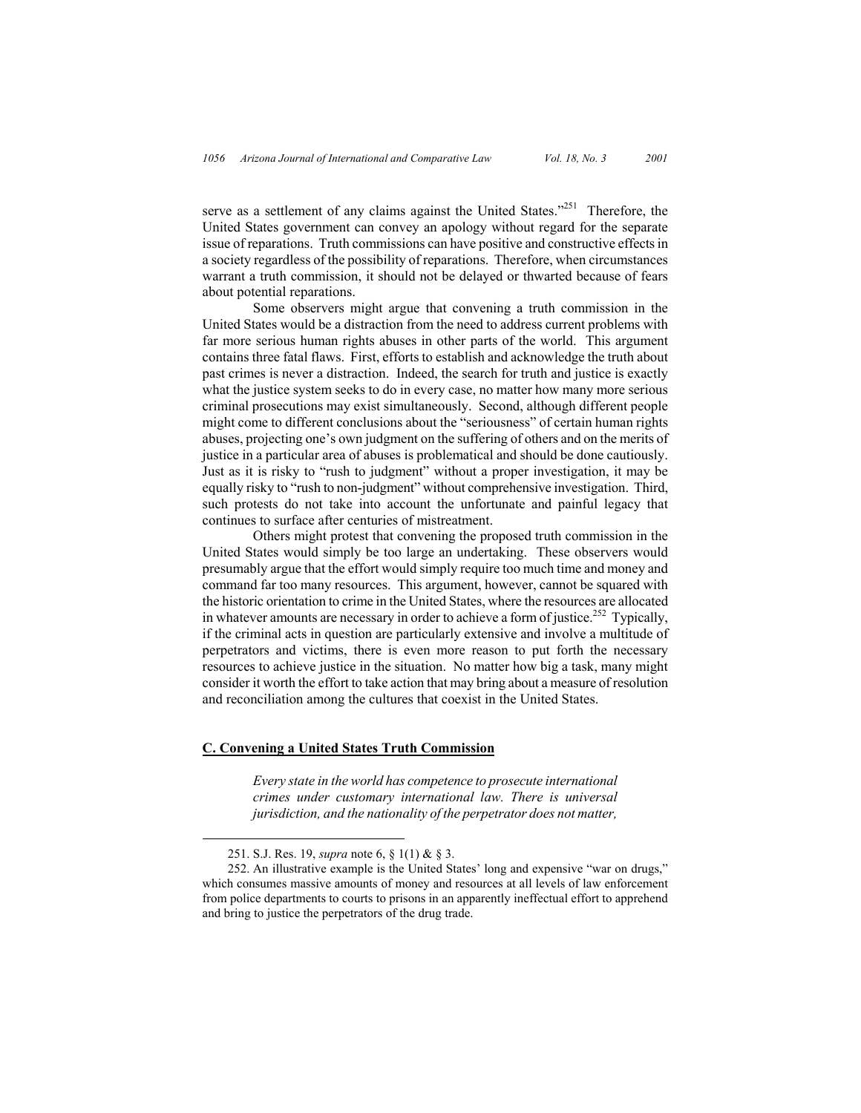serve as a settlement of any claims against the United States."<sup>251</sup> Therefore, the United States government can convey an apology without regard for the separate issue of reparations. Truth commissions can have positive and constructive effects in a society regardless of the possibility of reparations. Therefore, when circumstances warrant a truth commission, it should not be delayed or thwarted because of fears about potential reparations.

Some observers might argue that convening a truth commission in the United States would be a distraction from the need to address current problems with far more serious human rights abuses in other parts of the world. This argument contains three fatal flaws. First, efforts to establish and acknowledge the truth about past crimes is never a distraction. Indeed, the search for truth and justice is exactly what the justice system seeks to do in every case, no matter how many more serious criminal prosecutions may exist simultaneously. Second, although different people might come to different conclusions about the "seriousness" of certain human rights abuses, projecting one's own judgment on the suffering of others and on the merits of justice in a particular area of abuses is problematical and should be done cautiously. Just as it is risky to "rush to judgment" without a proper investigation, it may be equally risky to "rush to non-judgment" without comprehensive investigation. Third, such protests do not take into account the unfortunate and painful legacy that continues to surface after centuries of mistreatment.

Others might protest that convening the proposed truth commission in the United States would simply be too large an undertaking. These observers would presumably argue that the effort would simply require too much time and money and command far too many resources. This argument, however, cannot be squared with the historic orientation to crime in the United States, where the resources are allocated in whatever amounts are necessary in order to achieve a form of justice.<sup>252</sup> Typically, if the criminal acts in question are particularly extensive and involve a multitude of perpetrators and victims, there is even more reason to put forth the necessary resources to achieve justice in the situation. No matter how big a task, many might consider it worth the effort to take action that may bring about a measure of resolution and reconciliation among the cultures that coexist in the United States.

## **C. Convening a United States Truth Commission**

*Every state in the world has competence to prosecute international crimes under customary international law. There is universal jurisdiction, and the nationality of the perpetrator does not matter,* 

 <sup>251.</sup> S.J. Res. 19, *supra* note 6, § 1(1) & § 3.

<sup>252.</sup> An illustrative example is the United States' long and expensive "war on drugs," which consumes massive amounts of money and resources at all levels of law enforcement from police departments to courts to prisons in an apparently ineffectual effort to apprehend and bring to justice the perpetrators of the drug trade.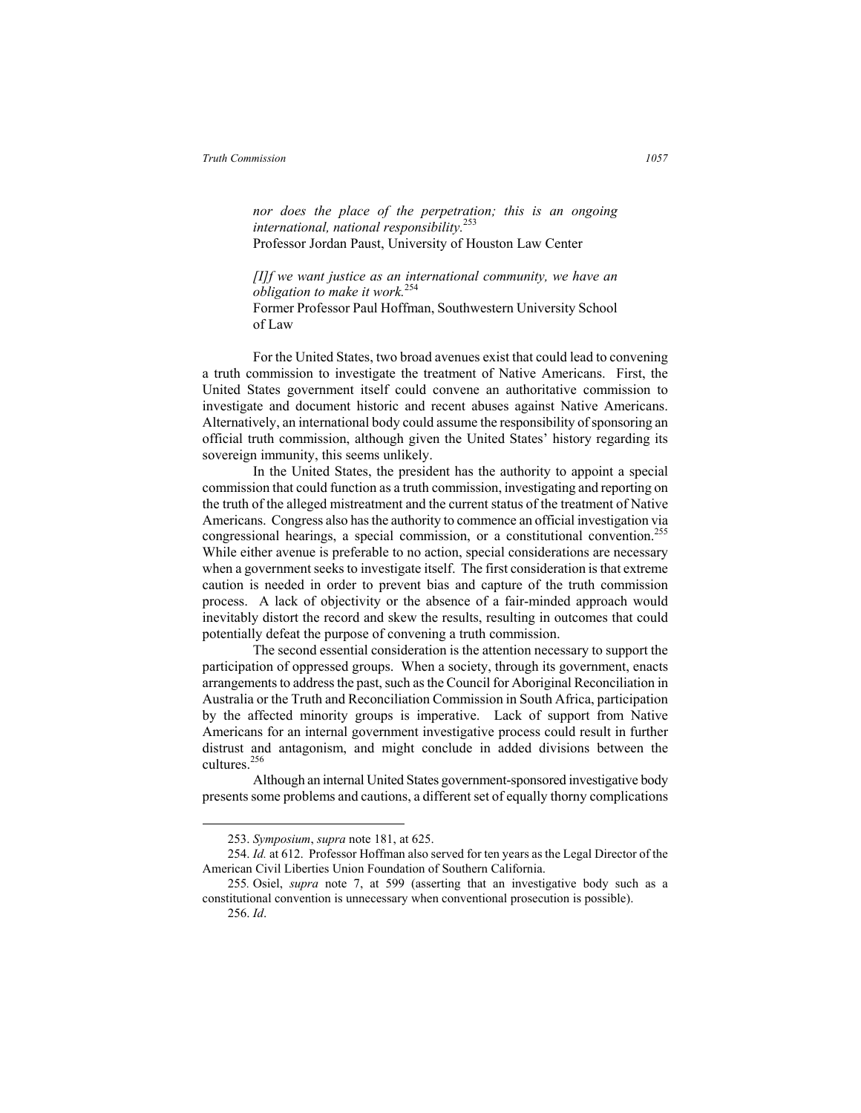*nor does the place of the perpetration; this is an ongoing international, national responsibility.*253 Professor Jordan Paust, University of Houston Law Center

*[I]f we want justice as an international community, we have an obligation to make it work.*254

Former Professor Paul Hoffman, Southwestern University School of Law

For the United States, two broad avenues exist that could lead to convening a truth commission to investigate the treatment of Native Americans. First, the United States government itself could convene an authoritative commission to investigate and document historic and recent abuses against Native Americans. Alternatively, an international body could assume the responsibility of sponsoring an official truth commission, although given the United States' history regarding its sovereign immunity, this seems unlikely.

 In the United States, the president has the authority to appoint a special commission that could function as a truth commission, investigating and reporting on the truth of the alleged mistreatment and the current status of the treatment of Native Americans. Congress also has the authority to commence an official investigation via congressional hearings, a special commission, or a constitutional convention.<sup>255</sup> While either avenue is preferable to no action, special considerations are necessary when a government seeks to investigate itself. The first consideration is that extreme caution is needed in order to prevent bias and capture of the truth commission process. A lack of objectivity or the absence of a fair-minded approach would inevitably distort the record and skew the results, resulting in outcomes that could potentially defeat the purpose of convening a truth commission.

The second essential consideration is the attention necessary to support the participation of oppressed groups. When a society, through its government, enacts arrangements to address the past, such as the Council for Aboriginal Reconciliation in Australia or the Truth and Reconciliation Commission in South Africa, participation by the affected minority groups is imperative. Lack of support from Native Americans for an internal government investigative process could result in further distrust and antagonism, and might conclude in added divisions between the cultures.256

Although an internal United States government-sponsored investigative body presents some problems and cautions, a different set of equally thorny complications

 <sup>253.</sup> *Symposium*, *supra* note 181, at 625.

<sup>254.</sup> *Id.* at 612. Professor Hoffman also served for ten years as the Legal Director of the American Civil Liberties Union Foundation of Southern California.

<sup>255</sup>*.* Osiel, *supra* note 7, at 599 (asserting that an investigative body such as a constitutional convention is unnecessary when conventional prosecution is possible).

<sup>256.</sup> *Id*.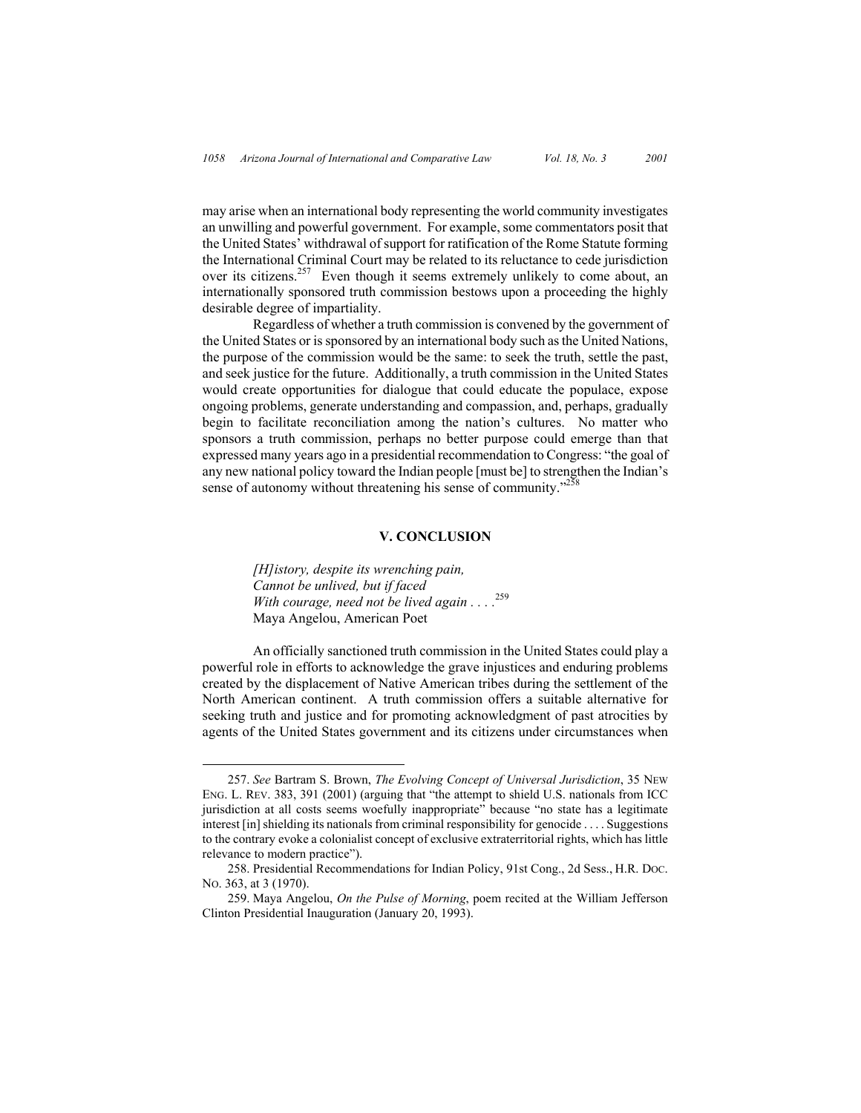may arise when an international body representing the world community investigates an unwilling and powerful government. For example, some commentators posit that the United States' withdrawal of support for ratification of the Rome Statute forming the International Criminal Court may be related to its reluctance to cede jurisdiction over its citizens.<sup>257</sup> Even though it seems extremely unlikely to come about, an internationally sponsored truth commission bestows upon a proceeding the highly desirable degree of impartiality.

Regardless of whether a truth commission is convened by the government of the United States or is sponsored by an international body such as the United Nations, the purpose of the commission would be the same: to seek the truth, settle the past, and seek justice for the future. Additionally, a truth commission in the United States would create opportunities for dialogue that could educate the populace, expose ongoing problems, generate understanding and compassion, and, perhaps, gradually begin to facilitate reconciliation among the nation's cultures. No matter who sponsors a truth commission, perhaps no better purpose could emerge than that expressed many years ago in a presidential recommendation to Congress: "the goal of any new national policy toward the Indian people [must be] to strengthen the Indian's sense of autonomy without threatening his sense of community."<sup>258</sup>

### **V. CONCLUSION**

*[H]istory, despite its wrenching pain, Cannot be unlived, but if faced With courage, need not be lived again . . . .*<sup>259</sup> Maya Angelou, American Poet

An officially sanctioned truth commission in the United States could play a powerful role in efforts to acknowledge the grave injustices and enduring problems created by the displacement of Native American tribes during the settlement of the North American continent. A truth commission offers a suitable alternative for seeking truth and justice and for promoting acknowledgment of past atrocities by agents of the United States government and its citizens under circumstances when

 <sup>257.</sup> *See* Bartram S. Brown, *The Evolving Concept of Universal Jurisdiction*, 35 NEW ENG. L. REV. 383, 391 (2001) (arguing that "the attempt to shield U.S. nationals from ICC jurisdiction at all costs seems woefully inappropriate" because "no state has a legitimate interest [in] shielding its nationals from criminal responsibility for genocide . . . . Suggestions to the contrary evoke a colonialist concept of exclusive extraterritorial rights, which has little relevance to modern practice").

<sup>258.</sup> Presidential Recommendations for Indian Policy, 91st Cong., 2d Sess., H.R. DOC. NO. 363, at 3 (1970).

<sup>259.</sup> Maya Angelou, *On the Pulse of Morning*, poem recited at the William Jefferson Clinton Presidential Inauguration (January 20, 1993).